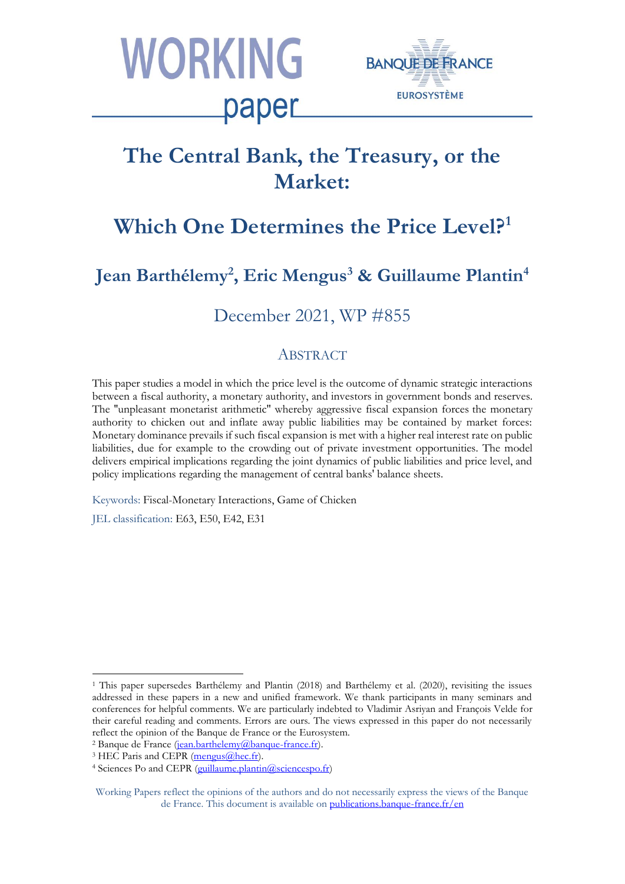



# **The Central Bank, the Treasury, or the Market:**

# **Which One Determines the Price Level?<sup>1</sup>**

# **Jean Barthélemy<sup>2</sup> , Eric Mengus<sup>3</sup> & Guillaume Plantin<sup>4</sup>**

# December 2021, WP #855

## ABSTRACT

This paper studies a model in which the price level is the outcome of dynamic strategic interactions between a fiscal authority, a monetary authority, and investors in government bonds and reserves. The ''unpleasant monetarist arithmetic'' whereby aggressive fiscal expansion forces the monetary authority to chicken out and inflate away public liabilities may be contained by market forces: Monetary dominance prevails if such fiscal expansion is met with a higher real interest rate on public liabilities, due for example to the crowding out of private investment opportunities. The model delivers empirical implications regarding the joint dynamics of public liabilities and price level, and policy implications regarding the management of central banks' balance sheets.

Keywords: Fiscal-Monetary Interactions, Game of Chicken

JEL classification: E63, E50, E42, E31

<sup>1</sup> This paper supersedes Barthélemy and Plantin (2018) and Barthélemy et al. (2020), revisiting the issues addressed in these papers in a new and unified framework. We thank participants in many seminars and conferences for helpful comments. We are particularly indebted to Vladimir Asriyan and François Velde for their careful reading and comments. Errors are ours. The views expressed in this paper do not necessarily reflect the opinion of the Banque de France or the Eurosystem.

<sup>&</sup>lt;sup>2</sup> Banque de France [\(jean.barthelemy@banque-france.fr\)](mailto:jean.barthelemy@banque-france.fr).

 $3$  HEC Paris and CEPR [\(mengus@hec.fr\)](mailto:mengus@hec.fr).

<sup>&</sup>lt;sup>4</sup> Sciences Po and CEPR [\(guillaume.plantin@sciencespo.fr\)](mailto:guillaume.plantin@sciencespo.fr)

Working Papers reflect the opinions of the authors and do not necessarily express the views of the Banque de France. This document is available on [publications.banque-france.fr/en](https://publications.banque-france.fr/en)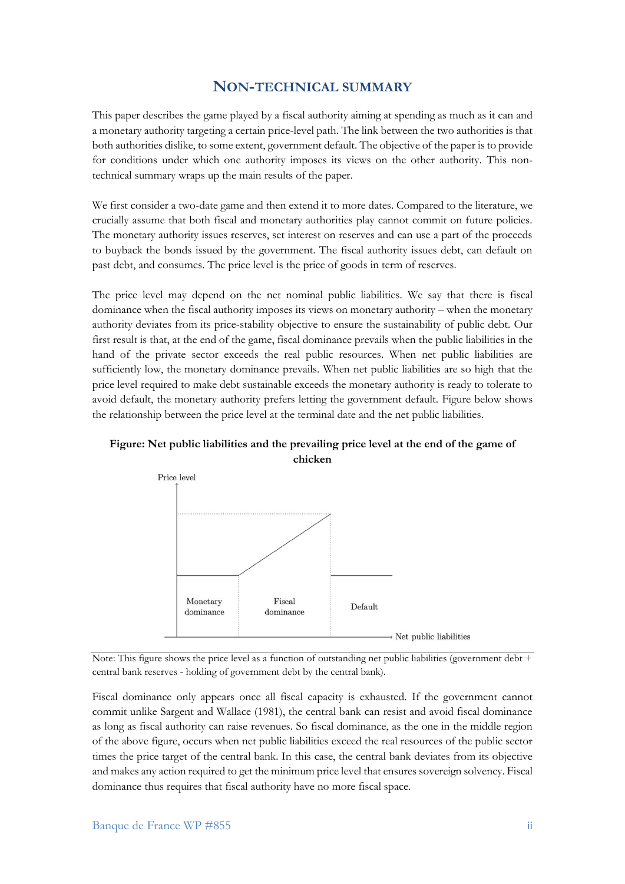### **NON-TECHNICAL SUMMARY**

This paper describes the game played by a fiscal authority aiming at spending as much as it can and a monetary authority targeting a certain price-level path. The link between the two authorities is that both authorities dislike, to some extent, government default. The objective of the paper is to provide for conditions under which one authority imposes its views on the other authority. This nontechnical summary wraps up the main results of the paper.

We first consider a two-date game and then extend it to more dates. Compared to the literature, we crucially assume that both fiscal and monetary authorities play cannot commit on future policies. The monetary authority issues reserves, set interest on reserves and can use a part of the proceeds to buyback the bonds issued by the government. The fiscal authority issues debt, can default on past debt, and consumes. The price level is the price of goods in term of reserves.

The price level may depend on the net nominal public liabilities. We say that there is fiscal dominance when the fiscal authority imposes its views on monetary authority – when the monetary authority deviates from its price-stability objective to ensure the sustainability of public debt. Our first result is that, at the end of the game, fiscal dominance prevails when the public liabilities in the hand of the private sector exceeds the real public resources. When net public liabilities are sufficiently low, the monetary dominance prevails. When net public liabilities are so high that the price level required to make debt sustainable exceeds the monetary authority is ready to tolerate to avoid default, the monetary authority prefers letting the government default. Figure below shows the relationship between the price level at the terminal date and the net public liabilities.



**Figure: Net public liabilities and the prevailing price level at the end of the game of chicken**

Note: This figure shows the price level as a function of outstanding net public liabilities (government debt + central bank reserves - holding of government debt by the central bank).

Fiscal dominance only appears once all fiscal capacity is exhausted. If the government cannot commit unlike Sargent and Wallace (1981), the central bank can resist and avoid fiscal dominance as long as fiscal authority can raise revenues. So fiscal dominance, as the one in the middle region of the above figure, occurs when net public liabilities exceed the real resources of the public sector times the price target of the central bank. In this case, the central bank deviates from its objective and makes any action required to get the minimum price level that ensures sovereign solvency. Fiscal dominance thus requires that fiscal authority have no more fiscal space.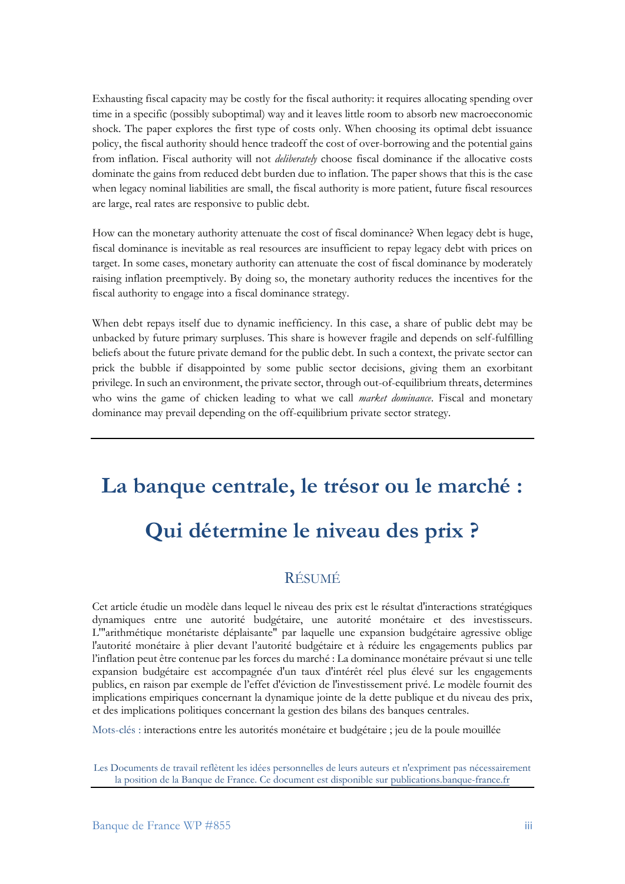Exhausting fiscal capacity may be costly for the fiscal authority: it requires allocating spending over time in a specific (possibly suboptimal) way and it leaves little room to absorb new macroeconomic shock. The paper explores the first type of costs only. When choosing its optimal debt issuance policy, the fiscal authority should hence tradeoff the cost of over-borrowing and the potential gains from inflation. Fiscal authority will not *deliberately* choose fiscal dominance if the allocative costs dominate the gains from reduced debt burden due to inflation. The paper shows that this is the case when legacy nominal liabilities are small, the fiscal authority is more patient, future fiscal resources are large, real rates are responsive to public debt.

How can the monetary authority attenuate the cost of fiscal dominance? When legacy debt is huge, fiscal dominance is inevitable as real resources are insufficient to repay legacy debt with prices on target. In some cases, monetary authority can attenuate the cost of fiscal dominance by moderately raising inflation preemptively. By doing so, the monetary authority reduces the incentives for the fiscal authority to engage into a fiscal dominance strategy.

When debt repays itself due to dynamic inefficiency. In this case, a share of public debt may be unbacked by future primary surpluses. This share is however fragile and depends on self-fulfilling beliefs about the future private demand for the public debt. In such a context, the private sector can prick the bubble if disappointed by some public sector decisions, giving them an exorbitant privilege. In such an environment, the private sector, through out-of-equilibrium threats, determines who wins the game of chicken leading to what we call *market dominance*. Fiscal and monetary dominance may prevail depending on the off-equilibrium private sector strategy.

# **La banque centrale, le trésor ou le marché :**

# **Qui détermine le niveau des prix ?**

## RÉSUMÉ

Cet article étudie un modèle dans lequel le niveau des prix est le résultat d'interactions stratégiques dynamiques entre une autorité budgétaire, une autorité monétaire et des investisseurs. L'"arithmétique monétariste déplaisante" par laquelle une expansion budgétaire agressive oblige l'autorité monétaire à plier devant l'autorité budgétaire et à réduire les engagements publics par l'inflation peut être contenue par les forces du marché : La dominance monétaire prévaut si une telle expansion budgétaire est accompagnée d'un taux d'intérêt réel plus élevé sur les engagements publics, en raison par exemple de l'effet d'éviction de l'investissement privé. Le modèle fournit des implications empiriques concernant la dynamique jointe de la dette publique et du niveau des prix, et des implications politiques concernant la gestion des bilans des banques centrales.

Mots-clés : interactions entre les autorités monétaire et budgétaire ; jeu de la poule mouillée

Les Documents de travail reflètent les idées personnelles de leurs auteurs et n'expriment pas nécessairement la position de la Banque de France. Ce document est disponible sur [publications.banque-france.fr](https://publications.banque-france.fr/)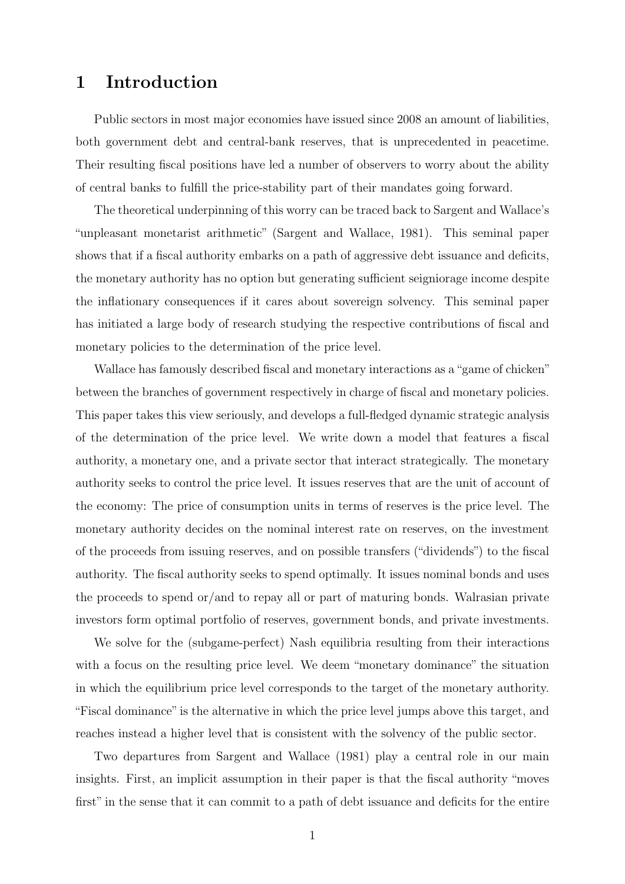## 1 Introduction

Public sectors in most major economies have issued since 2008 an amount of liabilities, both government debt and central-bank reserves, that is unprecedented in peacetime. Their resulting fiscal positions have led a number of observers to worry about the ability of central banks to fulfill the price-stability part of their mandates going forward.

The theoretical underpinning of this worry can be traced back to Sargent and Wallace's "unpleasant monetarist arithmetic" (Sargent and Wallace, 1981). This seminal paper shows that if a fiscal authority embarks on a path of aggressive debt issuance and deficits, the monetary authority has no option but generating sufficient seigniorage income despite the inflationary consequences if it cares about sovereign solvency. This seminal paper has initiated a large body of research studying the respective contributions of fiscal and monetary policies to the determination of the price level.

Wallace has famously described fiscal and monetary interactions as a"game of chicken" between the branches of government respectively in charge of fiscal and monetary policies. This paper takes this view seriously, and develops a full-fledged dynamic strategic analysis of the determination of the price level. We write down a model that features a fiscal authority, a monetary one, and a private sector that interact strategically. The monetary authority seeks to control the price level. It issues reserves that are the unit of account of the economy: The price of consumption units in terms of reserves is the price level. The monetary authority decides on the nominal interest rate on reserves, on the investment of the proceeds from issuing reserves, and on possible transfers ("dividends") to the fiscal authority. The fiscal authority seeks to spend optimally. It issues nominal bonds and uses the proceeds to spend or/and to repay all or part of maturing bonds. Walrasian private investors form optimal portfolio of reserves, government bonds, and private investments.

We solve for the (subgame-perfect) Nash equilibria resulting from their interactions with a focus on the resulting price level. We deem "monetary dominance" the situation in which the equilibrium price level corresponds to the target of the monetary authority. "Fiscal dominance" is the alternative in which the price level jumps above this target, and reaches instead a higher level that is consistent with the solvency of the public sector.

Two departures from Sargent and Wallace (1981) play a central role in our main insights. First, an implicit assumption in their paper is that the fiscal authority "moves first" in the sense that it can commit to a path of debt issuance and deficits for the entire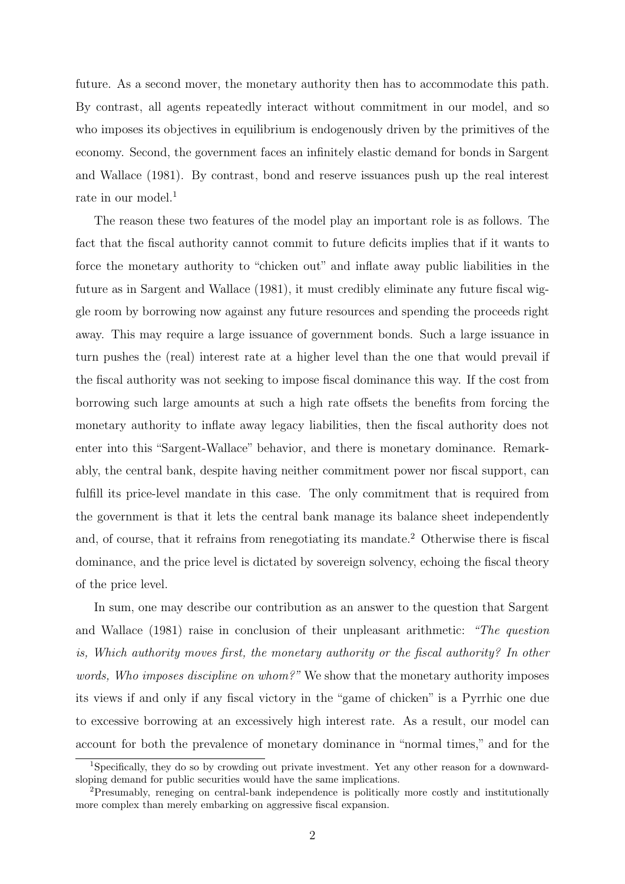future. As a second mover, the monetary authority then has to accommodate this path. By contrast, all agents repeatedly interact without commitment in our model, and so who imposes its objectives in equilibrium is endogenously driven by the primitives of the economy. Second, the government faces an infinitely elastic demand for bonds in Sargent and Wallace (1981). By contrast, bond and reserve issuances push up the real interest rate in our model.<sup>1</sup>

The reason these two features of the model play an important role is as follows. The fact that the fiscal authority cannot commit to future deficits implies that if it wants to force the monetary authority to "chicken out" and inflate away public liabilities in the future as in Sargent and Wallace (1981), it must credibly eliminate any future fiscal wiggle room by borrowing now against any future resources and spending the proceeds right away. This may require a large issuance of government bonds. Such a large issuance in turn pushes the (real) interest rate at a higher level than the one that would prevail if the fiscal authority was not seeking to impose fiscal dominance this way. If the cost from borrowing such large amounts at such a high rate offsets the benefits from forcing the monetary authority to inflate away legacy liabilities, then the fiscal authority does not enter into this "Sargent-Wallace" behavior, and there is monetary dominance. Remarkably, the central bank, despite having neither commitment power nor fiscal support, can fulfill its price-level mandate in this case. The only commitment that is required from the government is that it lets the central bank manage its balance sheet independently and, of course, that it refrains from renegotiating its mandate.<sup>2</sup> Otherwise there is fiscal dominance, and the price level is dictated by sovereign solvency, echoing the fiscal theory of the price level.

In sum, one may describe our contribution as an answer to the question that Sargent and Wallace (1981) raise in conclusion of their unpleasant arithmetic: "The question is, Which authority moves first, the monetary authority or the fiscal authority? In other words, Who imposes discipline on whom?" We show that the monetary authority imposes its views if and only if any fiscal victory in the "game of chicken" is a Pyrrhic one due to excessive borrowing at an excessively high interest rate. As a result, our model can account for both the prevalence of monetary dominance in "normal times," and for the

<sup>1</sup>Specifically, they do so by crowding out private investment. Yet any other reason for a downwardsloping demand for public securities would have the same implications.

<sup>2</sup>Presumably, reneging on central-bank independence is politically more costly and institutionally more complex than merely embarking on aggressive fiscal expansion.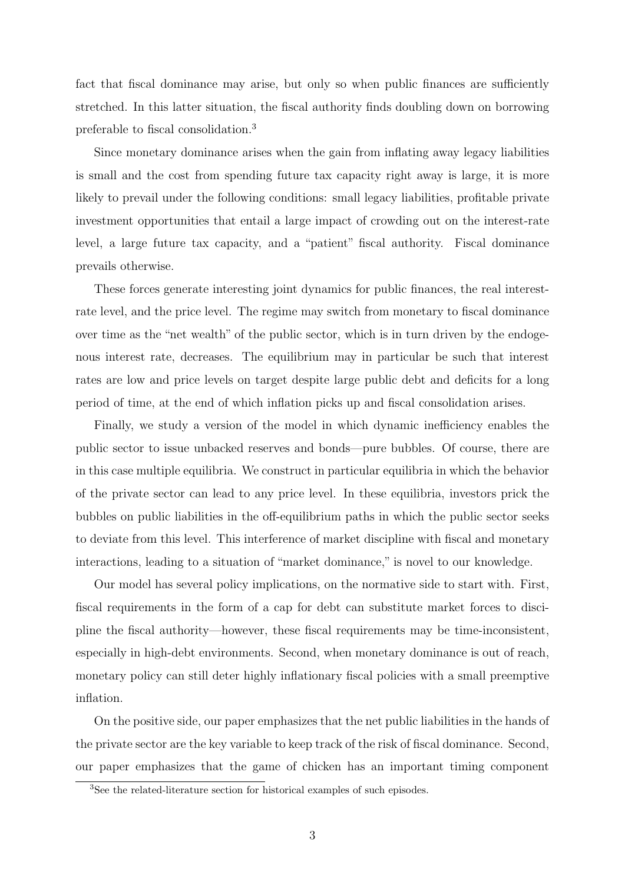fact that fiscal dominance may arise, but only so when public finances are sufficiently stretched. In this latter situation, the fiscal authority finds doubling down on borrowing preferable to fiscal consolidation.<sup>3</sup>

Since monetary dominance arises when the gain from inflating away legacy liabilities is small and the cost from spending future tax capacity right away is large, it is more likely to prevail under the following conditions: small legacy liabilities, profitable private investment opportunities that entail a large impact of crowding out on the interest-rate level, a large future tax capacity, and a "patient" fiscal authority. Fiscal dominance prevails otherwise.

These forces generate interesting joint dynamics for public finances, the real interestrate level, and the price level. The regime may switch from monetary to fiscal dominance over time as the "net wealth" of the public sector, which is in turn driven by the endogenous interest rate, decreases. The equilibrium may in particular be such that interest rates are low and price levels on target despite large public debt and deficits for a long period of time, at the end of which inflation picks up and fiscal consolidation arises.

Finally, we study a version of the model in which dynamic inefficiency enables the public sector to issue unbacked reserves and bonds—pure bubbles. Of course, there are in this case multiple equilibria. We construct in particular equilibria in which the behavior of the private sector can lead to any price level. In these equilibria, investors prick the bubbles on public liabilities in the off-equilibrium paths in which the public sector seeks to deviate from this level. This interference of market discipline with fiscal and monetary interactions, leading to a situation of "market dominance," is novel to our knowledge.

Our model has several policy implications, on the normative side to start with. First, fiscal requirements in the form of a cap for debt can substitute market forces to discipline the fiscal authority—however, these fiscal requirements may be time-inconsistent, especially in high-debt environments. Second, when monetary dominance is out of reach, monetary policy can still deter highly inflationary fiscal policies with a small preemptive inflation.

On the positive side, our paper emphasizes that the net public liabilities in the hands of the private sector are the key variable to keep track of the risk of fiscal dominance. Second, our paper emphasizes that the game of chicken has an important timing component

<sup>3</sup>See the related-literature section for historical examples of such episodes.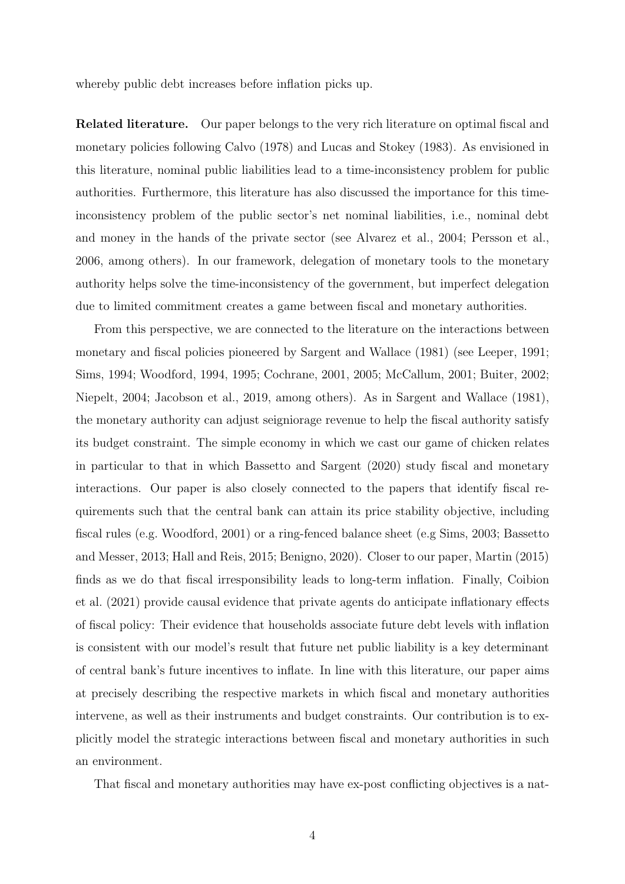whereby public debt increases before inflation picks up.

Related literature. Our paper belongs to the very rich literature on optimal fiscal and monetary policies following Calvo (1978) and Lucas and Stokey (1983). As envisioned in this literature, nominal public liabilities lead to a time-inconsistency problem for public authorities. Furthermore, this literature has also discussed the importance for this timeinconsistency problem of the public sector's net nominal liabilities, i.e., nominal debt and money in the hands of the private sector (see Alvarez et al., 2004; Persson et al., 2006, among others). In our framework, delegation of monetary tools to the monetary authority helps solve the time-inconsistency of the government, but imperfect delegation due to limited commitment creates a game between fiscal and monetary authorities.

From this perspective, we are connected to the literature on the interactions between monetary and fiscal policies pioneered by Sargent and Wallace (1981) (see Leeper, 1991; Sims, 1994; Woodford, 1994, 1995; Cochrane, 2001, 2005; McCallum, 2001; Buiter, 2002; Niepelt, 2004; Jacobson et al., 2019, among others). As in Sargent and Wallace (1981), the monetary authority can adjust seigniorage revenue to help the fiscal authority satisfy its budget constraint. The simple economy in which we cast our game of chicken relates in particular to that in which Bassetto and Sargent (2020) study fiscal and monetary interactions. Our paper is also closely connected to the papers that identify fiscal requirements such that the central bank can attain its price stability objective, including fiscal rules (e.g. Woodford, 2001) or a ring-fenced balance sheet (e.g Sims, 2003; Bassetto and Messer, 2013; Hall and Reis, 2015; Benigno, 2020). Closer to our paper, Martin (2015) finds as we do that fiscal irresponsibility leads to long-term inflation. Finally, Coibion et al. (2021) provide causal evidence that private agents do anticipate inflationary effects of fiscal policy: Their evidence that households associate future debt levels with inflation is consistent with our model's result that future net public liability is a key determinant of central bank's future incentives to inflate. In line with this literature, our paper aims at precisely describing the respective markets in which fiscal and monetary authorities intervene, as well as their instruments and budget constraints. Our contribution is to explicitly model the strategic interactions between fiscal and monetary authorities in such an environment.

That fiscal and monetary authorities may have ex-post conflicting objectives is a nat-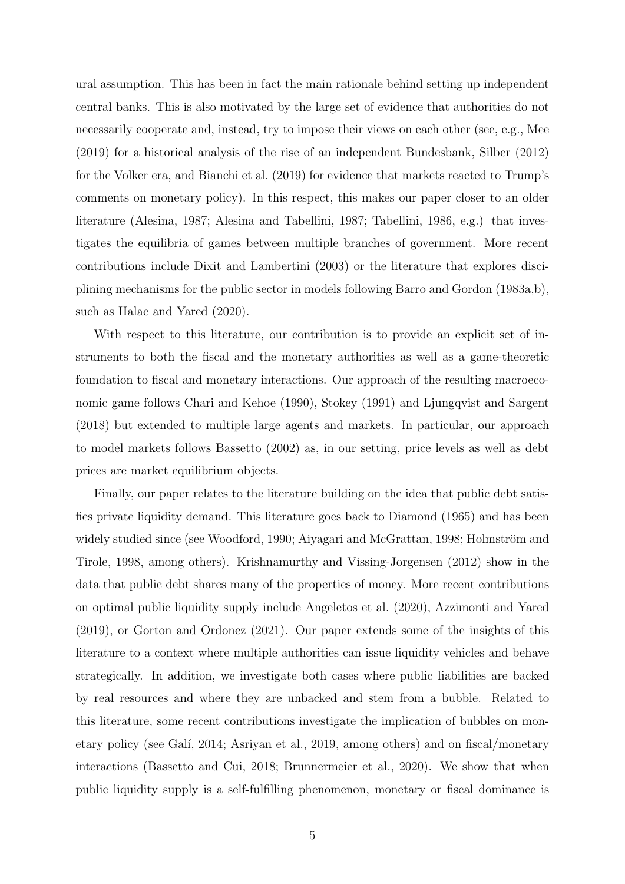ural assumption. This has been in fact the main rationale behind setting up independent central banks. This is also motivated by the large set of evidence that authorities do not necessarily cooperate and, instead, try to impose their views on each other (see, e.g., Mee (2019) for a historical analysis of the rise of an independent Bundesbank, Silber (2012) for the Volker era, and Bianchi et al. (2019) for evidence that markets reacted to Trump's comments on monetary policy). In this respect, this makes our paper closer to an older literature (Alesina, 1987; Alesina and Tabellini, 1987; Tabellini, 1986, e.g.) that investigates the equilibria of games between multiple branches of government. More recent contributions include Dixit and Lambertini (2003) or the literature that explores disciplining mechanisms for the public sector in models following Barro and Gordon (1983a,b), such as Halac and Yared (2020).

With respect to this literature, our contribution is to provide an explicit set of instruments to both the fiscal and the monetary authorities as well as a game-theoretic foundation to fiscal and monetary interactions. Our approach of the resulting macroeconomic game follows Chari and Kehoe (1990), Stokey (1991) and Ljungqvist and Sargent (2018) but extended to multiple large agents and markets. In particular, our approach to model markets follows Bassetto (2002) as, in our setting, price levels as well as debt prices are market equilibrium objects.

Finally, our paper relates to the literature building on the idea that public debt satisfies private liquidity demand. This literature goes back to Diamond (1965) and has been widely studied since (see Woodford, 1990; Aiyagari and McGrattan, 1998; Holmström and Tirole, 1998, among others). Krishnamurthy and Vissing-Jorgensen (2012) show in the data that public debt shares many of the properties of money. More recent contributions on optimal public liquidity supply include Angeletos et al. (2020), Azzimonti and Yared (2019), or Gorton and Ordonez (2021). Our paper extends some of the insights of this literature to a context where multiple authorities can issue liquidity vehicles and behave strategically. In addition, we investigate both cases where public liabilities are backed by real resources and where they are unbacked and stem from a bubble. Related to this literature, some recent contributions investigate the implication of bubbles on monetary policy (see Galí, 2014; Asriyan et al., 2019, among others) and on fiscal/monetary interactions (Bassetto and Cui, 2018; Brunnermeier et al., 2020). We show that when public liquidity supply is a self-fulfilling phenomenon, monetary or fiscal dominance is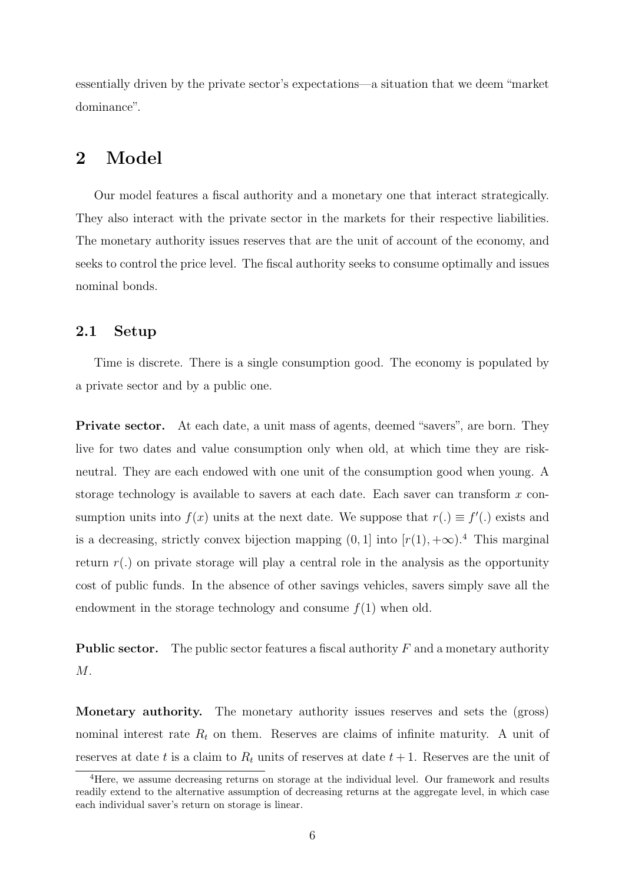essentially driven by the private sector's expectations—a situation that we deem "market dominance".

## 2 Model

Our model features a fiscal authority and a monetary one that interact strategically. They also interact with the private sector in the markets for their respective liabilities. The monetary authority issues reserves that are the unit of account of the economy, and seeks to control the price level. The fiscal authority seeks to consume optimally and issues nominal bonds.

### 2.1 Setup

Time is discrete. There is a single consumption good. The economy is populated by a private sector and by a public one.

Private sector. At each date, a unit mass of agents, deemed "savers", are born. They live for two dates and value consumption only when old, at which time they are riskneutral. They are each endowed with one unit of the consumption good when young. A storage technology is available to savers at each date. Each saver can transform  $x$  consumption units into  $f(x)$  units at the next date. We suppose that  $r(.) \equiv f'(.)$  exists and is a decreasing, strictly convex bijection mapping  $(0, 1]$  into  $[r(1), +\infty)$ .<sup>4</sup> This marginal return  $r(.)$  on private storage will play a central role in the analysis as the opportunity cost of public funds. In the absence of other savings vehicles, savers simply save all the endowment in the storage technology and consume  $f(1)$  when old.

**Public sector.** The public sector features a fiscal authority  $F$  and a monetary authority M.

Monetary authority. The monetary authority issues reserves and sets the (gross) nominal interest rate  $R_t$  on them. Reserves are claims of infinite maturity. A unit of reserves at date t is a claim to  $R_t$  units of reserves at date  $t + 1$ . Reserves are the unit of

<sup>4</sup>Here, we assume decreasing returns on storage at the individual level. Our framework and results readily extend to the alternative assumption of decreasing returns at the aggregate level, in which case each individual saver's return on storage is linear.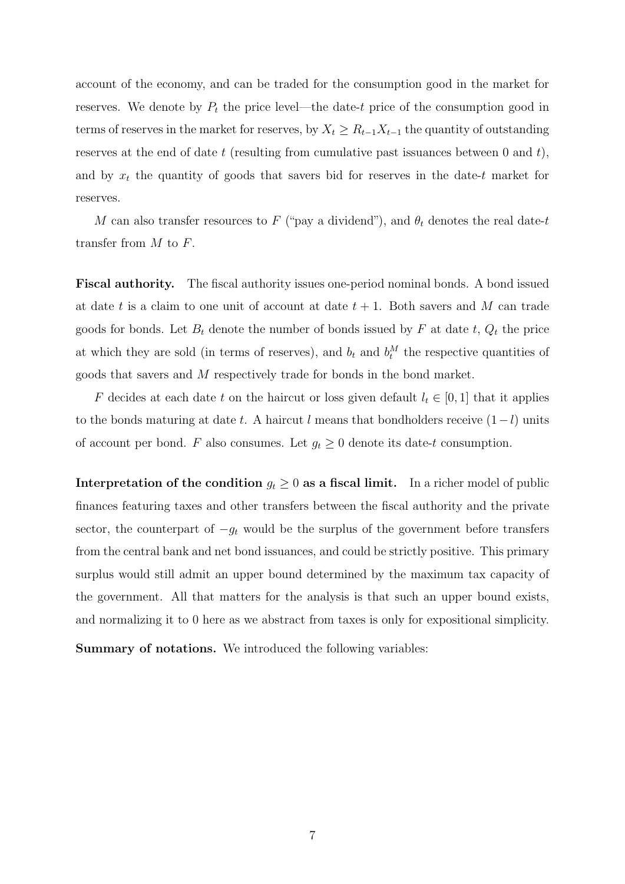account of the economy, and can be traded for the consumption good in the market for reserves. We denote by  $P_t$  the price level—the date-t price of the consumption good in terms of reserves in the market for reserves, by  $X_t \geq R_{t-1}X_{t-1}$  the quantity of outstanding reserves at the end of date  $t$  (resulting from cumulative past issuances between 0 and  $t$ ), and by  $x_t$  the quantity of goods that savers bid for reserves in the date-t market for reserves.

M can also transfer resources to F ("pay a dividend"), and  $\theta_t$  denotes the real date-t transfer from M to F.

Fiscal authority. The fiscal authority issues one-period nominal bonds. A bond issued at date t is a claim to one unit of account at date  $t + 1$ . Both savers and M can trade goods for bonds. Let  $B_t$  denote the number of bonds issued by F at date t,  $Q_t$  the price at which they are sold (in terms of reserves), and  $b_t$  and  $b_t^M$  the respective quantities of goods that savers and M respectively trade for bonds in the bond market.

F decides at each date t on the haircut or loss given default  $l_t \in [0, 1]$  that it applies to the bonds maturing at date t. A haircut l means that bondholders receive  $(1-l)$  units of account per bond. F also consumes. Let  $g_t \geq 0$  denote its date-t consumption.

Interpretation of the condition  $g_t \geq 0$  as a fiscal limit. In a richer model of public finances featuring taxes and other transfers between the fiscal authority and the private sector, the counterpart of  $-g_t$  would be the surplus of the government before transfers from the central bank and net bond issuances, and could be strictly positive. This primary surplus would still admit an upper bound determined by the maximum tax capacity of the government. All that matters for the analysis is that such an upper bound exists, and normalizing it to 0 here as we abstract from taxes is only for expositional simplicity.

Summary of notations. We introduced the following variables: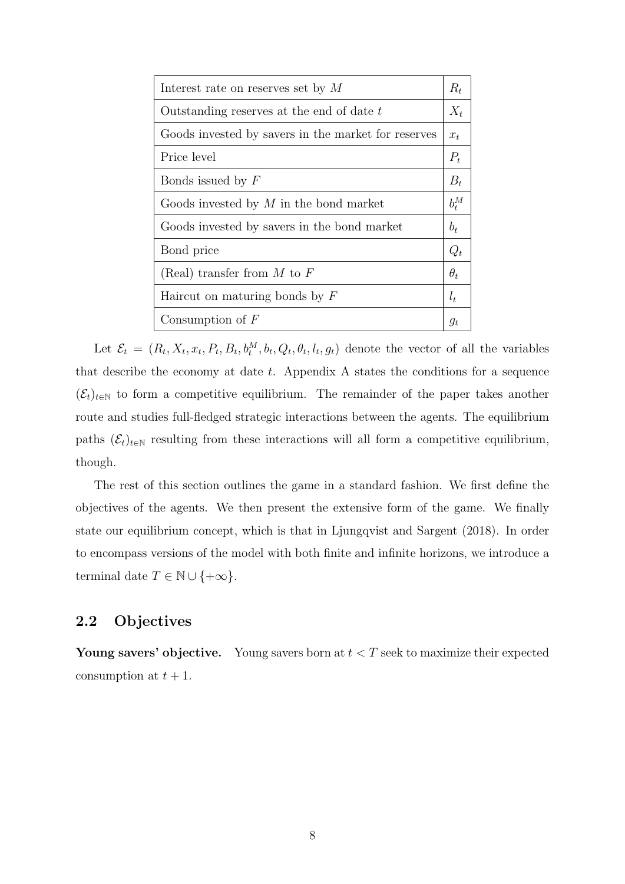| Interest rate on reserves set by $M$                | $R_t$      |
|-----------------------------------------------------|------------|
| Outstanding reserves at the end of date t           | $X_t$      |
| Goods invested by savers in the market for reserves | $x_t$      |
| Price level                                         | $P_t$      |
| Bonds issued by $F$                                 | $B_t$      |
| Goods invested by $M$ in the bond market            | $b_t^M$    |
| Goods invested by savers in the bond market         | $b_t$      |
| Bond price                                          | $Q_t$      |
| (Real) transfer from $M$ to $F$                     | $\theta_t$ |
| Haircut on maturing bonds by $F$                    | $l_t$      |
| Consumption of $F$                                  | $g_t$      |

Let  $\mathcal{E}_t = (R_t, X_t, x_t, P_t, B_t, b_t^M, b_t, Q_t, \theta_t, l_t, g_t)$  denote the vector of all the variables that describe the economy at date  $t$ . Appendix A states the conditions for a sequence  $(\mathcal{E}_t)_{t\in\mathbb{N}}$  to form a competitive equilibrium. The remainder of the paper takes another route and studies full-fledged strategic interactions between the agents. The equilibrium paths  $(\mathcal{E}_t)_{t \in \mathbb{N}}$  resulting from these interactions will all form a competitive equilibrium, though.

The rest of this section outlines the game in a standard fashion. We first define the objectives of the agents. We then present the extensive form of the game. We finally state our equilibrium concept, which is that in Ljungqvist and Sargent (2018). In order to encompass versions of the model with both finite and infinite horizons, we introduce a terminal date  $T \in \mathbb{N} \cup \{+\infty\}.$ 

## 2.2 Objectives

Young savers' objective. Young savers born at  $t < T$  seek to maximize their expected consumption at  $t + 1$ .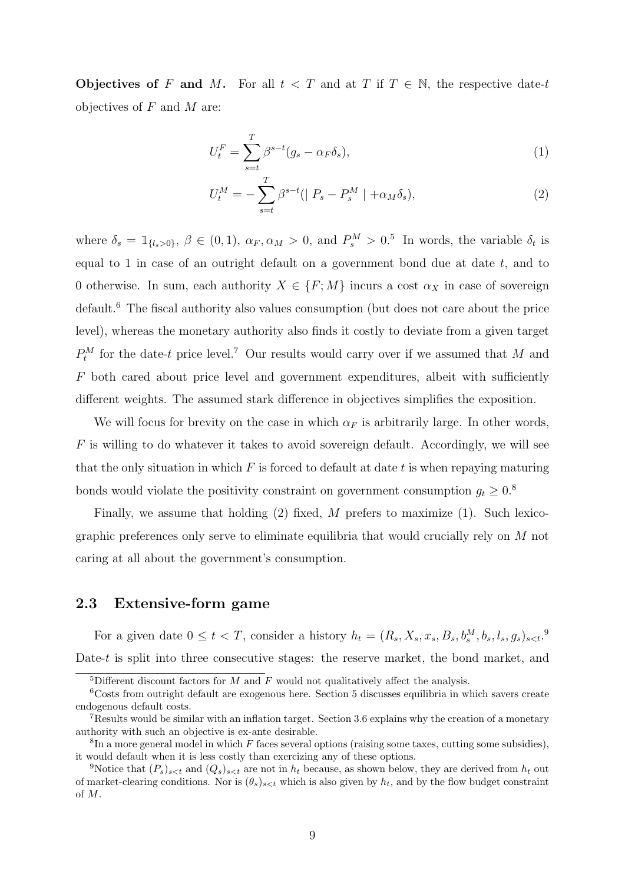Objectives of F and M. For all  $t < T$  and at T if  $T \in \mathbb{N}$ , the respective date-t objectives of  $F$  and  $M$  are:

$$
U_t^F = \sum_{s=t}^T \beta^{s-t} (g_s - \alpha_F \delta_s), \tag{1}
$$

$$
U_t^M = -\sum_{s=t}^T \beta^{s-t} (|P_s - P_s^M| + \alpha_M \delta_s), \tag{2}
$$

where  $\delta_s = \mathbb{1}_{\{l_s > 0\}}, \ \beta \in (0, 1), \ \alpha_F, \alpha_M > 0, \text{ and } P_s^M > 0$ .<sup>5</sup> In words, the variable  $\delta_t$  is equal to 1 in case of an outright default on a government bond due at date  $t$ , and to 0 otherwise. In sum, each authority  $X \in \{F; M\}$  incurs a cost  $\alpha_X$  in case of sovereign default.<sup>6</sup> The fiscal authority also values consumption (but does not care about the price level), whereas the monetary authority also finds it costly to deviate from a given target  $P_t^M$  for the date-t price level.<sup>7</sup> Our results would carry over if we assumed that M and F both cared about price level and government expenditures, albeit with sufficiently different weights. The assumed stark difference in objectives simplifies the exposition.

We will focus for brevity on the case in which  $\alpha_F$  is arbitrarily large. In other words,  $F$  is willing to do whatever it takes to avoid sovereign default. Accordingly, we will see that the only situation in which  $F$  is forced to default at date  $t$  is when repaying maturing bonds would violate the positivity constraint on government consumption  $g_t \geq 0.8$ 

Finally, we assume that holding  $(2)$  fixed, M prefers to maximize  $(1)$ . Such lexicographic preferences only serve to eliminate equilibria that would crucially rely on M not caring at all about the government's consumption.

### 2.3 Extensive-form game

For a given date  $0 \le t < T$ , consider a history  $h_t = (R_s, X_s, x_s, B_s, b_s^M, b_s, l_s, g_s)_{s < t}$ .<sup>9</sup> Date- $t$  is split into three consecutive stages: the reserve market, the bond market, and

<sup>&</sup>lt;sup>5</sup>Different discount factors for  $M$  and  $F$  would not qualitatively affect the analysis.

<sup>6</sup>Costs from outright default are exogenous here. Section 5 discusses equilibria in which savers create endogenous default costs.

<sup>7</sup>Results would be similar with an inflation target. Section 3.6 explains why the creation of a monetary authority with such an objective is ex-ante desirable.

 ${}^{8}$ In a more general model in which F faces several options (raising some taxes, cutting some subsidies), it would default when it is less costly than exercizing any of these options.

<sup>&</sup>lt;sup>9</sup>Notice that  $(P_s)_{s \le t}$  and  $(Q_s)_{s \le t}$  are not in  $h_t$  because, as shown below, they are derived from  $h_t$  out of market-clearing conditions. Nor is  $(\theta_s)_{s \leq t}$  which is also given by  $h_t$ , and by the flow budget constraint of M.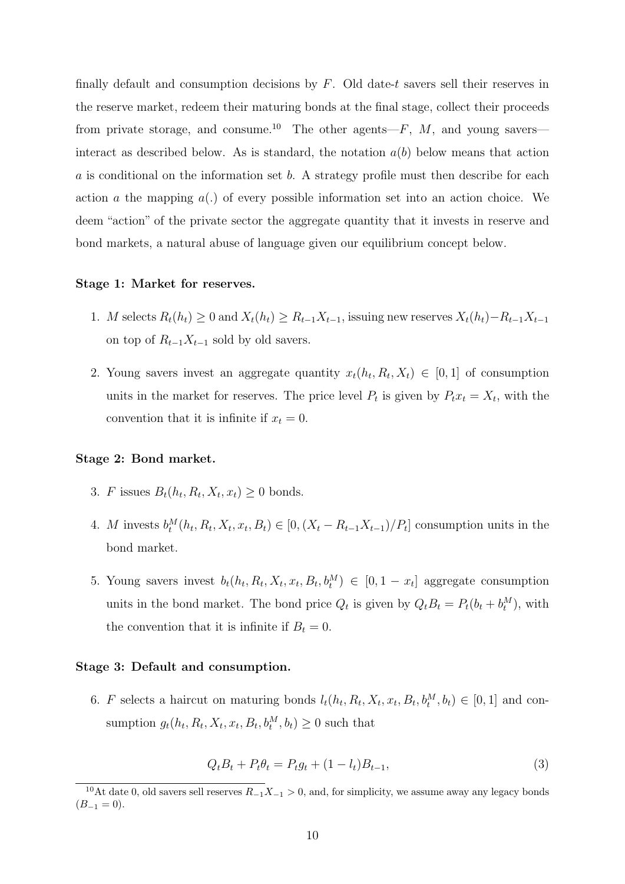finally default and consumption decisions by  $F$ . Old date-t savers sell their reserves in the reserve market, redeem their maturing bonds at the final stage, collect their proceeds from private storage, and consume.<sup>10</sup> The other agents— $F$ ,  $M$ , and young savers interact as described below. As is standard, the notation  $a(b)$  below means that action a is conditional on the information set b. A strategy profile must then describe for each action a the mapping  $a(.)$  of every possible information set into an action choice. We deem "action" of the private sector the aggregate quantity that it invests in reserve and bond markets, a natural abuse of language given our equilibrium concept below.

#### Stage 1: Market for reserves.

- 1. M selects  $R_t(h_t) \geq 0$  and  $X_t(h_t) \geq R_{t-1}X_{t-1}$ , issuing new reserves  $X_t(h_t) R_{t-1}X_{t-1}$ on top of  $R_{t-1}X_{t-1}$  sold by old savers.
- 2. Young savers invest an aggregate quantity  $x_t(h_t, R_t, X_t) \in [0, 1]$  of consumption units in the market for reserves. The price level  $P_t$  is given by  $P_t x_t = X_t$ , with the convention that it is infinite if  $x_t = 0$ .

#### Stage 2: Bond market.

- 3. F issues  $B_t(h_t, R_t, X_t, x_t) \geq 0$  bonds.
- 4. M invests  $b_t^M(h_t, R_t, X_t, x_t, B_t) \in [0, (X_t R_{t-1}X_{t-1})/P_t]$  consumption units in the bond market.
- 5. Young savers invest  $b_t(h_t, R_t, X_t, x_t, B_t, b_t^M) \in [0, 1 x_t]$  aggregate consumption units in the bond market. The bond price  $Q_t$  is given by  $Q_t B_t = P_t(b_t + b_t^M)$ , with the convention that it is infinite if  $B_t = 0$ .

#### Stage 3: Default and consumption.

6. F selects a haircut on maturing bonds  $l_t(h_t, R_t, X_t, x_t, B_t, b_t^M, b_t) \in [0, 1]$  and consumption  $g_t(h_t, R_t, X_t, x_t, B_t, b_t^M, b_t) \geq 0$  such that

$$
Q_t B_t + P_t \theta_t = P_t g_t + (1 - l_t) B_{t-1},
$$
\n(3)

<sup>&</sup>lt;sup>10</sup>At date 0, old savers sell reserves  $R_{-1}X_{-1} > 0$ , and, for simplicity, we assume away any legacy bonds  $(B_{-1} = 0).$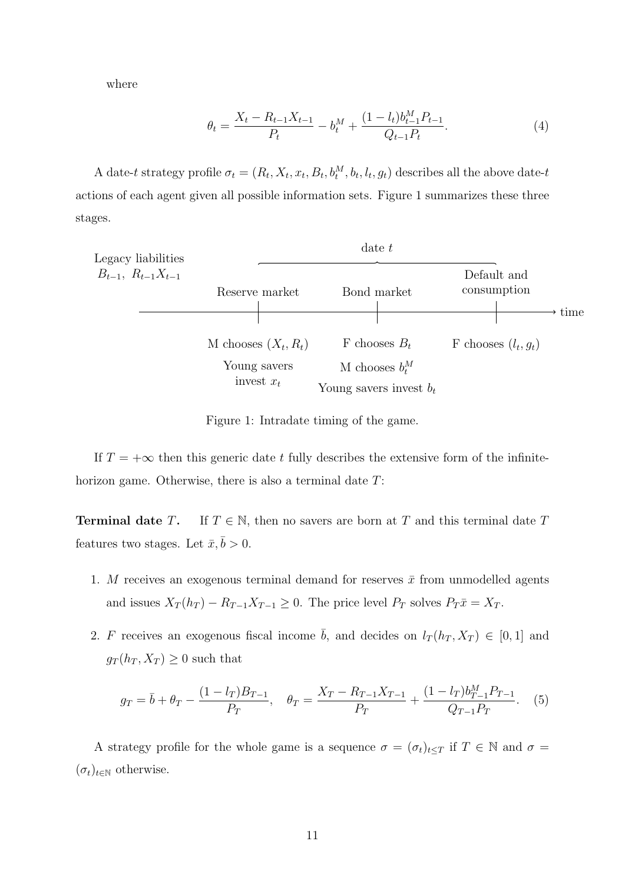where

$$
\theta_t = \frac{X_t - R_{t-1}X_{t-1}}{P_t} - b_t^M + \frac{(1 - l_t)b_{t-1}^M P_{t-1}}{Q_{t-1}P_t}.
$$
\n
$$
(4)
$$

A date-t strategy profile  $\sigma_t = (R_t, X_t, x_t, B_t, b_t^M, b_t, l_t, g_t)$  describes all the above date-t actions of each agent given all possible information sets. Figure 1 summarizes these three stages.



Figure 1: Intradate timing of the game.

If  $T = +\infty$  then this generic date t fully describes the extensive form of the infinitehorizon game. Otherwise, there is also a terminal date  $T$ :

**Terminal date T.** If  $T \in \mathbb{N}$ , then no savers are born at T and this terminal date T features two stages. Let  $\bar{x}, \bar{b} > 0$ .

- 1. M receives an exogenous terminal demand for reserves  $\bar{x}$  from unmodelled agents and issues  $X_T(h_T) - R_{T-1}X_{T-1} \geq 0$ . The price level  $P_T$  solves  $P_T\bar{x} = X_T$ .
- 2. F receives an exogenous fiscal income  $\bar{b}$ , and decides on  $l_T(h_T, X_T) \in [0, 1]$  and  $g_T(h_T, X_T) \geq 0$  such that

$$
g_T = \bar{b} + \theta_T - \frac{(1 - l_T)B_{T-1}}{P_T}, \quad \theta_T = \frac{X_T - R_{T-1}X_{T-1}}{P_T} + \frac{(1 - l_T)b_{T-1}^M P_{T-1}}{Q_{T-1}P_T}.
$$
 (5)

A strategy profile for the whole game is a sequence  $\sigma = (\sigma_t)_{t \leq T}$  if  $T \in \mathbb{N}$  and  $\sigma =$  $(\sigma_t)_{t\in\mathbb{N}}$  otherwise.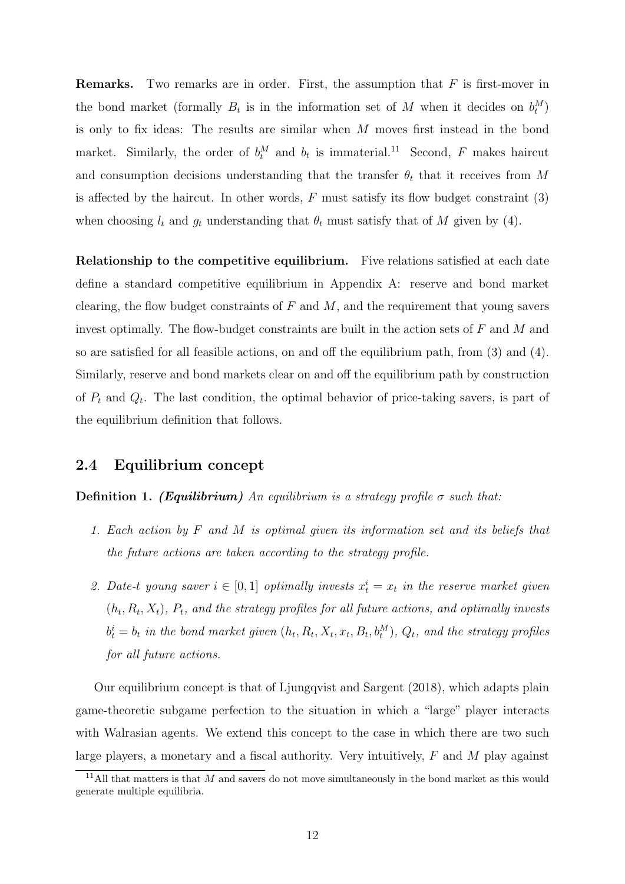**Remarks.** Two remarks are in order. First, the assumption that  $F$  is first-mover in the bond market (formally  $B_t$  is in the information set of M when it decides on  $b_t^M$ ) is only to fix ideas: The results are similar when M moves first instead in the bond market. Similarly, the order of  $b_t^M$  and  $b_t$  is immaterial.<sup>11</sup> Second, F makes haircut and consumption decisions understanding that the transfer  $\theta_t$  that it receives from M is affected by the haircut. In other words,  $F$  must satisfy its flow budget constraint  $(3)$ when choosing  $l_t$  and  $g_t$  understanding that  $\theta_t$  must satisfy that of M given by (4).

Relationship to the competitive equilibrium. Five relations satisfied at each date define a standard competitive equilibrium in Appendix A: reserve and bond market clearing, the flow budget constraints of  $F$  and  $M$ , and the requirement that young savers invest optimally. The flow-budget constraints are built in the action sets of F and M and so are satisfied for all feasible actions, on and off the equilibrium path, from (3) and (4). Similarly, reserve and bond markets clear on and off the equilibrium path by construction of  $P_t$  and  $Q_t$ . The last condition, the optimal behavior of price-taking savers, is part of the equilibrium definition that follows.

### 2.4 Equilibrium concept

**Definition 1.** (**Equilibrium**) An equilibrium is a strategy profile  $\sigma$  such that:

- 1. Each action by F and M is optimal given its information set and its beliefs that the future actions are taken according to the strategy profile.
- 2. Date-t young saver  $i \in [0,1]$  optimally invests  $x_t^i = x_t$  in the reserve market given  $(h_t, R_t, X_t)$ ,  $P_t$ , and the strategy profiles for all future actions, and optimally invests  $b_t^i = b_t$  in the bond market given  $(h_t, R_t, X_t, x_t, B_t, b_t^M)$ ,  $Q_t$ , and the strategy profiles for all future actions.

Our equilibrium concept is that of Ljungqvist and Sargent (2018), which adapts plain game-theoretic subgame perfection to the situation in which a "large" player interacts with Walrasian agents. We extend this concept to the case in which there are two such large players, a monetary and a fiscal authority. Very intuitively,  $F$  and  $M$  play against

<sup>&</sup>lt;sup>11</sup>All that matters is that  $M$  and savers do not move simultaneously in the bond market as this would generate multiple equilibria.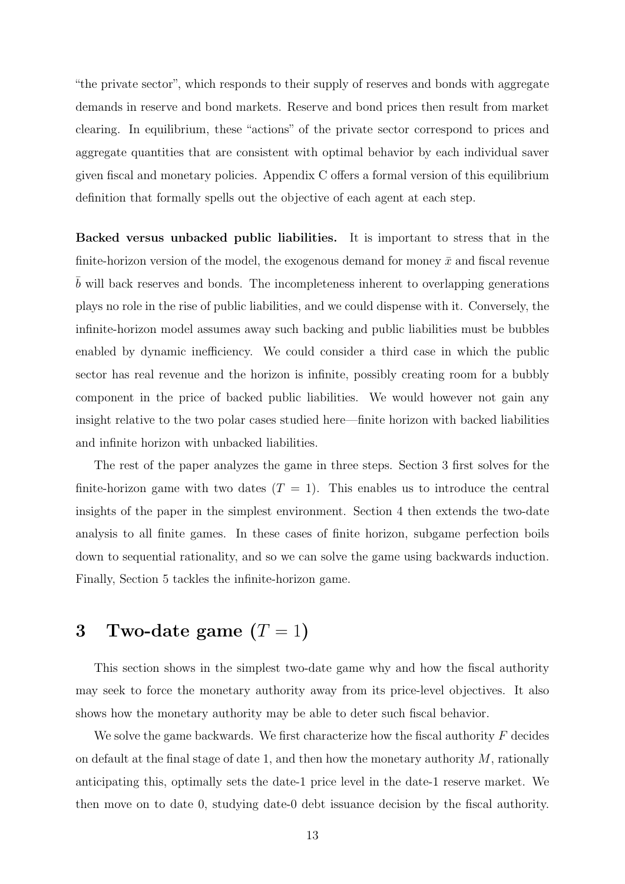"the private sector", which responds to their supply of reserves and bonds with aggregate demands in reserve and bond markets. Reserve and bond prices then result from market clearing. In equilibrium, these "actions" of the private sector correspond to prices and aggregate quantities that are consistent with optimal behavior by each individual saver given fiscal and monetary policies. Appendix C offers a formal version of this equilibrium definition that formally spells out the objective of each agent at each step.

Backed versus unbacked public liabilities. It is important to stress that in the finite-horizon version of the model, the exogenous demand for money  $\bar{x}$  and fiscal revenue b will back reserves and bonds. The incompleteness inherent to overlapping generations plays no role in the rise of public liabilities, and we could dispense with it. Conversely, the infinite-horizon model assumes away such backing and public liabilities must be bubbles enabled by dynamic inefficiency. We could consider a third case in which the public sector has real revenue and the horizon is infinite, possibly creating room for a bubbly component in the price of backed public liabilities. We would however not gain any insight relative to the two polar cases studied here—finite horizon with backed liabilities and infinite horizon with unbacked liabilities.

The rest of the paper analyzes the game in three steps. Section 3 first solves for the finite-horizon game with two dates  $(T = 1)$ . This enables us to introduce the central insights of the paper in the simplest environment. Section 4 then extends the two-date analysis to all finite games. In these cases of finite horizon, subgame perfection boils down to sequential rationality, and so we can solve the game using backwards induction. Finally, Section 5 tackles the infinite-horizon game.

# 3 Two-date game  $(T = 1)$

This section shows in the simplest two-date game why and how the fiscal authority may seek to force the monetary authority away from its price-level objectives. It also shows how the monetary authority may be able to deter such fiscal behavior.

We solve the game backwards. We first characterize how the fiscal authority  $F$  decides on default at the final stage of date 1, and then how the monetary authority  $M$ , rationally anticipating this, optimally sets the date-1 price level in the date-1 reserve market. We then move on to date 0, studying date-0 debt issuance decision by the fiscal authority.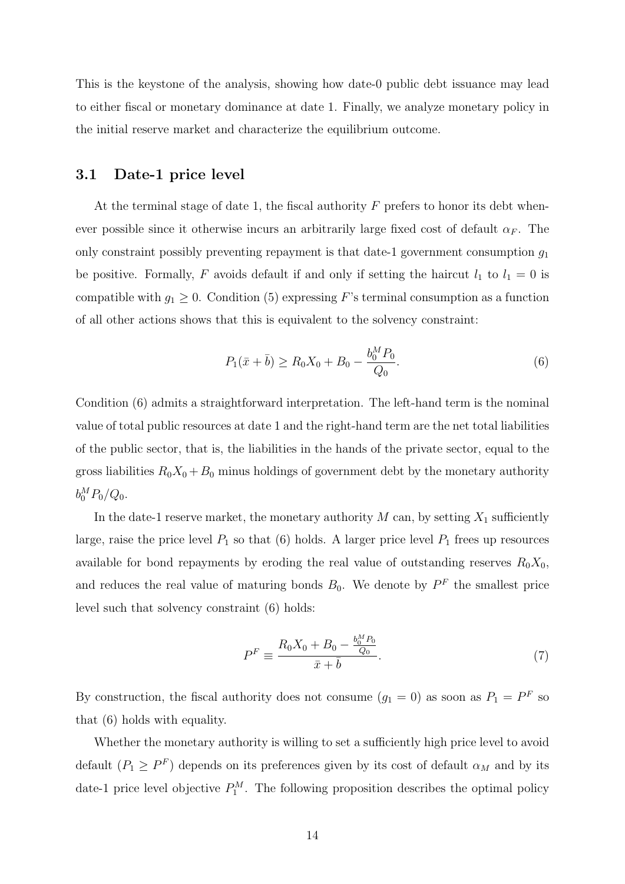This is the keystone of the analysis, showing how date-0 public debt issuance may lead to either fiscal or monetary dominance at date 1. Finally, we analyze monetary policy in the initial reserve market and characterize the equilibrium outcome.

#### 3.1 Date-1 price level

At the terminal stage of date 1, the fiscal authority  $F$  prefers to honor its debt whenever possible since it otherwise incurs an arbitrarily large fixed cost of default  $\alpha_F$ . The only constraint possibly preventing repayment is that date-1 government consumption  $g_1$ be positive. Formally, F avoids default if and only if setting the haircut  $l_1$  to  $l_1 = 0$  is compatible with  $g_1 \geq 0$ . Condition (5) expressing F's terminal consumption as a function of all other actions shows that this is equivalent to the solvency constraint:

$$
P_1(\bar{x} + \bar{b}) \ge R_0 X_0 + B_0 - \frac{b_0^M P_0}{Q_0}.
$$
\n<sup>(6)</sup>

Condition (6) admits a straightforward interpretation. The left-hand term is the nominal value of total public resources at date 1 and the right-hand term are the net total liabilities of the public sector, that is, the liabilities in the hands of the private sector, equal to the gross liabilities  $R_0X_0 + B_0$  minus holdings of government debt by the monetary authority  $b_0^M P_0/Q_0.$ 

In the date-1 reserve market, the monetary authority  $M$  can, by setting  $X_1$  sufficiently large, raise the price level  $P_1$  so that (6) holds. A larger price level  $P_1$  frees up resources available for bond repayments by eroding the real value of outstanding reserves  $R_0X_0$ , and reduces the real value of maturing bonds  $B_0$ . We denote by  $P<sup>F</sup>$  the smallest price level such that solvency constraint (6) holds:

$$
P^{F} \equiv \frac{R_0 X_0 + B_0 - \frac{b_0^M P_0}{Q_0}}{\bar{x} + \bar{b}}.\tag{7}
$$

By construction, the fiscal authority does not consume  $(g_1 = 0)$  as soon as  $P_1 = P^F$  so that (6) holds with equality.

Whether the monetary authority is willing to set a sufficiently high price level to avoid default  $(P_1 \geq P^F)$  depends on its preferences given by its cost of default  $\alpha_M$  and by its date-1 price level objective  $P_1^M$ . The following proposition describes the optimal policy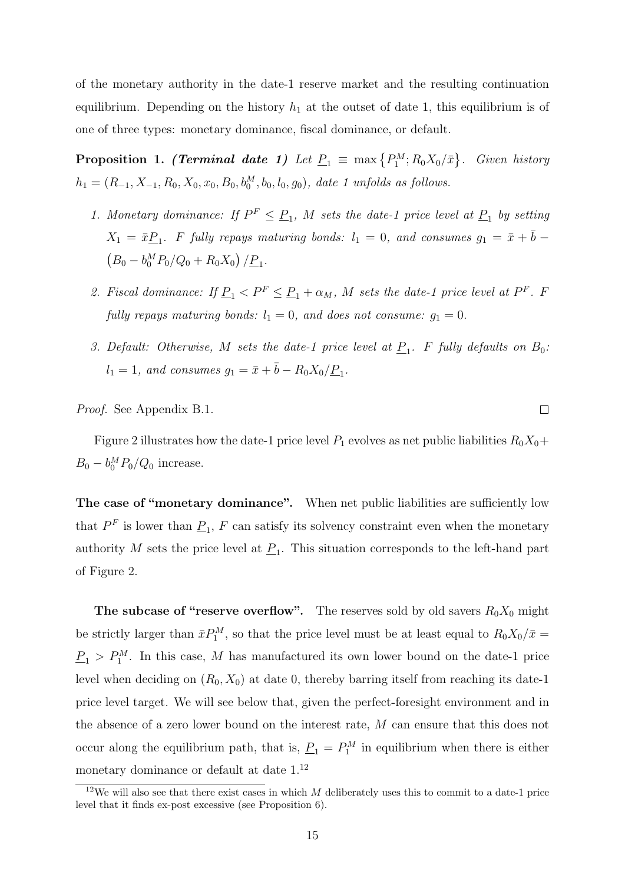of the monetary authority in the date-1 reserve market and the resulting continuation equilibrium. Depending on the history  $h_1$  at the outset of date 1, this equilibrium is of one of three types: monetary dominance, fiscal dominance, or default.

**Proposition 1. (Terminal date 1)** Let  $\underline{P}_1 \equiv \max\left\{P_1^M; R_0X_0/\bar{x}\right\}$ . Given history  $h_1 = (R_{-1}, X_{-1}, R_0, X_0, x_0, B_0, b_0^M, b_0, l_0, g_0)$ , date 1 unfolds as follows.

- 1. Monetary dominance: If  $P^F \leq P_1$ , M sets the date-1 price level at  $P_1$  by setting  $X_1 = \bar{x} \underline{P}_1$ . F fully repays maturing bonds:  $l_1 = 0$ , and consumes  $g_1 = \bar{x} + \bar{b}$  $(B_0 - b_0^M P_0/Q_0 + R_0 X_0) / P_1$ .
- 2. Fiscal dominance: If  $\underline{P}_1 < P^F \leq \underline{P}_1 + \alpha_M$ , M sets the date-1 price level at  $P^F$ . F fully repays maturing bonds:  $l_1 = 0$ , and does not consume:  $g_1 = 0$ .
- 3. Default: Otherwise, M sets the date-1 price level at  $\underline{P}_1$ . F fully defaults on  $B_0$ :  $l_1 = 1$ , and consumes  $g_1 = \bar{x} + \bar{b} - R_0 X_0 / \underline{P}_1$ .

Proof. See Appendix B.1.

Figure 2 illustrates how the date-1 price level  $P_1$  evolves as net public liabilities  $R_0X_0+$  $B_0 - b_0^M P_0/Q_0$  increase.

The case of "monetary dominance". When net public liabilities are sufficiently low that  $P<sup>F</sup>$  is lower than  $\underline{P}_1$ , F can satisfy its solvency constraint even when the monetary authority M sets the price level at  $\underline{P}_1$ . This situation corresponds to the left-hand part of Figure 2.

The subcase of "reserve overflow". The reserves sold by old savers  $R_0X_0$  might be strictly larger than  $\bar{x}P_1^M$ , so that the price level must be at least equal to  $R_0X_0/\bar{x} =$  $P_1 > P_1^M$ . In this case, M has manufactured its own lower bound on the date-1 price level when deciding on  $(R_0, X_0)$  at date 0, thereby barring itself from reaching its date-1 price level target. We will see below that, given the perfect-foresight environment and in the absence of a zero lower bound on the interest rate, M can ensure that this does not occur along the equilibrium path, that is,  $\underline{P}_1 = P_1^M$  in equilibrium when there is either monetary dominance or default at date  $1.^{12}$ 

 $\Box$ 

 $12$ We will also see that there exist cases in which M deliberately uses this to commit to a date-1 price level that it finds ex-post excessive (see Proposition 6).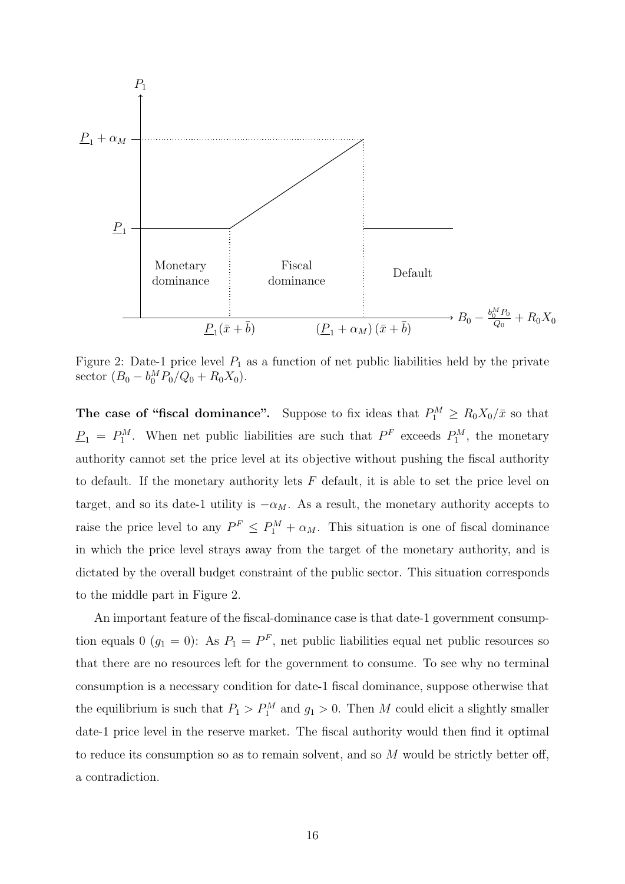

Figure 2: Date-1 price level  $P_1$  as a function of net public liabilities held by the private sector  $(B_0 - b_0^M P_0/Q_0 + R_0 X_0)$ .

The case of "fiscal dominance". Suppose to fix ideas that  $P_1^M \ge R_0 X_0 / \bar{x}$  so that  $\underline{P}_1 = P_1^M$ . When net public liabilities are such that  $P^F$  exceeds  $P_1^M$ , the monetary authority cannot set the price level at its objective without pushing the fiscal authority to default. If the monetary authority lets  $F$  default, it is able to set the price level on target, and so its date-1 utility is  $-\alpha_M$ . As a result, the monetary authority accepts to raise the price level to any  $P^F \leq P_1^M + \alpha_M$ . This situation is one of fiscal dominance in which the price level strays away from the target of the monetary authority, and is dictated by the overall budget constraint of the public sector. This situation corresponds to the middle part in Figure 2.

An important feature of the fiscal-dominance case is that date-1 government consumption equals 0  $(g_1 = 0)$ : As  $P_1 = P^F$ , net public liabilities equal net public resources so that there are no resources left for the government to consume. To see why no terminal consumption is a necessary condition for date-1 fiscal dominance, suppose otherwise that the equilibrium is such that  $P_1 > P_1^M$  and  $g_1 > 0$ . Then M could elicit a slightly smaller date-1 price level in the reserve market. The fiscal authority would then find it optimal to reduce its consumption so as to remain solvent, and so  $M$  would be strictly better off, a contradiction.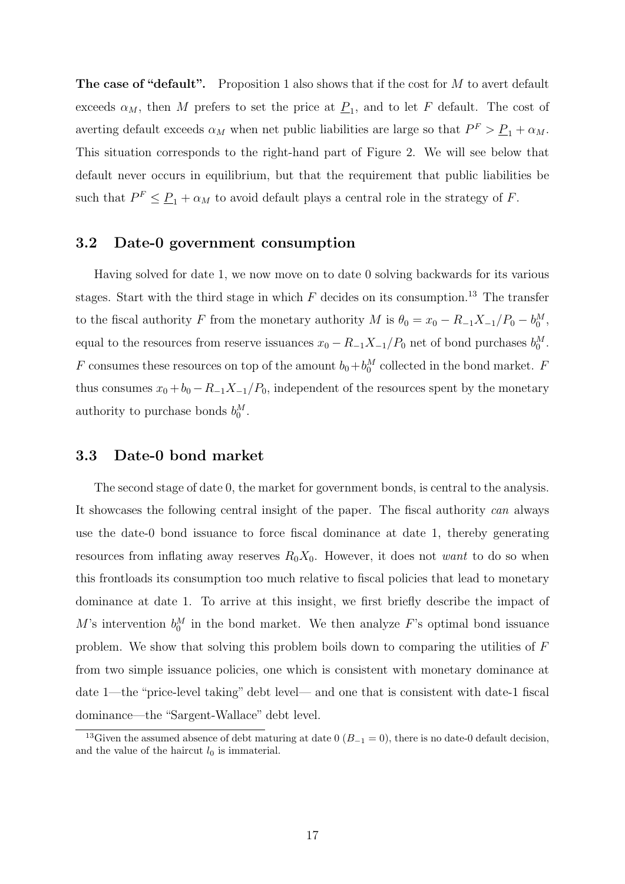The case of "default". Proposition 1 also shows that if the cost for  $M$  to avert default exceeds  $\alpha_M$ , then M prefers to set the price at  $\underline{P}_1$ , and to let F default. The cost of averting default exceeds  $\alpha_M$  when net public liabilities are large so that  $P^F > \underline{P}_1 + \alpha_M$ . This situation corresponds to the right-hand part of Figure 2. We will see below that default never occurs in equilibrium, but that the requirement that public liabilities be such that  $P^F \leq \underline{P}_1 + \alpha_M$  to avoid default plays a central role in the strategy of F.

#### 3.2 Date-0 government consumption

Having solved for date 1, we now move on to date 0 solving backwards for its various stages. Start with the third stage in which  $F$  decides on its consumption.<sup>13</sup> The transfer to the fiscal authority F from the monetary authority M is  $\theta_0 = x_0 - R_{-1}X_{-1}/P_0 - b_0^M$ , equal to the resources from reserve issuances  $x_0 - R_{-1}X_{-1}/P_0$  net of bond purchases  $b_0^M$ . F consumes these resources on top of the amount  $b_0 + b_0^M$  collected in the bond market. F thus consumes  $x_0 + b_0 - R_{-1}X_{-1}/P_0$ , independent of the resources spent by the monetary authority to purchase bonds  $b_0^M$ .

### 3.3 Date-0 bond market

The second stage of date 0, the market for government bonds, is central to the analysis. It showcases the following central insight of the paper. The fiscal authority can always use the date-0 bond issuance to force fiscal dominance at date 1, thereby generating resources from inflating away reserves  $R_0X_0$ . However, it does not want to do so when this frontloads its consumption too much relative to fiscal policies that lead to monetary dominance at date 1. To arrive at this insight, we first briefly describe the impact of M's intervention  $b_0^M$  in the bond market. We then analyze F's optimal bond issuance problem. We show that solving this problem boils down to comparing the utilities of F from two simple issuance policies, one which is consistent with monetary dominance at date 1—the "price-level taking" debt level— and one that is consistent with date-1 fiscal dominance—the "Sargent-Wallace" debt level.

<sup>&</sup>lt;sup>13</sup>Given the assumed absence of debt maturing at date 0 ( $B_{-1} = 0$ ), there is no date-0 default decision, and the value of the haircut  $l_0$  is immaterial.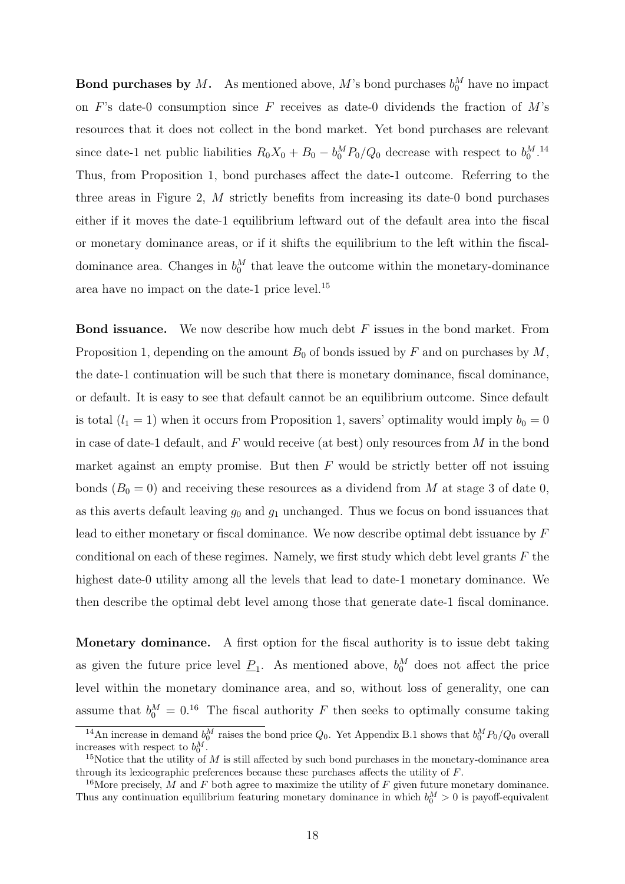**Bond purchases by M.** As mentioned above, M's bond purchases  $b_0^M$  have no impact on F's date-0 consumption since F receives as date-0 dividends the fraction of  $M$ 's resources that it does not collect in the bond market. Yet bond purchases are relevant since date-1 net public liabilities  $R_0X_0 + B_0 - b_0^M P_0/Q_0$  decrease with respect to  $b_0^M$ .<sup>14</sup> Thus, from Proposition 1, bond purchases affect the date-1 outcome. Referring to the three areas in Figure 2, M strictly benefits from increasing its date-0 bond purchases either if it moves the date-1 equilibrium leftward out of the default area into the fiscal or monetary dominance areas, or if it shifts the equilibrium to the left within the fiscaldominance area. Changes in  $b_0^M$  that leave the outcome within the monetary-dominance area have no impact on the date-1 price level.<sup>15</sup>

**Bond issuance.** We now describe how much debt  $F$  issues in the bond market. From Proposition 1, depending on the amount  $B_0$  of bonds issued by F and on purchases by M, the date-1 continuation will be such that there is monetary dominance, fiscal dominance, or default. It is easy to see that default cannot be an equilibrium outcome. Since default is total  $(l_1 = 1)$  when it occurs from Proposition 1, savers' optimality would imply  $b_0 = 0$ in case of date-1 default, and  $F$  would receive (at best) only resources from  $M$  in the bond market against an empty promise. But then  $F$  would be strictly better off not issuing bonds  $(B_0 = 0)$  and receiving these resources as a dividend from M at stage 3 of date 0, as this averts default leaving  $g_0$  and  $g_1$  unchanged. Thus we focus on bond issuances that lead to either monetary or fiscal dominance. We now describe optimal debt issuance by F conditional on each of these regimes. Namely, we first study which debt level grants  $F$  the highest date-0 utility among all the levels that lead to date-1 monetary dominance. We then describe the optimal debt level among those that generate date-1 fiscal dominance.

Monetary dominance. A first option for the fiscal authority is to issue debt taking as given the future price level  $\underline{P}_1$ . As mentioned above,  $b_0^M$  does not affect the price level within the monetary dominance area, and so, without loss of generality, one can assume that  $b_0^M = 0.16$  The fiscal authority F then seeks to optimally consume taking

<sup>&</sup>lt;sup>14</sup>An increase in demand  $b_0^M$  raises the bond price  $Q_0$ . Yet Appendix B.1 shows that  $b_0^M P_0/Q_0$  overall increases with respect to  $b_0^M$ .

<sup>&</sup>lt;sup>15</sup>Notice that the utility of M is still affected by such bond purchases in the monetary-dominance area through its lexicographic preferences because these purchases affects the utility of F.

<sup>&</sup>lt;sup>16</sup>More precisely, M and F both agree to maximize the utility of F given future monetary dominance. Thus any continuation equilibrium featuring monetary dominance in which  $b_0^M > 0$  is payoff-equivalent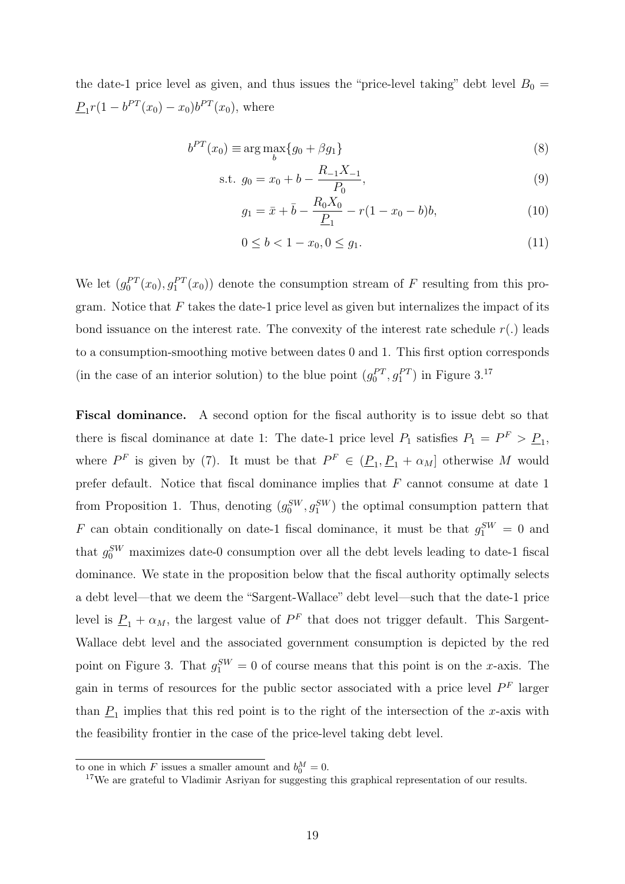the date-1 price level as given, and thus issues the "price-level taking" debt level  $B_0 =$  $\underline{P}_1 r(1 - b^{PT}(x_0) - x_0) b^{PT}(x_0)$ , where

$$
b^{PT}(x_0) \equiv \arg\max_b \{g_0 + \beta g_1\} \tag{8}
$$

s.t. 
$$
g_0 = x_0 + b - \frac{R_{-1}X_{-1}}{P_0}
$$
, (9)

$$
g_1 = \bar{x} + \bar{b} - \frac{R_0 X_0}{\underline{P}_1} - r(1 - x_0 - b)b,\tag{10}
$$

$$
0 \le b < 1 - x_0, \quad 0 \le g_1. \tag{11}
$$

We let  $(g_0^{PT}(x_0), g_1^{PT}(x_0))$  denote the consumption stream of F resulting from this program. Notice that  $F$  takes the date-1 price level as given but internalizes the impact of its bond issuance on the interest rate. The convexity of the interest rate schedule  $r(.)$  leads to a consumption-smoothing motive between dates 0 and 1. This first option corresponds (in the case of an interior solution) to the blue point  $(g_0^{PT}, g_1^{PT})$  in Figure 3.<sup>17</sup>

Fiscal dominance. A second option for the fiscal authority is to issue debt so that there is fiscal dominance at date 1: The date-1 price level  $P_1$  satisfies  $P_1 = P^F > P_1$ , where  $P^F$  is given by (7). It must be that  $P^F \in (\underline{P}_1, \underline{P}_1 + \alpha_M]$  otherwise M would prefer default. Notice that fiscal dominance implies that  $F$  cannot consume at date 1 from Proposition 1. Thus, denoting  $(g_0^{\text{SW}}, g_1^{\text{SW}})$  the optimal consumption pattern that F can obtain conditionally on date-1 fiscal dominance, it must be that  $g_1^{SW} = 0$  and that  $g_0^{SW}$  maximizes date-0 consumption over all the debt levels leading to date-1 fiscal dominance. We state in the proposition below that the fiscal authority optimally selects a debt level—that we deem the "Sargent-Wallace" debt level—such that the date-1 price level is  $\underline{P}_1 + \alpha_M$ , the largest value of  $P^F$  that does not trigger default. This Sargent-Wallace debt level and the associated government consumption is depicted by the red point on Figure 3. That  $g_1^{SW} = 0$  of course means that this point is on the x-axis. The gain in terms of resources for the public sector associated with a price level  $P<sup>F</sup>$  larger than  $\underline{P}_1$  implies that this red point is to the right of the intersection of the x-axis with the feasibility frontier in the case of the price-level taking debt level.

to one in which F issues a smaller amount and  $b_0^M = 0$ .

<sup>&</sup>lt;sup>17</sup>We are grateful to Vladimir Asriyan for suggesting this graphical representation of our results.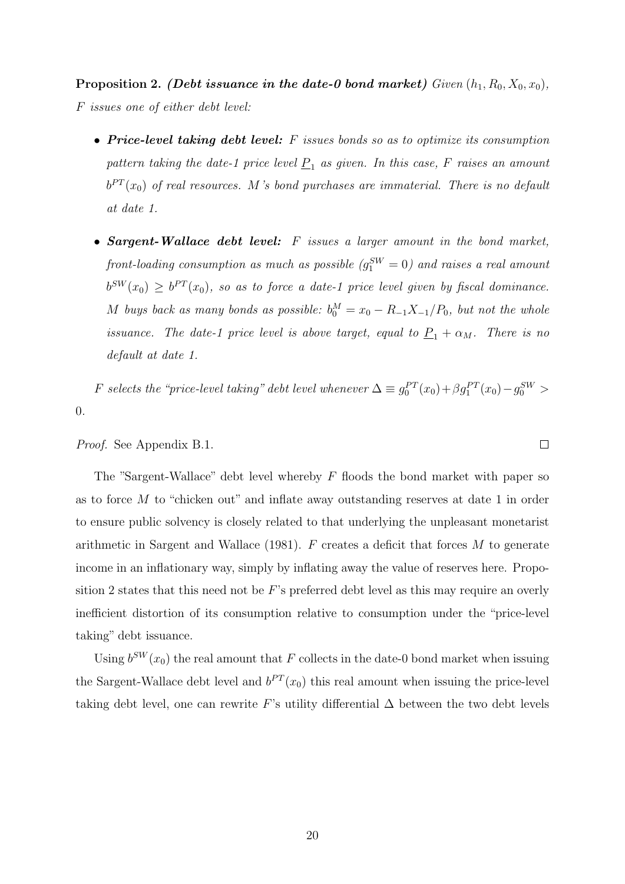Proposition 2. (Debt issuance in the date-0 bond market) Given  $(h_1, R_0, X_0, x_0)$ , F issues one of either debt level:

- Price-level taking debt level:  $F$  issues bonds so as to optimize its consumption pattern taking the date-1 price level  $\underline{P}_1$  as given. In this case, F raises an amount  $b^{PT}(x_0)$  of real resources. M's bond purchases are immaterial. There is no default at date 1.
- Sargent-Wallace debt level: F issues a larger amount in the bond market, front-loading consumption as much as possible  $(g_1^{SW}=0)$  and raises a real amount  $b^{SW}(x_0) \ge b^{PT}(x_0)$ , so as to force a date-1 price level given by fiscal dominance. M buys back as many bonds as possible:  $b_0^M = x_0 - R_{-1}X_{-1}/P_0$ , but not the whole issuance. The date-1 price level is above target, equal to  $\underline{P}_1 + \alpha_M$ . There is no default at date 1.

F selects the "price-level taking" debt level whenever  $\Delta \equiv g_0^{PT}(x_0) + \beta g_1^{PT}(x_0) - g_0^{SW} >$ 0.

Proof. See Appendix B.1.

The "Sargent-Wallace" debt level whereby  $F$  floods the bond market with paper so as to force  $M$  to "chicken out" and inflate away outstanding reserves at date 1 in order to ensure public solvency is closely related to that underlying the unpleasant monetarist arithmetic in Sargent and Wallace (1981).  $F$  creates a deficit that forces  $M$  to generate income in an inflationary way, simply by inflating away the value of reserves here. Proposition 2 states that this need not be  $F$ 's preferred debt level as this may require an overly inefficient distortion of its consumption relative to consumption under the "price-level taking" debt issuance.

Using  $b^{SW}(x_0)$  the real amount that F collects in the date-0 bond market when issuing the Sargent-Wallace debt level and  $b^{PT}(x_0)$  this real amount when issuing the price-level taking debt level, one can rewrite F's utility differential  $\Delta$  between the two debt levels

 $\Box$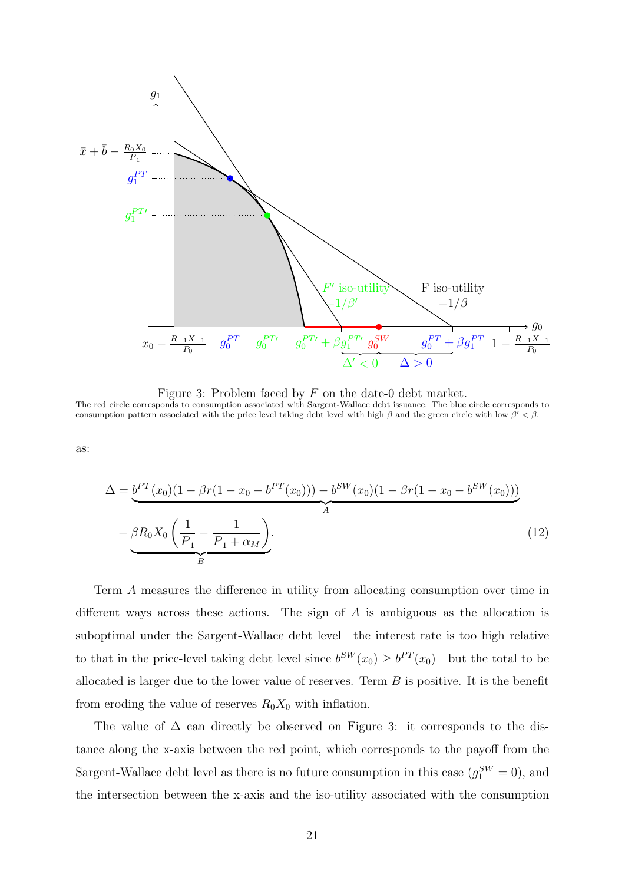

Figure 3: Problem faced by F on the date-0 debt market. The red circle corresponds to consumption associated with Sargent-Wallace debt issuance. The blue circle corresponds to consumption pattern associated with the price level taking debt level with high  $\beta$  and the green circle with low  $\beta' < \beta$ .

as:

$$
\Delta = \underbrace{b^{PT}(x_0)(1 - \beta r(1 - x_0 - b^{PT}(x_0))) - b^{SW}(x_0)(1 - \beta r(1 - x_0 - b^{SW}(x_0)))}_{A}
$$
\n
$$
- \underbrace{\beta R_0 X_0 \left(\frac{1}{P_1} - \frac{1}{P_1 + \alpha_M}\right)}_{B}.
$$
\n(12)

Term A measures the difference in utility from allocating consumption over time in different ways across these actions. The sign of  $A$  is ambiguous as the allocation is suboptimal under the Sargent-Wallace debt level—the interest rate is too high relative to that in the price-level taking debt level since  $b^{SW}(x_0) \geq b^{PT}(x_0)$ —but the total to be allocated is larger due to the lower value of reserves. Term  $B$  is positive. It is the benefit from eroding the value of reserves  $R_0X_0$  with inflation.

The value of  $\Delta$  can directly be observed on Figure 3: it corresponds to the distance along the x-axis between the red point, which corresponds to the payoff from the Sargent-Wallace debt level as there is no future consumption in this case  $(g_1^{SW} = 0)$ , and the intersection between the x-axis and the iso-utility associated with the consumption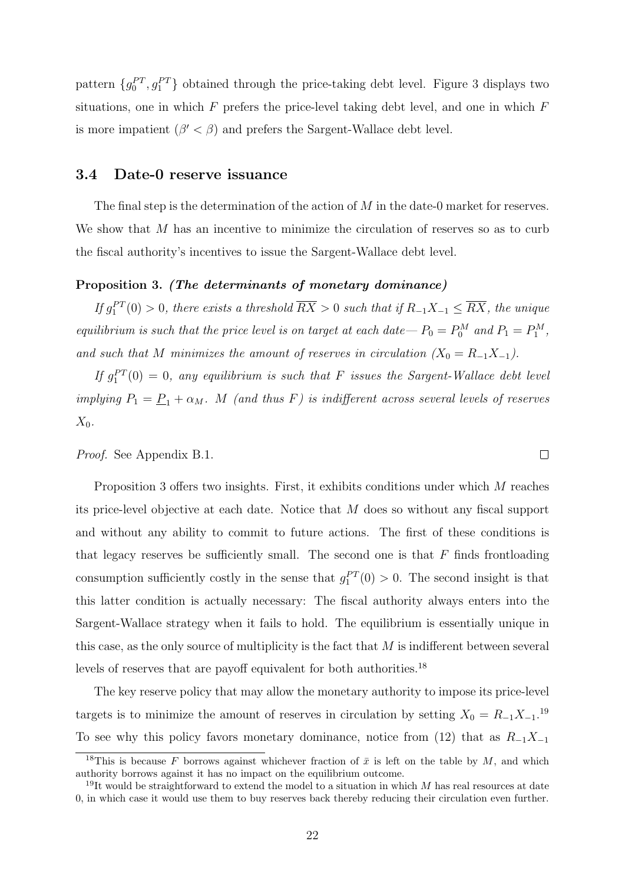pattern  $\{g_0^{PT}, g_1^{PT}\}$  obtained through the price-taking debt level. Figure 3 displays two situations, one in which  $F$  prefers the price-level taking debt level, and one in which  $F$ is more impatient  $(\beta' < \beta)$  and prefers the Sargent-Wallace debt level.

#### 3.4 Date-0 reserve issuance

The final step is the determination of the action of  $M$  in the date-0 market for reserves. We show that  $M$  has an incentive to minimize the circulation of reserves so as to curb the fiscal authority's incentives to issue the Sargent-Wallace debt level.

#### Proposition 3. (The determinants of monetary dominance)

If  $g_1^{PT}(0) > 0$ , there exists a threshold  $\overline{RX} > 0$  such that if  $R_{-1}X_{-1} \leq \overline{RX}$ , the unique equilibrium is such that the price level is on target at each date— $P_0 = P_0^M$  and  $P_1 = P_1^M$ , and such that M minimizes the amount of reserves in circulation  $(X_0 = R_{-1}X_{-1})$ .

If  $g_1^{PT}(0) = 0$ , any equilibrium is such that F issues the Sargent-Wallace debt level implying  $P_1 = \underline{P}_1 + \alpha_M$ . M (and thus F) is indifferent across several levels of reserves  $X_0$ .

Proof. See Appendix B.1.

Proposition 3 offers two insights. First, it exhibits conditions under which M reaches its price-level objective at each date. Notice that M does so without any fiscal support and without any ability to commit to future actions. The first of these conditions is that legacy reserves be sufficiently small. The second one is that  $F$  finds frontloading consumption sufficiently costly in the sense that  $g_1^{PT}(0) > 0$ . The second insight is that this latter condition is actually necessary: The fiscal authority always enters into the Sargent-Wallace strategy when it fails to hold. The equilibrium is essentially unique in this case, as the only source of multiplicity is the fact that  $M$  is indifferent between several levels of reserves that are payoff equivalent for both authorities.<sup>18</sup>

The key reserve policy that may allow the monetary authority to impose its price-level targets is to minimize the amount of reserves in circulation by setting  $X_0 = R_{-1}X_{-1}$ .<sup>19</sup> To see why this policy favors monetary dominance, notice from (12) that as  $R_{-1}X_{-1}$ 

 $\Box$ 

<sup>&</sup>lt;sup>18</sup>This is because F borrows against whichever fraction of  $\bar{x}$  is left on the table by M, and which authority borrows against it has no impact on the equilibrium outcome.

<sup>&</sup>lt;sup>19</sup>It would be straightforward to extend the model to a situation in which  $M$  has real resources at date 0, in which case it would use them to buy reserves back thereby reducing their circulation even further.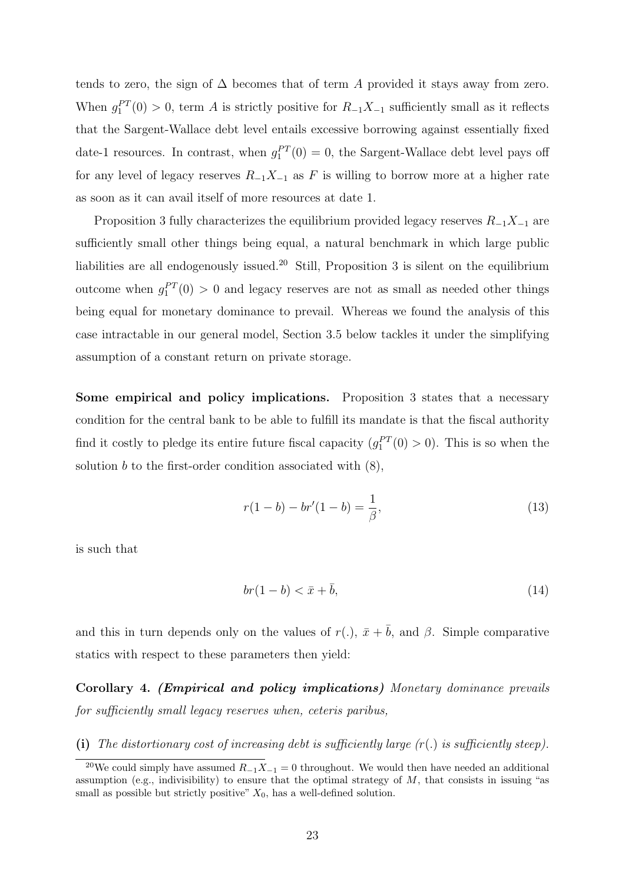tends to zero, the sign of  $\Delta$  becomes that of term A provided it stays away from zero. When  $g_1^{PT}(0) > 0$ , term A is strictly positive for  $R_{-1}X_{-1}$  sufficiently small as it reflects that the Sargent-Wallace debt level entails excessive borrowing against essentially fixed date-1 resources. In contrast, when  $g_1^{PT}(0) = 0$ , the Sargent-Wallace debt level pays off for any level of legacy reserves  $R_{-1}X_{-1}$  as F is willing to borrow more at a higher rate as soon as it can avail itself of more resources at date 1.

Proposition 3 fully characterizes the equilibrium provided legacy reserves  $R_{-1}X_{-1}$  are sufficiently small other things being equal, a natural benchmark in which large public liabilities are all endogenously issued.<sup>20</sup> Still, Proposition 3 is silent on the equilibrium outcome when  $g_1^{PT}(0) > 0$  and legacy reserves are not as small as needed other things being equal for monetary dominance to prevail. Whereas we found the analysis of this case intractable in our general model, Section 3.5 below tackles it under the simplifying assumption of a constant return on private storage.

Some empirical and policy implications. Proposition 3 states that a necessary condition for the central bank to be able to fulfill its mandate is that the fiscal authority find it costly to pledge its entire future fiscal capacity  $(g_1^{PT}(0) > 0)$ . This is so when the solution  $b$  to the first-order condition associated with  $(8)$ ,

$$
r(1-b) - br'(1-b) = \frac{1}{\beta},
$$
\n(13)

is such that

$$
br(1-b) < \bar{x} + \bar{b},\tag{14}
$$

and this in turn depends only on the values of  $r(.)$ ,  $\bar{x} + \bar{b}$ , and  $\beta$ . Simple comparative statics with respect to these parameters then yield:

Corollary 4. (Empirical and policy implications) Monetary dominance prevails for sufficiently small legacy reserves when, ceteris paribus,

(i) The distortionary cost of increasing debt is sufficiently large  $(r)$  is sufficiently steep).

<sup>&</sup>lt;sup>20</sup>We could simply have assumed  $R_{-1}X_{-1} = 0$  throughout. We would then have needed an additional assumption (e.g., indivisibility) to ensure that the optimal strategy of  $M$ , that consists in issuing "as small as possible but strictly positive"  $X_0$ , has a well-defined solution.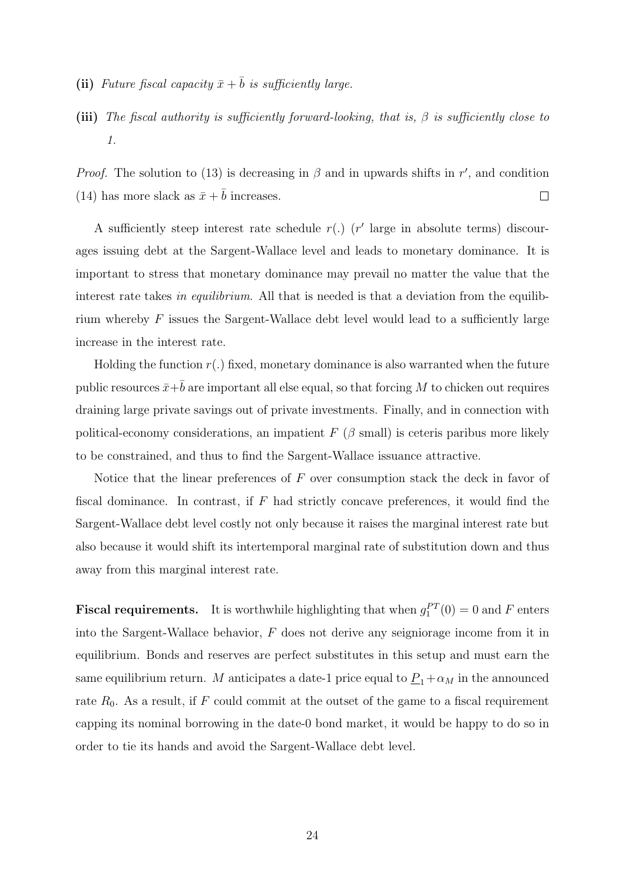- (ii) Future fiscal capacity  $\bar{x}+\bar{b}$  is sufficiently large.
- (iii) The fiscal authority is sufficiently forward-looking, that is,  $\beta$  is sufficiently close to 1.

*Proof.* The solution to (13) is decreasing in  $\beta$  and in upwards shifts in r', and condition (14) has more slack as  $\bar{x} + \bar{b}$  increases.  $\Box$ 

A sufficiently steep interest rate schedule  $r(.)$  ( $r'$  large in absolute terms) discourages issuing debt at the Sargent-Wallace level and leads to monetary dominance. It is important to stress that monetary dominance may prevail no matter the value that the interest rate takes in equilibrium. All that is needed is that a deviation from the equilibrium whereby  $F$  issues the Sargent-Wallace debt level would lead to a sufficiently large increase in the interest rate.

Holding the function  $r(.)$  fixed, monetary dominance is also warranted when the future public resources  $\bar{x}+\bar{b}$  are important all else equal, so that forcing M to chicken out requires draining large private savings out of private investments. Finally, and in connection with political-economy considerations, an impatient  $F$  ( $\beta$  small) is ceteris paribus more likely to be constrained, and thus to find the Sargent-Wallace issuance attractive.

Notice that the linear preferences of  $F$  over consumption stack the deck in favor of fiscal dominance. In contrast, if  $F$  had strictly concave preferences, it would find the Sargent-Wallace debt level costly not only because it raises the marginal interest rate but also because it would shift its intertemporal marginal rate of substitution down and thus away from this marginal interest rate.

**Fiscal requirements.** It is worthwhile highlighting that when  $g_1^{PT}(0) = 0$  and F enters into the Sargent-Wallace behavior, F does not derive any seigniorage income from it in equilibrium. Bonds and reserves are perfect substitutes in this setup and must earn the same equilibrium return. M anticipates a date-1 price equal to  $\underline{P}_1+\alpha_M$  in the announced rate  $R_0$ . As a result, if  $F$  could commit at the outset of the game to a fiscal requirement capping its nominal borrowing in the date-0 bond market, it would be happy to do so in order to tie its hands and avoid the Sargent-Wallace debt level.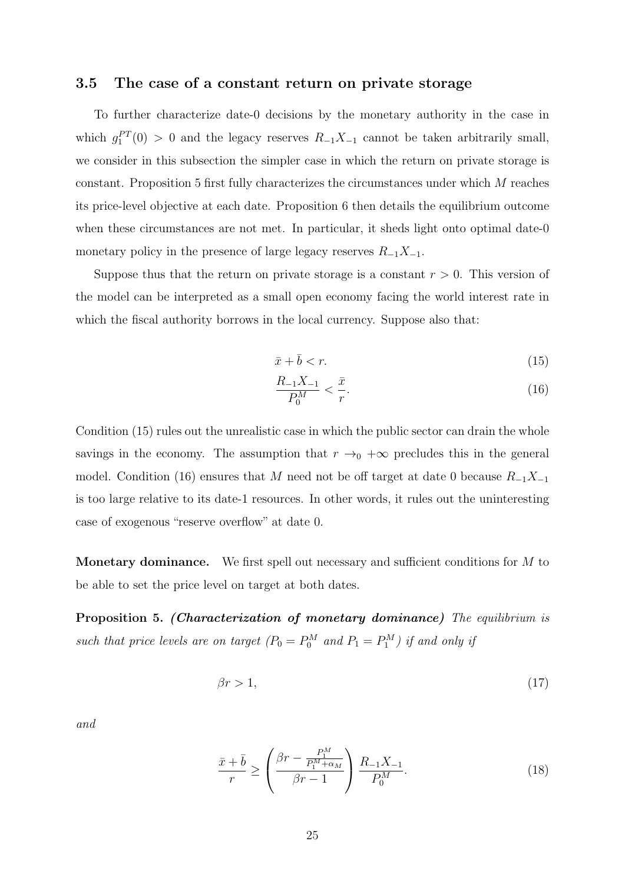### 3.5 The case of a constant return on private storage

To further characterize date-0 decisions by the monetary authority in the case in which  $g_1^{PT}(0) > 0$  and the legacy reserves  $R_{-1}X_{-1}$  cannot be taken arbitrarily small, we consider in this subsection the simpler case in which the return on private storage is constant. Proposition 5 first fully characterizes the circumstances under which M reaches its price-level objective at each date. Proposition 6 then details the equilibrium outcome when these circumstances are not met. In particular, it sheds light onto optimal date-0 monetary policy in the presence of large legacy reserves  $R_{-1}X_{-1}$ .

Suppose thus that the return on private storage is a constant  $r > 0$ . This version of the model can be interpreted as a small open economy facing the world interest rate in which the fiscal authority borrows in the local currency. Suppose also that:

$$
\bar{x} + \bar{b} < r. \tag{15}
$$

$$
\frac{R_{-1}X_{-1}}{P_0^M} < \frac{\bar{x}}{r}.\tag{16}
$$

Condition (15) rules out the unrealistic case in which the public sector can drain the whole savings in the economy. The assumption that  $r \rightarrow_0 +\infty$  precludes this in the general model. Condition (16) ensures that M need not be off target at date 0 because  $R_{-1}X_{-1}$ is too large relative to its date-1 resources. In other words, it rules out the uninteresting case of exogenous "reserve overflow" at date 0.

Monetary dominance. We first spell out necessary and sufficient conditions for M to be able to set the price level on target at both dates.

Proposition 5. (Characterization of monetary dominance) The equilibrium is such that price levels are on target  $(P_0 = P_0^M$  and  $P_1 = P_1^M$ ) if and only if

$$
\beta r > 1,\tag{17}
$$

and

$$
\frac{\bar{x} + \bar{b}}{r} \ge \left(\frac{\beta r - \frac{P_1^M}{P_1^M + \alpha_M}}{\beta r - 1}\right) \frac{R_{-1}X_{-1}}{P_0^M}.
$$
\n(18)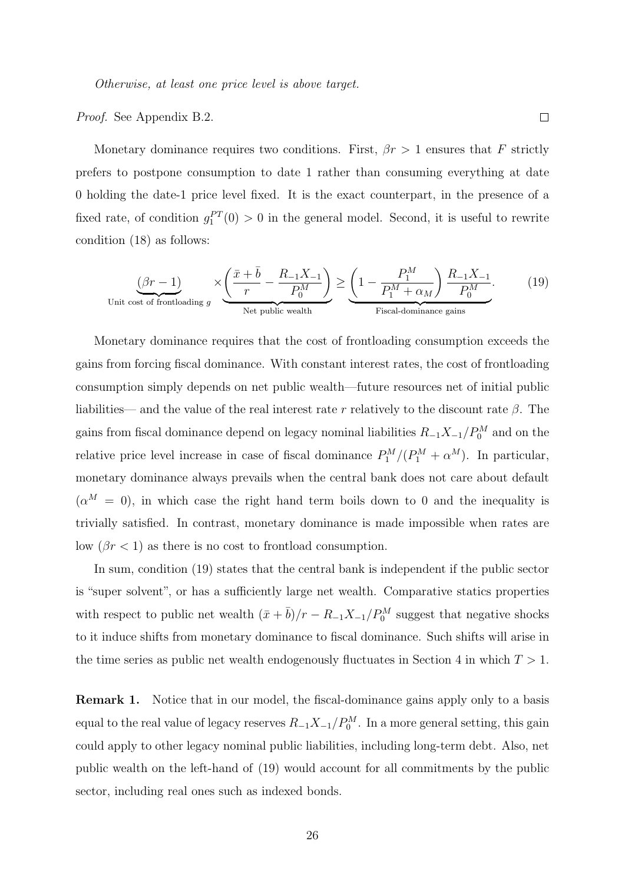Proof. See Appendix B.2.

Monetary dominance requires two conditions. First,  $\beta r > 1$  ensures that F strictly prefers to postpone consumption to date 1 rather than consuming everything at date 0 holding the date-1 price level fixed. It is the exact counterpart, in the presence of a fixed rate, of condition  $g_1^{PT}(0) > 0$  in the general model. Second, it is useful to rewrite condition (18) as follows:

$$
\underbrace{(\beta r - 1)}_{\text{Unit cost of frontloading } g} \times \underbrace{\left(\frac{\bar{x} + \bar{b}}{r} - \frac{R_{-1}X_{-1}}{P_0^M}\right)}_{\text{Net public wealth}} \ge \underbrace{\left(1 - \frac{P_1^M}{P_1^M + \alpha_M}\right) \frac{R_{-1}X_{-1}}{P_0^M}}_{\text{Fiscal-dominance gains}}.\tag{19}
$$

Monetary dominance requires that the cost of frontloading consumption exceeds the gains from forcing fiscal dominance. With constant interest rates, the cost of frontloading consumption simply depends on net public wealth—future resources net of initial public liabilities— and the value of the real interest rate r relatively to the discount rate  $\beta$ . The gains from fiscal dominance depend on legacy nominal liabilities  $R_{-1}X_{-1}/P_0^M$  and on the relative price level increase in case of fiscal dominance  $P_1^M/(P_1^M + \alpha^M)$ . In particular, monetary dominance always prevails when the central bank does not care about default  $(\alpha^M = 0)$ , in which case the right hand term boils down to 0 and the inequality is trivially satisfied. In contrast, monetary dominance is made impossible when rates are low  $(\beta r < 1)$  as there is no cost to frontload consumption.

In sum, condition (19) states that the central bank is independent if the public sector is "super solvent", or has a sufficiently large net wealth. Comparative statics properties with respect to public net wealth  $(\bar{x} + \bar{b})/r - R_{-1}X_{-1}/P_0^M$  suggest that negative shocks to it induce shifts from monetary dominance to fiscal dominance. Such shifts will arise in the time series as public net wealth endogenously fluctuates in Section 4 in which  $T > 1$ .

Remark 1. Notice that in our model, the fiscal-dominance gains apply only to a basis equal to the real value of legacy reserves  $R_{-1}X_{-1}/P_0^M$ . In a more general setting, this gain could apply to other legacy nominal public liabilities, including long-term debt. Also, net public wealth on the left-hand of (19) would account for all commitments by the public sector, including real ones such as indexed bonds.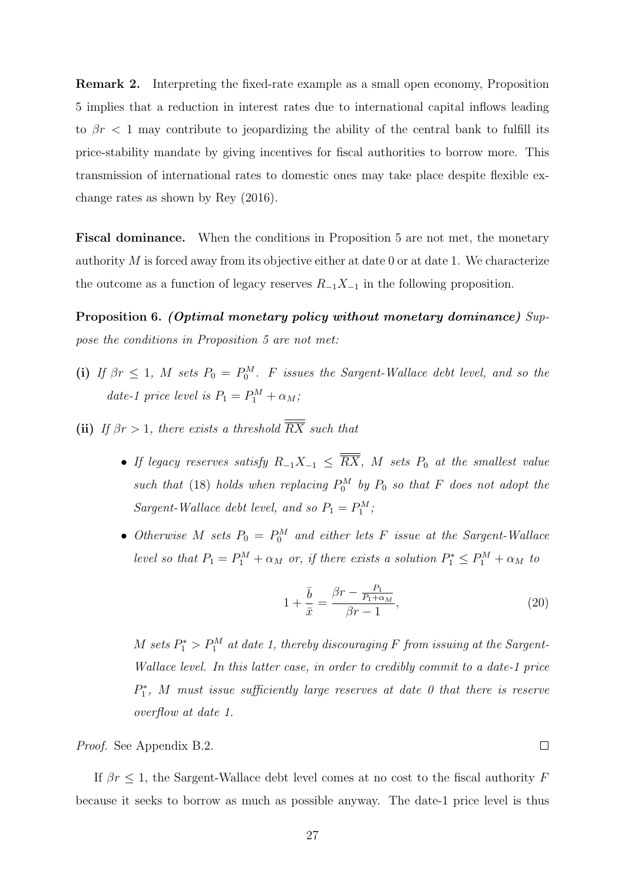Remark 2. Interpreting the fixed-rate example as a small open economy, Proposition 5 implies that a reduction in interest rates due to international capital inflows leading to  $\beta r < 1$  may contribute to jeopardizing the ability of the central bank to fulfill its price-stability mandate by giving incentives for fiscal authorities to borrow more. This transmission of international rates to domestic ones may take place despite flexible exchange rates as shown by Rey (2016).

Fiscal dominance. When the conditions in Proposition 5 are not met, the monetary authority  $M$  is forced away from its objective either at date 0 or at date 1. We characterize the outcome as a function of legacy reserves  $R_{-1}X_{-1}$  in the following proposition.

Proposition 6. (Optimal monetary policy without monetary dominance) Suppose the conditions in Proposition 5 are not met:

- (i) If  $\beta r \leq 1$ , M sets  $P_0 = P_0^M$ . F issues the Sargent-Wallace debt level, and so the date-1 price level is  $P_1 = P_1^M + \alpha_M;$
- (ii) If  $\beta r > 1$ , there exists a threshold  $\overline{RX}$  such that
	- If legacy reserves satisfy  $R_{-1}X_{-1} \leq \overline{RX}$ , M sets  $P_0$  at the smallest value such that (18) holds when replacing  $P_0^M$  by  $P_0$  so that F does not adopt the Sargent-Wallace debt level, and so  $P_1 = P_1^M$ ;
	- Otherwise M sets  $P_0 = P_0^M$  and either lets F issue at the Sargent-Wallace level so that  $P_1 = P_1^M + \alpha_M$  or, if there exists a solution  $P_1^* \leq P_1^M + \alpha_M$  to

$$
1 + \frac{\bar{b}}{\bar{x}} = \frac{\beta r - \frac{P_1}{P_1 + \alpha_M}}{\beta r - 1},\tag{20}
$$

M sets  $P_1^* > P_1^M$  at date 1, thereby discouraging F from issuing at the Sargent-Wallace level. In this latter case, in order to credibly commit to a date-1 price  $P_1^*$ , M must issue sufficiently large reserves at date 0 that there is reserve overflow at date 1.

Proof. See Appendix B.2.

If  $\beta r \leq 1$ , the Sargent-Wallace debt level comes at no cost to the fiscal authority F because it seeks to borrow as much as possible anyway. The date-1 price level is thus

 $\Box$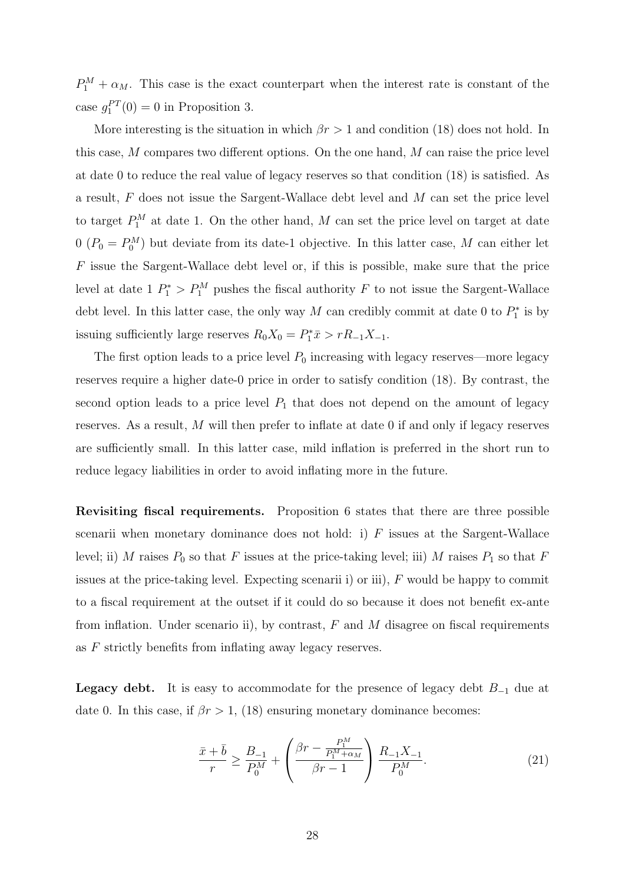$P_1^M + \alpha_M$ . This case is the exact counterpart when the interest rate is constant of the case  $g_1^{PT}(0) = 0$  in Proposition 3.

More interesting is the situation in which  $\beta r > 1$  and condition (18) does not hold. In this case, M compares two different options. On the one hand, M can raise the price level at date 0 to reduce the real value of legacy reserves so that condition (18) is satisfied. As a result, F does not issue the Sargent-Wallace debt level and M can set the price level to target  $P_1^M$  at date 1. On the other hand, M can set the price level on target at date  $0$   $(P_0 = P_0^M)$  but deviate from its date-1 objective. In this latter case, M can either let F issue the Sargent-Wallace debt level or, if this is possible, make sure that the price level at date  $1 P_1^* > P_1^M$  pushes the fiscal authority F to not issue the Sargent-Wallace debt level. In this latter case, the only way M can credibly commit at date 0 to  $P_1^*$  is by issuing sufficiently large reserves  $R_0X_0 = P_1^*\bar{x} > rR_{-1}X_{-1}$ .

The first option leads to a price level  $P_0$  increasing with legacy reserves—more legacy reserves require a higher date-0 price in order to satisfy condition (18). By contrast, the second option leads to a price level  $P_1$  that does not depend on the amount of legacy reserves. As a result, M will then prefer to inflate at date 0 if and only if legacy reserves are sufficiently small. In this latter case, mild inflation is preferred in the short run to reduce legacy liabilities in order to avoid inflating more in the future.

Revisiting fiscal requirements. Proposition 6 states that there are three possible scenarii when monetary dominance does not hold: i)  $F$  issues at the Sargent-Wallace level; ii) M raises  $P_0$  so that F issues at the price-taking level; iii) M raises  $P_1$  so that F issues at the price-taking level. Expecting scenarii i) or iii), F would be happy to commit to a fiscal requirement at the outset if it could do so because it does not benefit ex-ante from inflation. Under scenario ii), by contrast,  $F$  and  $M$  disagree on fiscal requirements as F strictly benefits from inflating away legacy reserves.

**Legacy debt.** It is easy to accommodate for the presence of legacy debt  $B_{-1}$  due at date 0. In this case, if  $\beta r > 1$ , (18) ensuring monetary dominance becomes:

$$
\frac{\bar{x} + \bar{b}}{r} \ge \frac{B_{-1}}{P_0^M} + \left(\frac{\beta r - \frac{P_1^M}{P_1^M + \alpha_M}}{\beta r - 1}\right) \frac{R_{-1}X_{-1}}{P_0^M}.\tag{21}
$$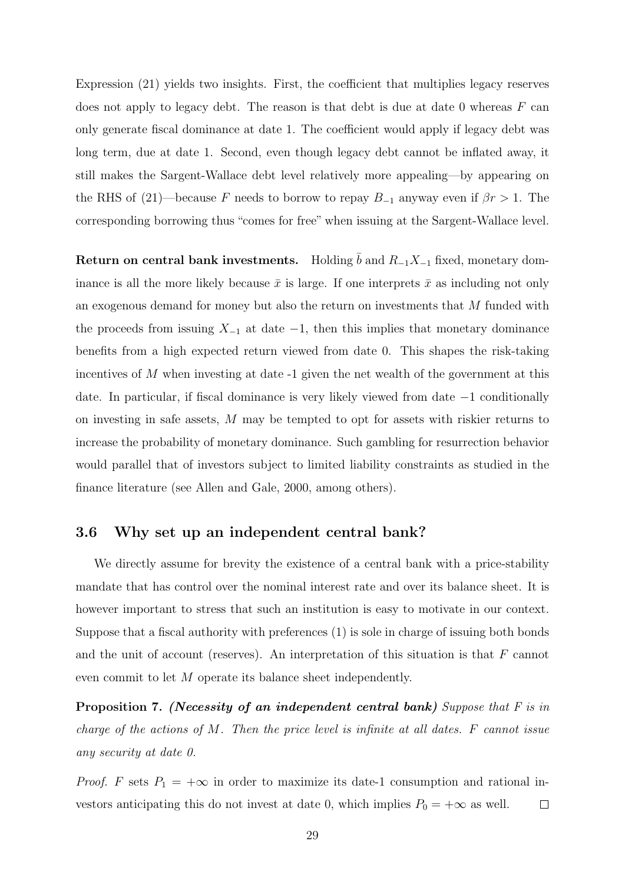Expression (21) yields two insights. First, the coefficient that multiplies legacy reserves does not apply to legacy debt. The reason is that debt is due at date  $0$  whereas  $F$  can only generate fiscal dominance at date 1. The coefficient would apply if legacy debt was long term, due at date 1. Second, even though legacy debt cannot be inflated away, it still makes the Sargent-Wallace debt level relatively more appealing—by appearing on the RHS of (21)—because F needs to borrow to repay  $B_{-1}$  anyway even if  $\beta r > 1$ . The corresponding borrowing thus "comes for free" when issuing at the Sargent-Wallace level.

Return on central bank investments. Holding  $\bar{b}$  and  $R_{-1}X_{-1}$  fixed, monetary dominance is all the more likely because  $\bar{x}$  is large. If one interprets  $\bar{x}$  as including not only an exogenous demand for money but also the return on investments that M funded with the proceeds from issuing  $X_{-1}$  at date  $-1$ , then this implies that monetary dominance benefits from a high expected return viewed from date 0. This shapes the risk-taking incentives of  $M$  when investing at date  $-1$  given the net wealth of the government at this date. In particular, if fiscal dominance is very likely viewed from date −1 conditionally on investing in safe assets, M may be tempted to opt for assets with riskier returns to increase the probability of monetary dominance. Such gambling for resurrection behavior would parallel that of investors subject to limited liability constraints as studied in the finance literature (see Allen and Gale, 2000, among others).

### 3.6 Why set up an independent central bank?

We directly assume for brevity the existence of a central bank with a price-stability mandate that has control over the nominal interest rate and over its balance sheet. It is however important to stress that such an institution is easy to motivate in our context. Suppose that a fiscal authority with preferences (1) is sole in charge of issuing both bonds and the unit of account (reserves). An interpretation of this situation is that  $F$  cannot even commit to let M operate its balance sheet independently.

Proposition 7. (Necessity of an independent central bank) Suppose that F is in charge of the actions of M. Then the price level is infinite at all dates.  $F$  cannot issue any security at date 0.

*Proof.* F sets  $P_1 = +\infty$  in order to maximize its date-1 consumption and rational investors anticipating this do not invest at date 0, which implies  $P_0 = +\infty$  as well.  $\Box$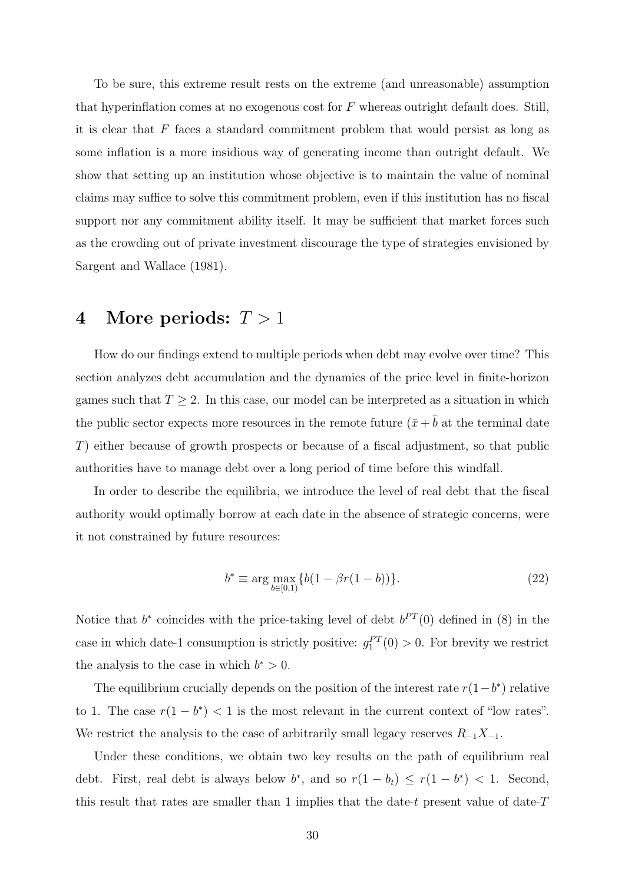To be sure, this extreme result rests on the extreme (and unreasonable) assumption that hyperinflation comes at no exogenous cost for  $F$  whereas outright default does. Still, it is clear that  $F$  faces a standard commitment problem that would persist as long as some inflation is a more insidious way of generating income than outright default. We show that setting up an institution whose objective is to maintain the value of nominal claims may suffice to solve this commitment problem, even if this institution has no fiscal support nor any commitment ability itself. It may be sufficient that market forces such as the crowding out of private investment discourage the type of strategies envisioned by Sargent and Wallace (1981).

## 4 More periods:  $T > 1$

How do our findings extend to multiple periods when debt may evolve over time? This section analyzes debt accumulation and the dynamics of the price level in finite-horizon games such that  $T \geq 2$ . In this case, our model can be interpreted as a situation in which the public sector expects more resources in the remote future  $(\bar{x} + \bar{b})$  at the terminal date T) either because of growth prospects or because of a fiscal adjustment, so that public authorities have to manage debt over a long period of time before this windfall.

In order to describe the equilibria, we introduce the level of real debt that the fiscal authority would optimally borrow at each date in the absence of strategic concerns, were it not constrained by future resources:

$$
b^* \equiv \arg \max_{b \in [0,1)} \{b(1 - \beta r(1 - b))\}.
$$
 (22)

Notice that  $b^*$  coincides with the price-taking level of debt  $b^{PT}(0)$  defined in (8) in the case in which date-1 consumption is strictly positive:  $g_1^{PT}(0) > 0$ . For brevity we restrict the analysis to the case in which  $b^* > 0$ .

The equilibrium crucially depends on the position of the interest rate  $r(1-b^*)$  relative to 1. The case  $r(1 - b^*) < 1$  is the most relevant in the current context of "low rates". We restrict the analysis to the case of arbitrarily small legacy reserves  $R_{-1}X_{-1}$ .

Under these conditions, we obtain two key results on the path of equilibrium real debt. First, real debt is always below  $b^*$ , and so  $r(1-b_t) \leq r(1-b^*) < 1$ . Second, this result that rates are smaller than 1 implies that the date-t present value of date- $T$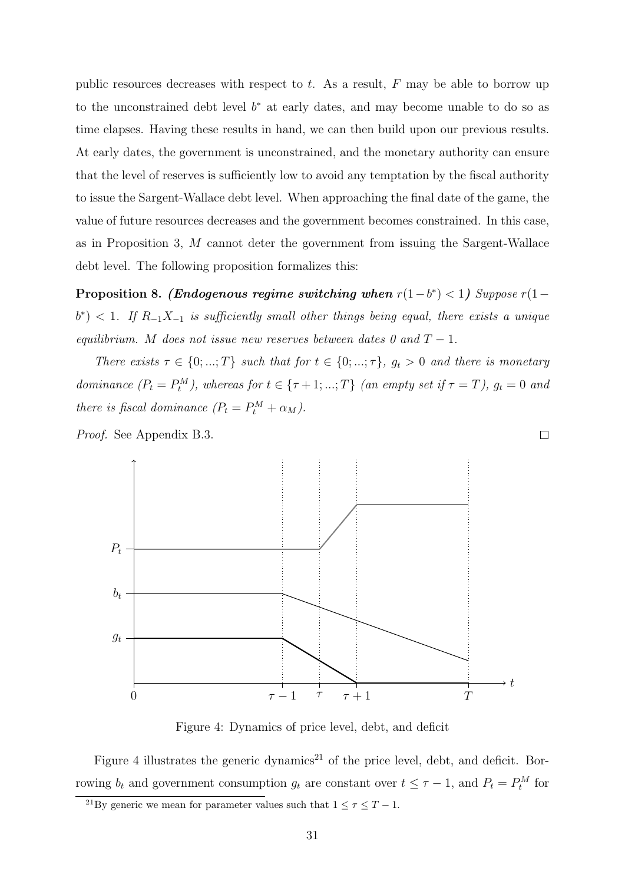public resources decreases with respect to  $t$ . As a result,  $F$  may be able to borrow up to the unconstrained debt level  $b^*$  at early dates, and may become unable to do so as time elapses. Having these results in hand, we can then build upon our previous results. At early dates, the government is unconstrained, and the monetary authority can ensure that the level of reserves is sufficiently low to avoid any temptation by the fiscal authority to issue the Sargent-Wallace debt level. When approaching the final date of the game, the value of future resources decreases and the government becomes constrained. In this case, as in Proposition 3, M cannot deter the government from issuing the Sargent-Wallace debt level. The following proposition formalizes this:

Proposition 8. (Endogenous regime switching when  $r(1-b^*) < 1$ ) Suppose  $r(1-b^*)$  $b^*$ ) < 1. If  $R_{-1}X_{-1}$  is sufficiently small other things being equal, there exists a unique equilibrium. M does not issue new reserves between dates 0 and  $T - 1$ .

There exists  $\tau \in \{0, ..., T\}$  such that for  $t \in \{0, ..., \tau\}$ ,  $g_t > 0$  and there is monetary dominance  $(P_t = P_t^M)$ , whereas for  $t \in {\tau + 1; ...; T}$  (an empty set if  $\tau = T$ ),  $g_t = 0$  and there is fiscal dominance  $(P_t = P_t^M + \alpha_M)$ .

 $\Box$ 

Proof. See Appendix B.3.



Figure 4: Dynamics of price level, debt, and deficit

Figure 4 illustrates the generic dynamics<sup>21</sup> of the price level, debt, and deficit. Borrowing  $b_t$  and government consumption  $g_t$  are constant over  $t \leq \tau - 1$ , and  $P_t = P_t^M$  for

<sup>&</sup>lt;sup>21</sup>By generic we mean for parameter values such that  $1 \leq \tau \leq T - 1$ .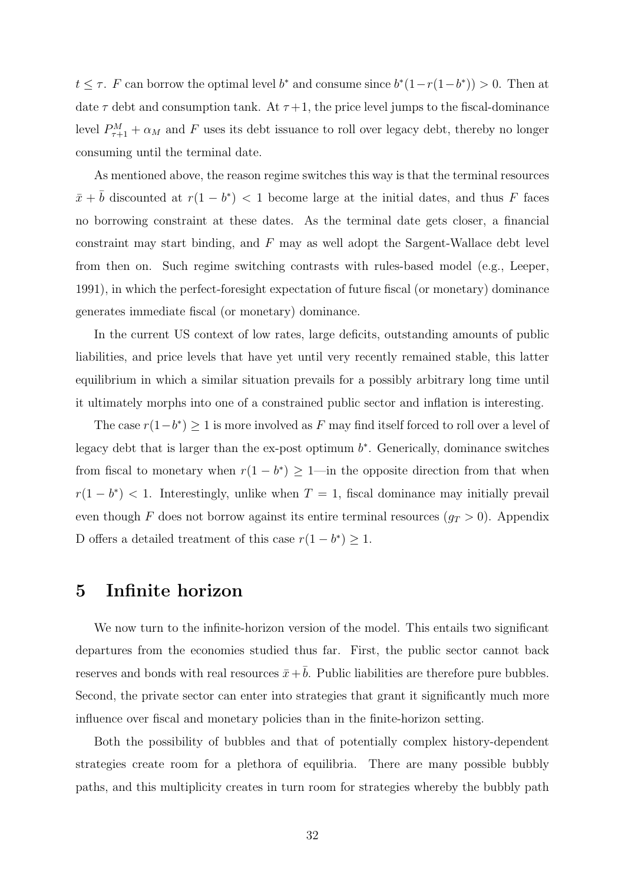$t \leq \tau$ . F can borrow the optimal level  $b^*$  and consume since  $b^*(1-r(1-b^*)) > 0$ . Then at date  $\tau$  debt and consumption tank. At  $\tau+1$ , the price level jumps to the fiscal-dominance level  $P_{\tau+1}^M + \alpha_M$  and F uses its debt issuance to roll over legacy debt, thereby no longer consuming until the terminal date.

As mentioned above, the reason regime switches this way is that the terminal resources  $\bar{x} + \bar{b}$  discounted at  $r(1 - b^*) < 1$  become large at the initial dates, and thus F faces no borrowing constraint at these dates. As the terminal date gets closer, a financial constraint may start binding, and F may as well adopt the Sargent-Wallace debt level from then on. Such regime switching contrasts with rules-based model (e.g., Leeper, 1991), in which the perfect-foresight expectation of future fiscal (or monetary) dominance generates immediate fiscal (or monetary) dominance.

In the current US context of low rates, large deficits, outstanding amounts of public liabilities, and price levels that have yet until very recently remained stable, this latter equilibrium in which a similar situation prevails for a possibly arbitrary long time until it ultimately morphs into one of a constrained public sector and inflation is interesting.

The case  $r(1-b^*) \geq 1$  is more involved as F may find itself forced to roll over a level of legacy debt that is larger than the ex-post optimum  $b^*$ . Generically, dominance switches from fiscal to monetary when  $r(1 - b^*) \geq 1$ —in the opposite direction from that when  $r(1-b^*)$  < 1. Interestingly, unlike when  $T=1$ , fiscal dominance may initially prevail even though F does not borrow against its entire terminal resources  $(g_T > 0)$ . Appendix D offers a detailed treatment of this case  $r(1 - b^*) \geq 1$ .

## 5 Infinite horizon

We now turn to the infinite-horizon version of the model. This entails two significant departures from the economies studied thus far. First, the public sector cannot back reserves and bonds with real resources  $\bar{x}+\bar{b}$ . Public liabilities are therefore pure bubbles. Second, the private sector can enter into strategies that grant it significantly much more influence over fiscal and monetary policies than in the finite-horizon setting.

Both the possibility of bubbles and that of potentially complex history-dependent strategies create room for a plethora of equilibria. There are many possible bubbly paths, and this multiplicity creates in turn room for strategies whereby the bubbly path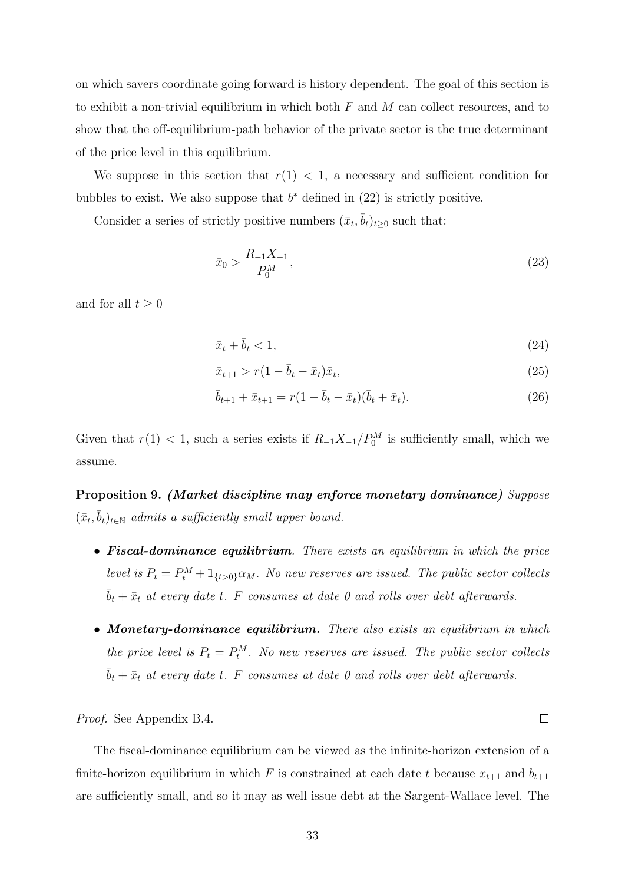on which savers coordinate going forward is history dependent. The goal of this section is to exhibit a non-trivial equilibrium in which both  $F$  and  $M$  can collect resources, and to show that the off-equilibrium-path behavior of the private sector is the true determinant of the price level in this equilibrium.

We suppose in this section that  $r(1) < 1$ , a necessary and sufficient condition for bubbles to exist. We also suppose that  $b^*$  defined in  $(22)$  is strictly positive.

Consider a series of strictly positive numbers  $(\bar{x}_t, \bar{b}_t)_{t \geq 0}$  such that:

$$
\bar{x}_0 > \frac{R_{-1}X_{-1}}{P_0^M},\tag{23}
$$

and for all  $t \geq 0$ 

$$
\bar{x}_t + \bar{b}_t < 1,\tag{24}
$$

$$
\bar{x}_{t+1} > r(1 - \bar{b}_t - \bar{x}_t)\bar{x}_t, \tag{25}
$$

$$
\bar{b}_{t+1} + \bar{x}_{t+1} = r(1 - \bar{b}_t - \bar{x}_t)(\bar{b}_t + \bar{x}_t).
$$
\n(26)

 $\Box$ 

Given that  $r(1) < 1$ , such a series exists if  $R_{-1}X_{-1}/P_0^M$  is sufficiently small, which we assume.

Proposition 9. (Market discipline may enforce monetary dominance) Suppose  $(\bar{x}_t, \bar{b}_t)_{t \in \mathbb{N}}$  admits a sufficiently small upper bound.

- **Fiscal-dominance equilibrium**. There exists an equilibrium in which the price level is  $P_t = P_t^M + \mathbb{1}_{\{t>0\}} \alpha_M$ . No new reserves are issued. The public sector collects  $\bar{b}_t + \bar{x}_t$  at every date t. F consumes at date 0 and rolls over debt afterwards.
- Monetary-dominance equilibrium. There also exists an equilibrium in which the price level is  $P_t = P_t^M$ . No new reserves are issued. The public sector collects  $\bar{b}_t + \bar{x}_t$  at every date t. F consumes at date 0 and rolls over debt afterwards.

Proof. See Appendix B.4.

The fiscal-dominance equilibrium can be viewed as the infinite-horizon extension of a finite-horizon equilibrium in which F is constrained at each date t because  $x_{t+1}$  and  $b_{t+1}$ are sufficiently small, and so it may as well issue debt at the Sargent-Wallace level. The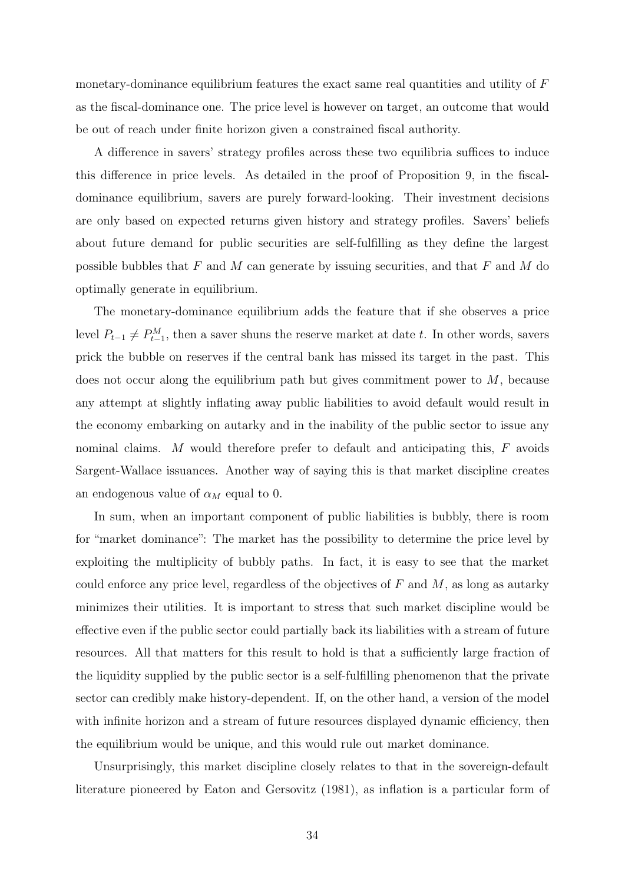monetary-dominance equilibrium features the exact same real quantities and utility of  $F$ as the fiscal-dominance one. The price level is however on target, an outcome that would be out of reach under finite horizon given a constrained fiscal authority.

A difference in savers' strategy profiles across these two equilibria suffices to induce this difference in price levels. As detailed in the proof of Proposition 9, in the fiscaldominance equilibrium, savers are purely forward-looking. Their investment decisions are only based on expected returns given history and strategy profiles. Savers' beliefs about future demand for public securities are self-fulfilling as they define the largest possible bubbles that  $F$  and  $M$  can generate by issuing securities, and that  $F$  and  $M$  do optimally generate in equilibrium.

The monetary-dominance equilibrium adds the feature that if she observes a price level  $P_{t-1} \neq P_{t-1}^M$ , then a saver shuns the reserve market at date t. In other words, savers prick the bubble on reserves if the central bank has missed its target in the past. This does not occur along the equilibrium path but gives commitment power to M, because any attempt at slightly inflating away public liabilities to avoid default would result in the economy embarking on autarky and in the inability of the public sector to issue any nominal claims. M would therefore prefer to default and anticipating this, F avoids Sargent-Wallace issuances. Another way of saying this is that market discipline creates an endogenous value of  $\alpha_M$  equal to 0.

In sum, when an important component of public liabilities is bubbly, there is room for "market dominance": The market has the possibility to determine the price level by exploiting the multiplicity of bubbly paths. In fact, it is easy to see that the market could enforce any price level, regardless of the objectives of  $F$  and  $M$ , as long as autarky minimizes their utilities. It is important to stress that such market discipline would be effective even if the public sector could partially back its liabilities with a stream of future resources. All that matters for this result to hold is that a sufficiently large fraction of the liquidity supplied by the public sector is a self-fulfilling phenomenon that the private sector can credibly make history-dependent. If, on the other hand, a version of the model with infinite horizon and a stream of future resources displayed dynamic efficiency, then the equilibrium would be unique, and this would rule out market dominance.

Unsurprisingly, this market discipline closely relates to that in the sovereign-default literature pioneered by Eaton and Gersovitz (1981), as inflation is a particular form of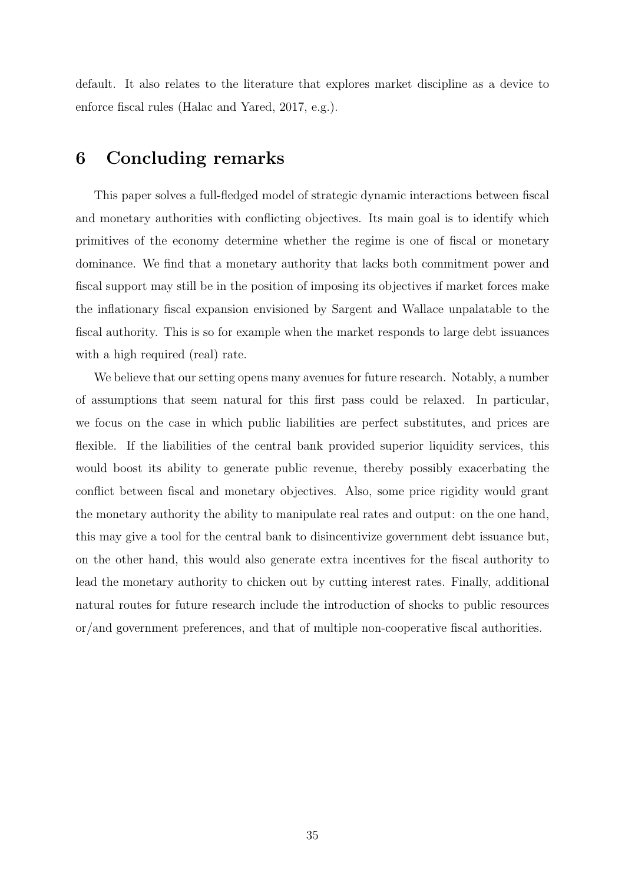default. It also relates to the literature that explores market discipline as a device to enforce fiscal rules (Halac and Yared, 2017, e.g.).

## 6 Concluding remarks

This paper solves a full-fledged model of strategic dynamic interactions between fiscal and monetary authorities with conflicting objectives. Its main goal is to identify which primitives of the economy determine whether the regime is one of fiscal or monetary dominance. We find that a monetary authority that lacks both commitment power and fiscal support may still be in the position of imposing its objectives if market forces make the inflationary fiscal expansion envisioned by Sargent and Wallace unpalatable to the fiscal authority. This is so for example when the market responds to large debt issuances with a high required (real) rate.

We believe that our setting opens many avenues for future research. Notably, a number of assumptions that seem natural for this first pass could be relaxed. In particular, we focus on the case in which public liabilities are perfect substitutes, and prices are flexible. If the liabilities of the central bank provided superior liquidity services, this would boost its ability to generate public revenue, thereby possibly exacerbating the conflict between fiscal and monetary objectives. Also, some price rigidity would grant the monetary authority the ability to manipulate real rates and output: on the one hand, this may give a tool for the central bank to disincentivize government debt issuance but, on the other hand, this would also generate extra incentives for the fiscal authority to lead the monetary authority to chicken out by cutting interest rates. Finally, additional natural routes for future research include the introduction of shocks to public resources or/and government preferences, and that of multiple non-cooperative fiscal authorities.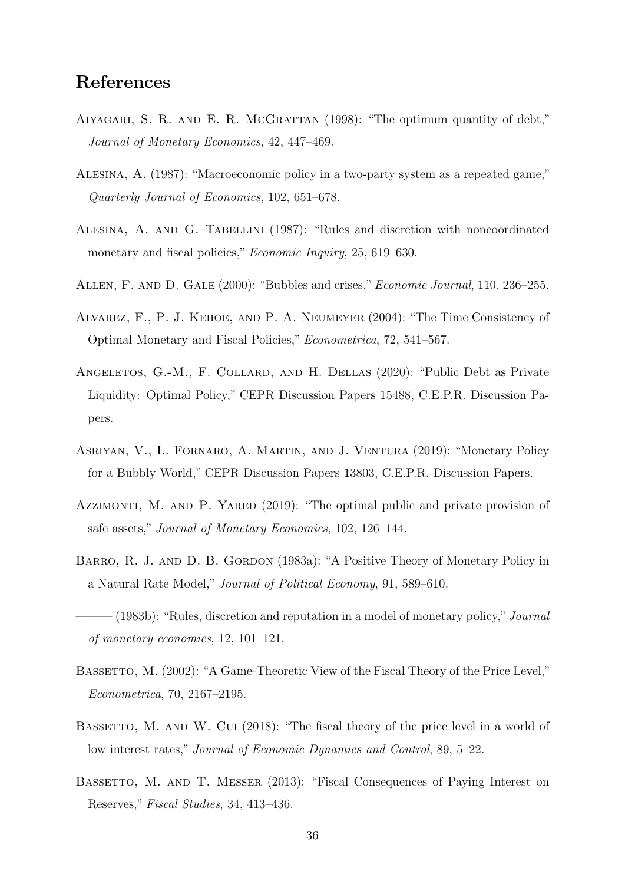## References

- Aiyagari, S. R. and E. R. McGrattan (1998): "The optimum quantity of debt," Journal of Monetary Economics, 42, 447–469.
- Alesina, A. (1987): "Macroeconomic policy in a two-party system as a repeated game," Quarterly Journal of Economics, 102, 651–678.
- Alesina, A. and G. Tabellini (1987): "Rules and discretion with noncoordinated monetary and fiscal policies," *Economic Inquiry*, 25, 619–630.
- ALLEN, F. AND D. GALE (2000): "Bubbles and crises," *Economic Journal*, 110, 236–255.
- Alvarez, F., P. J. Kehoe, and P. A. Neumeyer (2004): "The Time Consistency of Optimal Monetary and Fiscal Policies," Econometrica, 72, 541–567.
- ANGELETOS, G.-M., F. COLLARD, AND H. DELLAS (2020): "Public Debt as Private Liquidity: Optimal Policy," CEPR Discussion Papers 15488, C.E.P.R. Discussion Papers.
- Asriyan, V., L. Fornaro, A. Martin, and J. Ventura (2019): "Monetary Policy for a Bubbly World," CEPR Discussion Papers 13803, C.E.P.R. Discussion Papers.
- AZZIMONTI, M. AND P. YARED (2019): "The optimal public and private provision of safe assets," Journal of Monetary Economics, 102, 126–144.
- BARRO, R. J. AND D. B. GORDON (1983a): "A Positive Theory of Monetary Policy in a Natural Rate Model," Journal of Political Economy, 91, 589–610.

- BASSETTO, M.  $(2002)$ : "A Game-Theoretic View of the Fiscal Theory of the Price Level," Econometrica, 70, 2167–2195.
- BASSETTO, M. AND W. CUI (2018): "The fiscal theory of the price level in a world of low interest rates," Journal of Economic Dynamics and Control, 89, 5–22.
- BASSETTO, M. AND T. MESSER (2013): "Fiscal Consequences of Paying Interest on Reserves," Fiscal Studies, 34, 413–436.

<sup>— (1983</sup>b): "Rules, discretion and reputation in a model of monetary policy," Journal of monetary economics, 12, 101–121.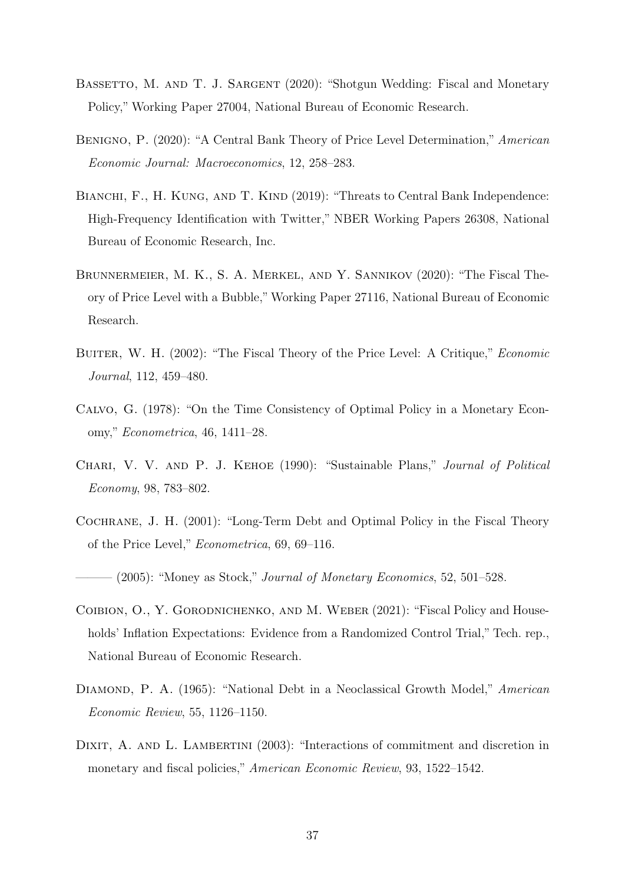- BASSETTO, M. AND T. J. SARGENT (2020): "Shotgun Wedding: Fiscal and Monetary Policy," Working Paper 27004, National Bureau of Economic Research.
- Benigno, P. (2020): "A Central Bank Theory of Price Level Determination," American Economic Journal: Macroeconomics, 12, 258–283.
- BIANCHI, F., H. KUNG, AND T. KIND (2019): "Threats to Central Bank Independence: High-Frequency Identification with Twitter," NBER Working Papers 26308, National Bureau of Economic Research, Inc.
- Brunnermeier, M. K., S. A. Merkel, and Y. Sannikov (2020): "The Fiscal Theory of Price Level with a Bubble,"Working Paper 27116, National Bureau of Economic Research.
- BUITER, W. H. (2002): "The Fiscal Theory of the Price Level: A Critique," *Economic* Journal, 112, 459–480.
- Calvo, G. (1978): "On the Time Consistency of Optimal Policy in a Monetary Economy," Econometrica, 46, 1411–28.
- Chari, V. V. and P. J. Kehoe (1990): "Sustainable Plans," Journal of Political Economy, 98, 783–802.
- Cochrane, J. H. (2001): "Long-Term Debt and Optimal Policy in the Fiscal Theory of the Price Level," Econometrica, 69, 69–116.

 $-(2005)$ : "Money as Stock," Journal of Monetary Economics, 52, 501–528.

- Coibion, O., Y. Gorodnichenko, and M. Weber (2021): "Fiscal Policy and Households' Inflation Expectations: Evidence from a Randomized Control Trial," Tech. rep., National Bureau of Economic Research.
- DIAMOND, P. A. (1965): "National Debt in a Neoclassical Growth Model," American Economic Review, 55, 1126–1150.
- DIXIT, A. AND L. LAMBERTINI (2003): "Interactions of commitment and discretion in monetary and fiscal policies," American Economic Review, 93, 1522–1542.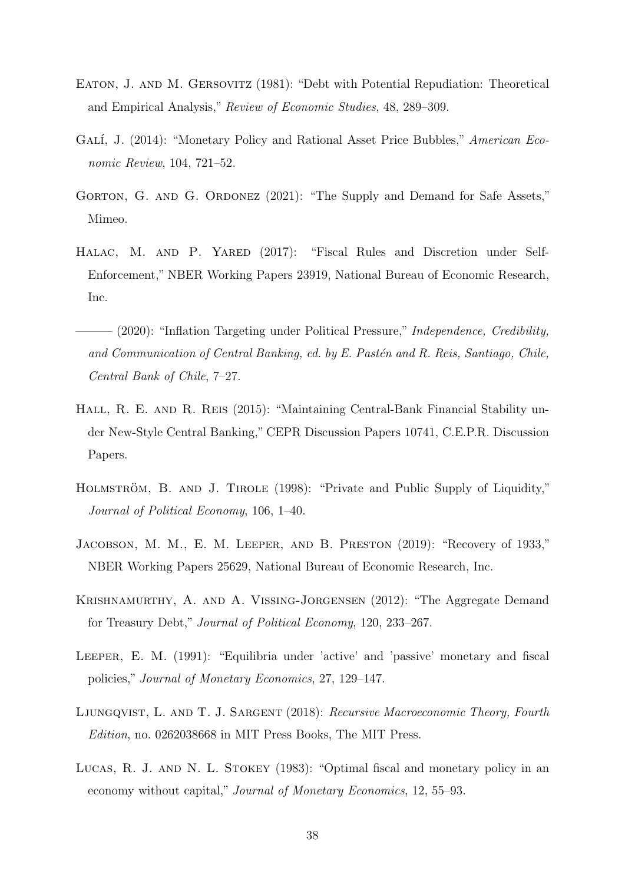- Eaton, J. and M. Gersovitz (1981): "Debt with Potential Repudiation: Theoretical and Empirical Analysis," Review of Economic Studies, 48, 289–309.
- GALÍ, J. (2014): "Monetary Policy and Rational Asset Price Bubbles," American Economic Review, 104, 721–52.
- GORTON, G. AND G. ORDONEZ (2021): "The Supply and Demand for Safe Assets," Mimeo.
- HALAC, M. AND P. YARED (2017): "Fiscal Rules and Discretion under Self-Enforcement," NBER Working Papers 23919, National Bureau of Economic Research, Inc.
- $-$  (2020): "Inflation Targeting under Political Pressure," Independence, Credibility, and Communication of Central Banking, ed. by E. Pastén and R. Reis, Santiago, Chile, Central Bank of Chile, 7–27.
- Hall, R. E. and R. Reis (2015): "Maintaining Central-Bank Financial Stability under New-Style Central Banking," CEPR Discussion Papers 10741, C.E.P.R. Discussion Papers.
- HOLMSTRÖM, B. AND J. TIROLE (1998): "Private and Public Supply of Liquidity," Journal of Political Economy, 106, 1–40.
- Jacobson, M. M., E. M. Leeper, and B. Preston (2019): "Recovery of 1933," NBER Working Papers 25629, National Bureau of Economic Research, Inc.
- Krishnamurthy, A. and A. Vissing-Jorgensen (2012): "The Aggregate Demand for Treasury Debt," Journal of Political Economy, 120, 233–267.
- Leeper, E. M. (1991): "Equilibria under 'active' and 'passive' monetary and fiscal policies," Journal of Monetary Economics, 27, 129–147.
- LJUNGQVIST, L. AND T. J. SARGENT (2018): Recursive Macroeconomic Theory, Fourth Edition, no. 0262038668 in MIT Press Books, The MIT Press.
- Lucas, R. J. and N. L. Stokey (1983): "Optimal fiscal and monetary policy in an economy without capital," Journal of Monetary Economics, 12, 55–93.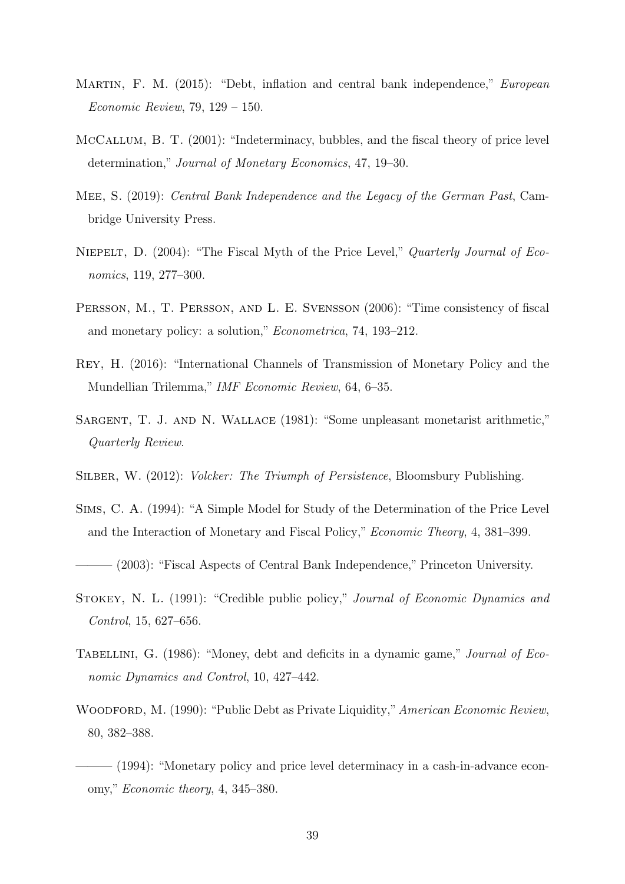- MARTIN, F. M. (2015): "Debt, inflation and central bank independence," *European* Economic Review, 79, 129 – 150.
- McCallum, B. T. (2001): "Indeterminacy, bubbles, and the fiscal theory of price level determination," Journal of Monetary Economics, 47, 19–30.
- Mee, S. (2019): Central Bank Independence and the Legacy of the German Past, Cambridge University Press.
- Niepelt, D. (2004): "The Fiscal Myth of the Price Level," Quarterly Journal of Economics, 119, 277–300.
- Persson, M., T. Persson, and L. E. Svensson (2006): "Time consistency of fiscal and monetary policy: a solution," Econometrica, 74, 193–212.
- Rey, H. (2016): "International Channels of Transmission of Monetary Policy and the Mundellian Trilemma," IMF Economic Review, 64, 6–35.
- Sargent, T. J. and N. Wallace (1981): "Some unpleasant monetarist arithmetic," Quarterly Review.
- SILBER, W. (2012): *Volcker: The Triumph of Persistence*, Bloomsbury Publishing.
- Sims, C. A. (1994): "A Simple Model for Study of the Determination of the Price Level and the Interaction of Monetary and Fiscal Policy," Economic Theory, 4, 381–399.

 $(2003)$ : "Fiscal Aspects of Central Bank Independence," Princeton University.

- Stokey, N. L. (1991): "Credible public policy," Journal of Economic Dynamics and Control, 15, 627–656.
- TABELLINI, G. (1986): "Money, debt and deficits in a dynamic game," *Journal of Eco*nomic Dynamics and Control, 10, 427–442.
- WOODFORD, M. (1990): "Public Debt as Private Liquidity," American Economic Review, 80, 382–388.
- ——— (1994): "Monetary policy and price level determinacy in a cash-in-advance economy," Economic theory, 4, 345–380.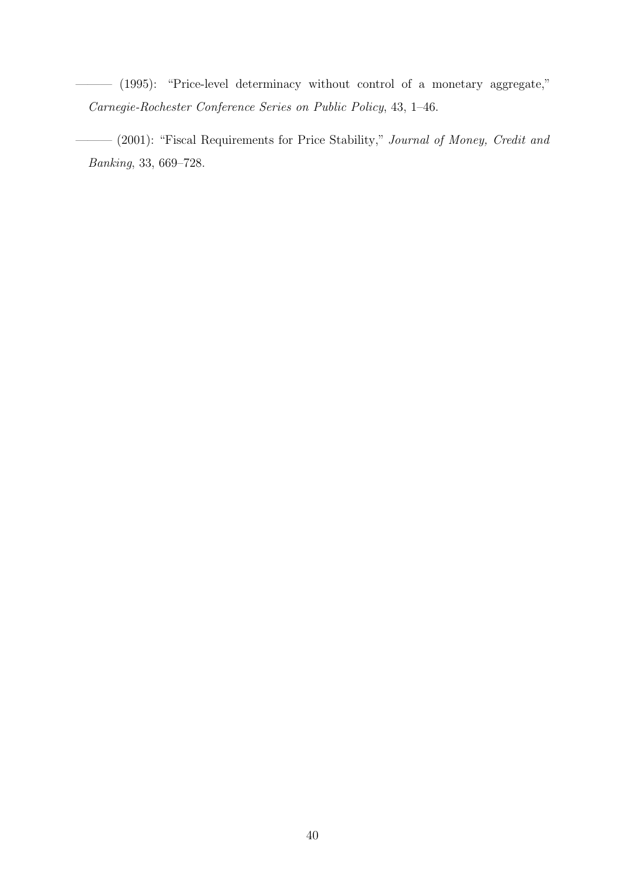- ——— (1995): "Price-level determinacy without control of a monetary aggregate," Carnegie-Rochester Conference Series on Public Policy, 43, 1–46.
	- ——— (2001): "Fiscal Requirements for Price Stability," Journal of Money, Credit and Banking, 33, 669–728.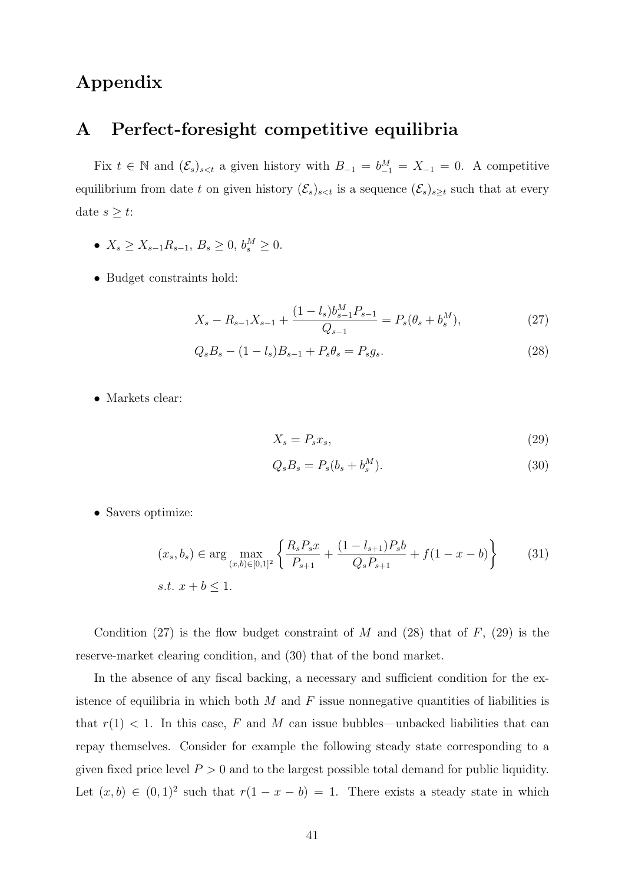## Appendix

## A Perfect-foresight competitive equilibria

Fix  $t \in \mathbb{N}$  and  $(\mathcal{E}_s)_{s a given history with  $B_{-1} = b_{-1}^M = X_{-1} = 0$ . A competitive$ equilibrium from date t on given history  $(\mathcal{E}_s)_{s is a sequence  $(\mathcal{E}_s)_{s\geq t}$  such that at every$ date  $s \geq t$ :

- $X_s \geq X_{s-1}R_{s-1}, B_s \geq 0, b_s^M \geq 0.$
- Budget constraints hold:

$$
X_s - R_{s-1}X_{s-1} + \frac{(1 - l_s)b_{s-1}^M P_{s-1}}{Q_{s-1}} = P_s(\theta_s + b_s^M),\tag{27}
$$

$$
Q_s B_s - (1 - l_s) B_{s-1} + P_s \theta_s = P_s g_s. \tag{28}
$$

• Markets clear:

$$
X_s = P_s x_s,\tag{29}
$$

$$
Q_s B_s = P_s (b_s + b_s^M). \tag{30}
$$

• Savers optimize:

$$
(x_s, b_s) \in \arg\max_{(x,b)\in[0,1]^2} \left\{ \frac{R_s P_s x}{P_{s+1}} + \frac{(1 - l_{s+1})P_s b}{Q_s P_{s+1}} + f(1 - x - b) \right\}
$$
(31)  
s.t.  $x + b \le 1$ .

Condition (27) is the flow budget constraint of M and (28) that of  $F$ , (29) is the reserve-market clearing condition, and (30) that of the bond market.

In the absence of any fiscal backing, a necessary and sufficient condition for the existence of equilibria in which both  $M$  and  $F$  issue nonnegative quantities of liabilities is that  $r(1) < 1$ . In this case, F and M can issue bubbles—unbacked liabilities that can repay themselves. Consider for example the following steady state corresponding to a given fixed price level  $P > 0$  and to the largest possible total demand for public liquidity. Let  $(x, b) \in (0, 1)^2$  such that  $r(1 - x - b) = 1$ . There exists a steady state in which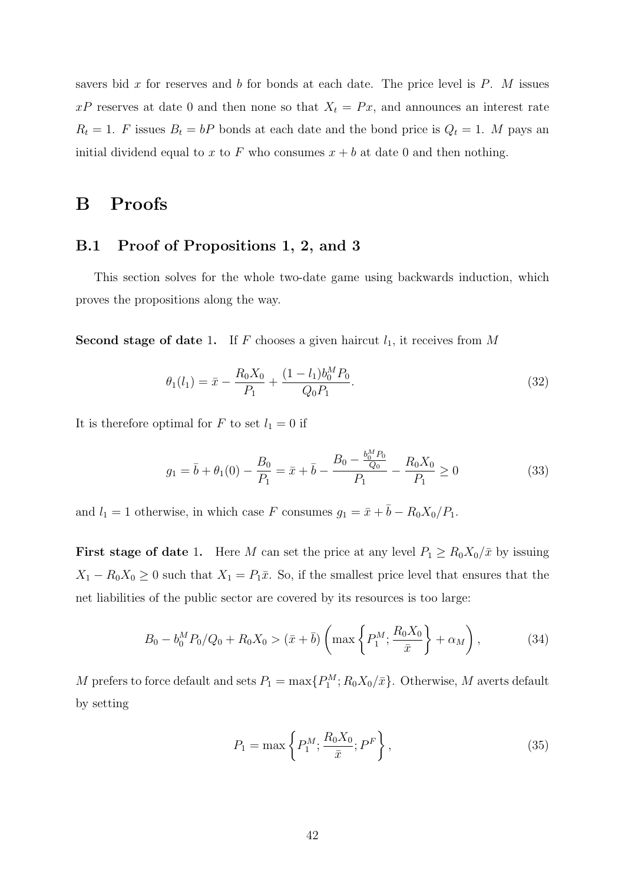savers bid x for reserves and b for bonds at each date. The price level is  $P$ . M issues  $xP$  reserves at date 0 and then none so that  $X_t = Px$ , and announces an interest rate  $R_t = 1$ . F issues  $B_t = bP$  bonds at each date and the bond price is  $Q_t = 1$ . M pays an initial dividend equal to x to F who consumes  $x + b$  at date 0 and then nothing.

## B Proofs

### B.1 Proof of Propositions 1, 2, and 3

This section solves for the whole two-date game using backwards induction, which proves the propositions along the way.

Second stage of date 1. If F chooses a given haircut  $l_1$ , it receives from M

$$
\theta_1(l_1) = \bar{x} - \frac{R_0 X_0}{P_1} + \frac{(1 - l_1)b_0^M P_0}{Q_0 P_1}.
$$
\n(32)

It is therefore optimal for F to set  $l_1 = 0$  if

$$
g_1 = \bar{b} + \theta_1(0) - \frac{B_0}{P_1} = \bar{x} + \bar{b} - \frac{B_0 - \frac{b_0 M P_0}{Q_0}}{P_1} - \frac{R_0 X_0}{P_1} \ge 0
$$
\n
$$
(33)
$$

and  $l_1 = 1$  otherwise, in which case F consumes  $g_1 = \bar{x} + \bar{b} - R_0 X_0/P_1$ .

**First stage of date 1.** Here M can set the price at any level  $P_1 \geq R_0 X_0 / \bar{x}$  by issuing  $X_1 - R_0 X_0 \geq 0$  such that  $X_1 = P_1 \bar{x}$ . So, if the smallest price level that ensures that the net liabilities of the public sector are covered by its resources is too large:

$$
B_0 - b_0^M P_0 / Q_0 + R_0 X_0 > (\bar{x} + \bar{b}) \left( \max \left\{ P_1^M; \frac{R_0 X_0}{\bar{x}} \right\} + \alpha_M \right), \tag{34}
$$

M prefers to force default and sets  $P_1 = \max\{P_1^M; R_0X_0/\bar{x}\}\$ . Otherwise, M averts default by setting

$$
P_1 = \max\left\{P_1^M; \frac{R_0 X_0}{\bar{x}}; P^F\right\},\tag{35}
$$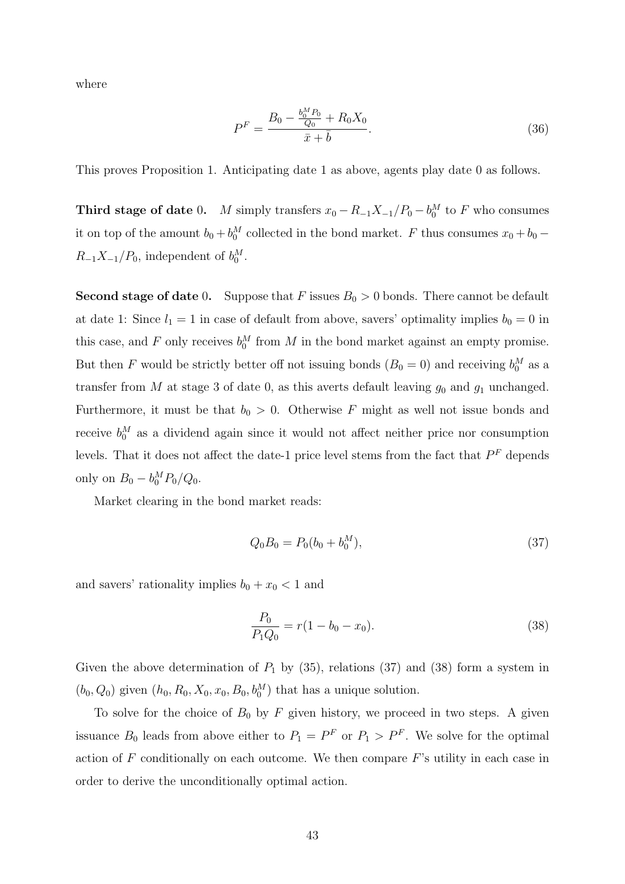where

$$
P^{F} = \frac{B_0 - \frac{b_0^M P_0}{Q_0} + R_0 X_0}{\bar{x} + \bar{b}}.\tag{36}
$$

This proves Proposition 1. Anticipating date 1 as above, agents play date 0 as follows.

Third stage of date 0. M simply transfers  $x_0 - R_{-1}X_{-1}/P_0 - b_0^M$  to F who consumes it on top of the amount  $b_0 + b_0^M$  collected in the bond market. F thus consumes  $x_0 + b_0$  –  $R_{-1}X_{-1}/P_0$ , independent of  $b_0^M$ .

**Second stage of date 0.** Suppose that F issues  $B_0 > 0$  bonds. There cannot be default at date 1: Since  $l_1 = 1$  in case of default from above, savers' optimality implies  $b_0 = 0$  in this case, and F only receives  $b_0^M$  from M in the bond market against an empty promise. But then F would be strictly better off not issuing bonds  $(B_0 = 0)$  and receiving  $b_0^M$  as a transfer from M at stage 3 of date 0, as this averts default leaving  $g_0$  and  $g_1$  unchanged. Furthermore, it must be that  $b_0 > 0$ . Otherwise F might as well not issue bonds and receive  $b_0^M$  as a dividend again since it would not affect neither price nor consumption levels. That it does not affect the date-1 price level stems from the fact that  $P<sup>F</sup>$  depends only on  $B_0 - b_0^M P_0/Q_0$ .

Market clearing in the bond market reads:

$$
Q_0 B_0 = P_0 (b_0 + b_0^M), \tag{37}
$$

and savers' rationality implies  $b_0 + x_0 < 1$  and

$$
\frac{P_0}{P_1 Q_0} = r(1 - b_0 - x_0). \tag{38}
$$

Given the above determination of  $P_1$  by (35), relations (37) and (38) form a system in  $(b_0, Q_0)$  given  $(h_0, R_0, X_0, x_0, B_0, b_0^M)$  that has a unique solution.

To solve for the choice of  $B_0$  by F given history, we proceed in two steps. A given issuance  $B_0$  leads from above either to  $P_1 = P^F$  or  $P_1 > P^F$ . We solve for the optimal action of  $F$  conditionally on each outcome. We then compare  $F$ 's utility in each case in order to derive the unconditionally optimal action.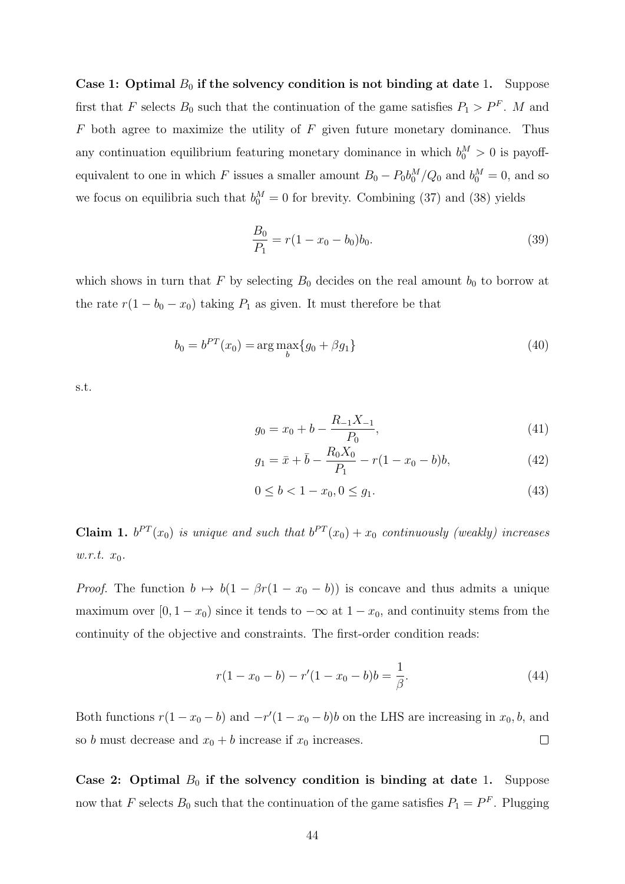Case 1: Optimal  $B_0$  if the solvency condition is not binding at date 1. Suppose first that F selects  $B_0$  such that the continuation of the game satisfies  $P_1 > P^F$ . M and  $F$  both agree to maximize the utility of  $F$  given future monetary dominance. Thus any continuation equilibrium featuring monetary dominance in which  $b_0^M > 0$  is payoffequivalent to one in which F issues a smaller amount  $B_0 - P_0 b_0^M / Q_0$  and  $b_0^M = 0$ , and so we focus on equilibria such that  $b_0^M = 0$  for brevity. Combining (37) and (38) yields

$$
\frac{B_0}{P_1} = r(1 - x_0 - b_0)b_0.
$$
\n(39)

which shows in turn that F by selecting  $B_0$  decides on the real amount  $b_0$  to borrow at the rate  $r(1 - b_0 - x_0)$  taking  $P_1$  as given. It must therefore be that

$$
b_0 = b^{PT}(x_0) = \arg\max_b \{g_0 + \beta g_1\}
$$
\n(40)

s.t.

$$
g_0 = x_0 + b - \frac{R_{-1}X_{-1}}{P_0},\tag{41}
$$

$$
g_1 = \bar{x} + \bar{b} - \frac{R_0 X_0}{P_1} - r(1 - x_0 - b)b,
$$
\n(42)

$$
0 \le b < 1 - x_0, 0 \le g_1. \tag{43}
$$

**Claim 1.**  $b^{PT}(x_0)$  is unique and such that  $b^{PT}(x_0) + x_0$  continuously (weakly) increases  $w.r.t. x_0.$ 

*Proof.* The function  $b \mapsto b(1 - \beta r(1 - x_0 - b))$  is concave and thus admits a unique maximum over  $[0, 1 - x_0)$  since it tends to  $-\infty$  at  $1 - x_0$ , and continuity stems from the continuity of the objective and constraints. The first-order condition reads:

$$
r(1 - x_0 - b) - r'(1 - x_0 - b)b = \frac{1}{\beta}.
$$
\n(44)

Both functions  $r(1-x_0-b)$  and  $-r'(1-x_0-b)b$  on the LHS are increasing in  $x_0$ , b, and so b must decrease and  $x_0 + b$  increase if  $x_0$  increases.  $\Box$ 

Case 2: Optimal  $B_0$  if the solvency condition is binding at date 1. Suppose now that F selects  $B_0$  such that the continuation of the game satisfies  $P_1 = P^F$ . Plugging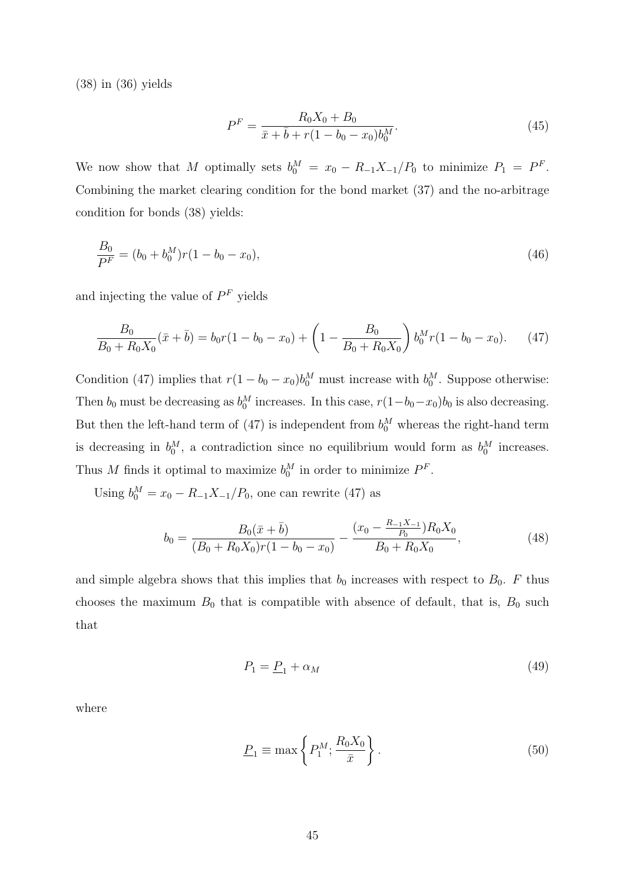(38) in (36) yields

$$
P^{F} = \frac{R_0 X_0 + B_0}{\bar{x} + \bar{b} + r(1 - b_0 - x_0)b_0^M}.
$$
\n(45)

We now show that M optimally sets  $b_0^M = x_0 - R_{-1}X_{-1}/P_0$  to minimize  $P_1 = P^F$ . Combining the market clearing condition for the bond market (37) and the no-arbitrage condition for bonds (38) yields:

$$
\frac{B_0}{P^F} = (b_0 + b_0^M)r(1 - b_0 - x_0),\tag{46}
$$

and injecting the value of  $P<sup>F</sup>$  yields

$$
\frac{B_0}{B_0 + R_0 X_0} (\bar{x} + \bar{b}) = b_0 r (1 - b_0 - x_0) + \left(1 - \frac{B_0}{B_0 + R_0 X_0}\right) b_0^M r (1 - b_0 - x_0). \tag{47}
$$

Condition (47) implies that  $r(1 - b_0 - x_0)b_0^M$  must increase with  $b_0^M$ . Suppose otherwise: Then  $b_0$  must be decreasing as  $b_0^M$  increases. In this case,  $r(1-b_0-x_0)b_0$  is also decreasing. But then the left-hand term of (47) is independent from  $b_0^M$  whereas the right-hand term is decreasing in  $b_0^M$ , a contradiction since no equilibrium would form as  $b_0^M$  increases. Thus M finds it optimal to maximize  $b_0^M$  in order to minimize  $P^F$ .

Using  $b_0^M = x_0 - R_{-1}X_{-1}/P_0$ , one can rewrite (47) as

$$
b_0 = \frac{B_0(\bar{x} + \bar{b})}{(B_0 + R_0 X_0)r(1 - b_0 - x_0)} - \frac{(x_0 - \frac{R_{-1}X_{-1}}{P_0})R_0X_0}{B_0 + R_0 X_0},\tag{48}
$$

and simple algebra shows that this implies that  $b_0$  increases with respect to  $B_0$ . F thus chooses the maximum  $B_0$  that is compatible with absence of default, that is,  $B_0$  such that

$$
P_1 = \underline{P}_1 + \alpha_M \tag{49}
$$

where

$$
\underline{P}_1 \equiv \max\left\{P_1^M; \frac{R_0 X_0}{\bar{x}}\right\}.
$$
\n(50)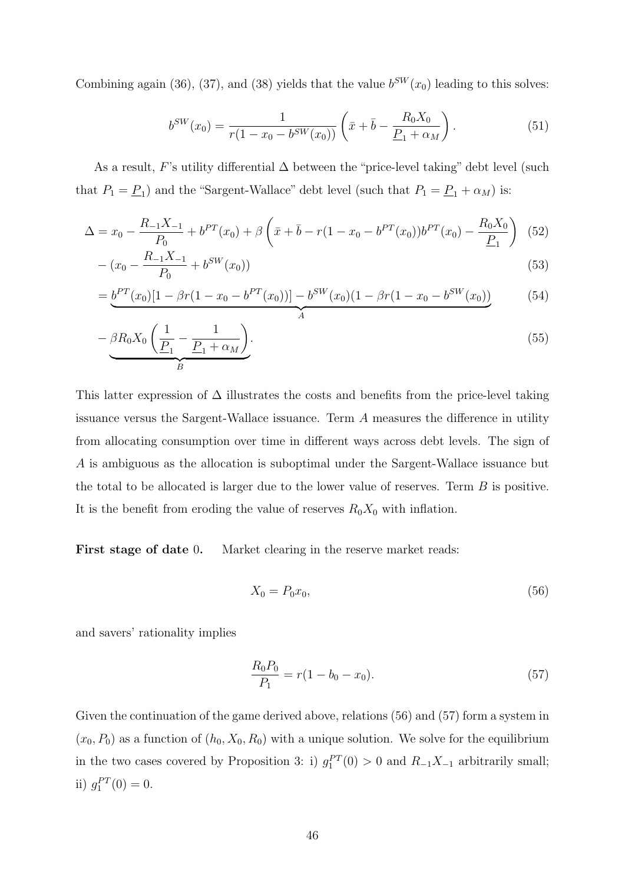Combining again (36), (37), and (38) yields that the value  $b^{SW}(x_0)$  leading to this solves:

$$
b^{SW}(x_0) = \frac{1}{r(1 - x_0 - b^{SW}(x_0))} \left(\bar{x} + \bar{b} - \frac{R_0 X_0}{\underline{P}_1 + \alpha_M}\right).
$$
 (51)

As a result, F's utility differential  $\Delta$  between the "price-level taking" debt level (such that  $P_1 = \underline{P}_1$  and the "Sargent-Wallace" debt level (such that  $P_1 = \underline{P}_1 + \alpha_M$ ) is:

$$
\Delta = x_0 - \frac{R_{-1}X_{-1}}{P_0} + b^{PT}(x_0) + \beta \left(\bar{x} + \bar{b} - r(1 - x_0 - b^{PT}(x_0))b^{PT}(x_0) - \frac{R_0X_0}{\underline{P}_1}\right) (52)
$$

$$
- (x_0 - \frac{R_{-1}X_{-1}}{P_0} + b^{SW}(x_0))
$$
\n<sup>(53)</sup>

$$
= \underbrace{b^{PT}(x_0)[1 - \beta r(1 - x_0 - b^{PT}(x_0))] - b^{SW}(x_0)(1 - \beta r(1 - x_0 - b^{SW}(x_0))}_{A}
$$
(54)

$$
-\underbrace{\beta R_0 X_0 \left(\frac{1}{\underline{P}_1} - \frac{1}{\underline{P}_1 + \alpha_M}\right)}_{B}.
$$
\n(55)

This latter expression of  $\Delta$  illustrates the costs and benefits from the price-level taking issuance versus the Sargent-Wallace issuance. Term A measures the difference in utility from allocating consumption over time in different ways across debt levels. The sign of A is ambiguous as the allocation is suboptimal under the Sargent-Wallace issuance but the total to be allocated is larger due to the lower value of reserves. Term  $B$  is positive. It is the benefit from eroding the value of reserves  $R_0X_0$  with inflation.

First stage of date 0. Market clearing in the reserve market reads:

$$
X_0 = P_0 x_0,\tag{56}
$$

and savers' rationality implies

$$
\frac{R_0 P_0}{P_1} = r(1 - b_0 - x_0). \tag{57}
$$

Given the continuation of the game derived above, relations (56) and (57) form a system in  $(x_0, P_0)$  as a function of  $(h_0, X_0, R_0)$  with a unique solution. We solve for the equilibrium in the two cases covered by Proposition 3: i)  $g_1^{PT}(0) > 0$  and  $R_{-1}X_{-1}$  arbitrarily small; ii)  $g_1^{PT}(0) = 0.$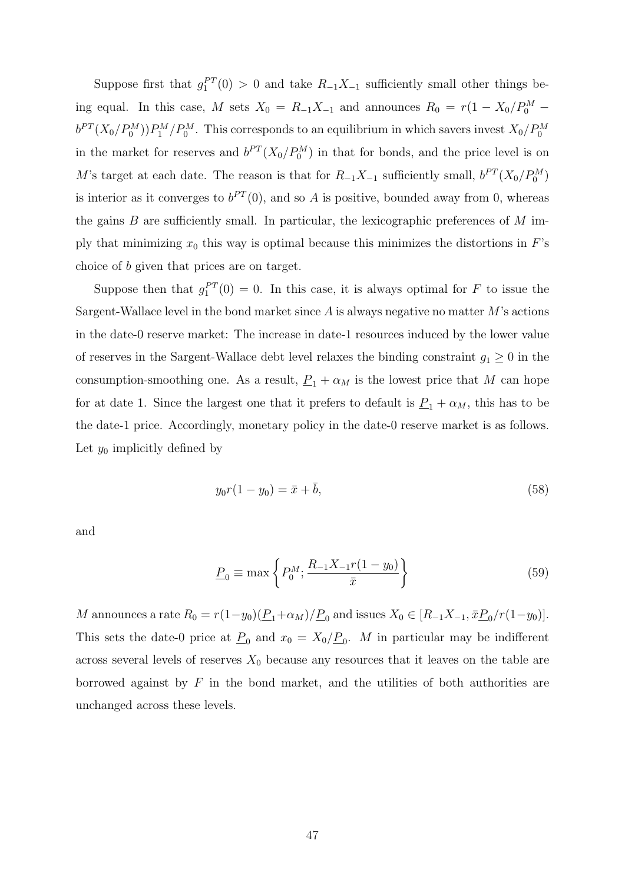Suppose first that  $g_1^{PT}(0) > 0$  and take  $R_{-1}X_{-1}$  sufficiently small other things being equal. In this case, M sets  $X_0 = R_{-1}X_{-1}$  and announces  $R_0 = r(1 - X_0/P_0^M$  $b^{PT}(X_0/P_0^M)P_1^M/P_0^M$ . This corresponds to an equilibrium in which savers invest  $X_0/P_0^M$ in the market for reserves and  $b^{PT}(X_0/P_0^M)$  in that for bonds, and the price level is on M's target at each date. The reason is that for  $R_{-1}X_{-1}$  sufficiently small,  $b^{PT}(X_0/P_0^M)$ is interior as it converges to  $b^{PT}(0)$ , and so A is positive, bounded away from 0, whereas the gains  $B$  are sufficiently small. In particular, the lexicographic preferences of  $M$  imply that minimizing  $x_0$  this way is optimal because this minimizes the distortions in  $F$ 's choice of b given that prices are on target.

Suppose then that  $g_1^{PT}(0) = 0$ . In this case, it is always optimal for F to issue the Sargent-Wallace level in the bond market since  $A$  is always negative no matter  $M$ 's actions in the date-0 reserve market: The increase in date-1 resources induced by the lower value of reserves in the Sargent-Wallace debt level relaxes the binding constraint  $g_1 \geq 0$  in the consumption-smoothing one. As a result,  $\underline{P}_1 + \alpha_M$  is the lowest price that M can hope for at date 1. Since the largest one that it prefers to default is  $\underline{P}_1 + \alpha_M$ , this has to be the date-1 price. Accordingly, monetary policy in the date-0 reserve market is as follows. Let  $y_0$  implicitly defined by

$$
y_0 r(1 - y_0) = \bar{x} + \bar{b}, \tag{58}
$$

and

$$
\underline{P}_0 \equiv \max \left\{ P_0^M; \frac{R_{-1}X_{-1}r(1-y_0)}{\bar{x}} \right\} \tag{59}
$$

M announces a rate  $R_0 = r(1-y_0)(\underline{P}_1+\alpha_M)/\underline{P}_0$  and issues  $X_0 \in [R_{-1}X_{-1}, \bar{x}\underline{P}_0/r(1-y_0)].$ This sets the date-0 price at  $\underline{P}_0$  and  $x_0 = X_0/\underline{P}_0$ . M in particular may be indifferent across several levels of reserves  $X_0$  because any resources that it leaves on the table are borrowed against by  $F$  in the bond market, and the utilities of both authorities are unchanged across these levels.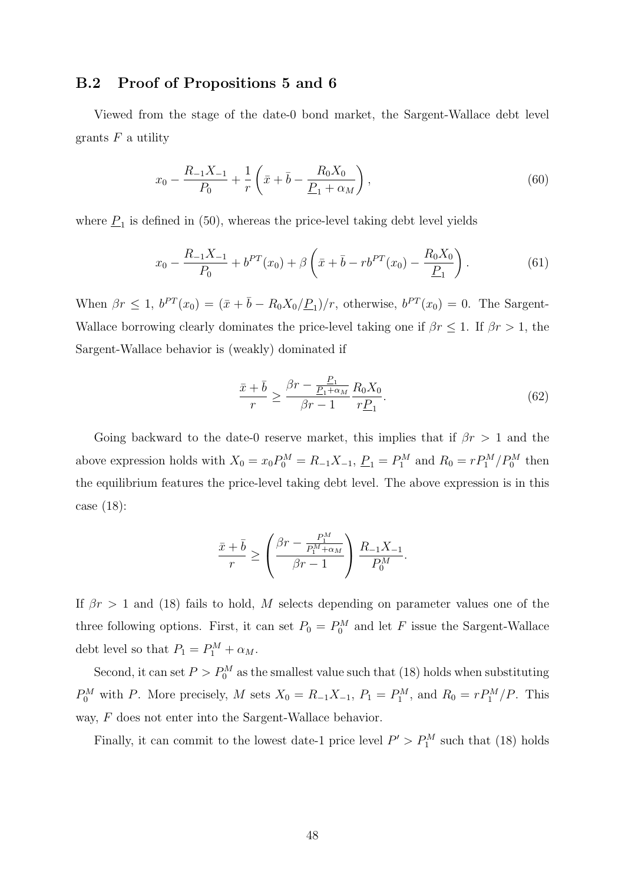### B.2 Proof of Propositions 5 and 6

Viewed from the stage of the date-0 bond market, the Sargent-Wallace debt level grants  $F$  a utility

$$
x_0 - \frac{R_{-1}X_{-1}}{P_0} + \frac{1}{r} \left( \bar{x} + \bar{b} - \frac{R_0X_0}{\underline{P}_1 + \alpha_M} \right),\tag{60}
$$

where  $P_1$  is defined in (50), whereas the price-level taking debt level yields

$$
x_0 - \frac{R_{-1}X_{-1}}{P_0} + b^{PT}(x_0) + \beta \left(\bar{x} + \bar{b} - rb^{PT}(x_0) - \frac{R_0X_0}{P_1}\right).
$$
 (61)

When  $\beta r \leq 1$ ,  $b^{PT}(x_0) = (\bar{x} + \bar{b} - R_0 X_0 / \underline{P}_1)/r$ , otherwise,  $b^{PT}(x_0) = 0$ . The Sargent-Wallace borrowing clearly dominates the price-level taking one if  $\beta r \leq 1$ . If  $\beta r > 1$ , the Sargent-Wallace behavior is (weakly) dominated if

$$
\frac{\bar{x}+\bar{b}}{r} \ge \frac{\beta r - \frac{P_1}{P_1 + \alpha_M}}{\beta r - 1} \frac{R_0 X_0}{r \underline{P}_1}.
$$
\n
$$
(62)
$$

Going backward to the date-0 reserve market, this implies that if  $\beta r > 1$  and the above expression holds with  $X_0 = x_0 P_0^M = R_{-1} X_{-1}$ ,  $\underline{P}_1 = P_1^M$  and  $R_0 = r P_1^M / P_0^M$  then the equilibrium features the price-level taking debt level. The above expression is in this case (18):

$$
\frac{\bar{x}+\bar{b}}{r} \ge \left(\frac{\beta r - \frac{P_1^M}{P_1^M + \alpha_M}}{\beta r - 1}\right) \frac{R_{-1}X_{-1}}{P_0^M}.
$$

If  $\beta r > 1$  and (18) fails to hold, M selects depending on parameter values one of the three following options. First, it can set  $P_0 = P_0^M$  and let F issue the Sargent-Wallace debt level so that  $P_1 = P_1^M + \alpha_M$ .

Second, it can set  $P > P_0^M$  as the smallest value such that (18) holds when substituting  $P_0^M$  with P. More precisely, M sets  $X_0 = R_{-1}X_{-1}$ ,  $P_1 = P_1^M$ , and  $R_0 = rP_1^M/P$ . This way, F does not enter into the Sargent-Wallace behavior.

Finally, it can commit to the lowest date-1 price level  $P' > P_1^M$  such that (18) holds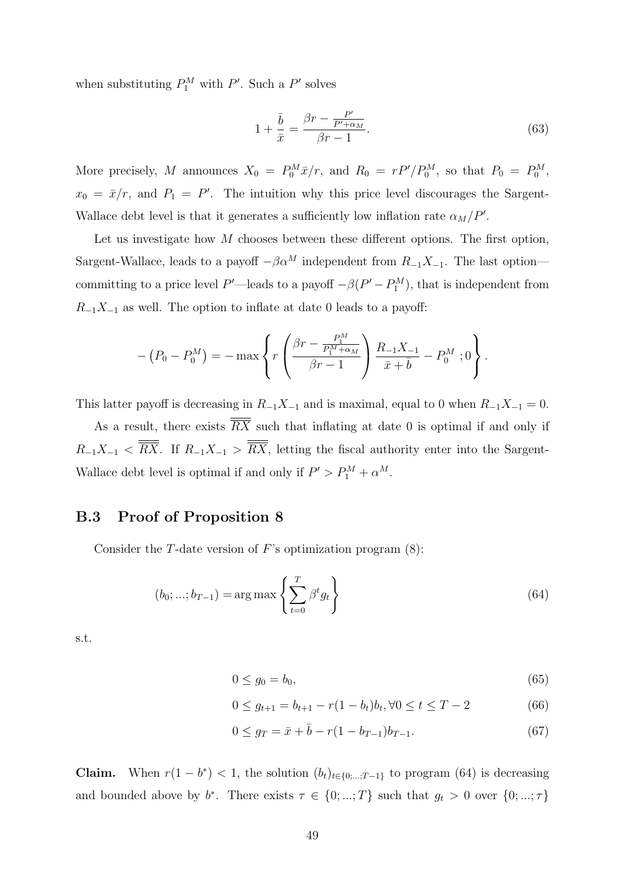when substituting  $P_1^M$  with P'. Such a P' solves

$$
1 + \frac{\bar{b}}{\bar{x}} = \frac{\beta r - \frac{P'}{P' + \alpha_M}}{\beta r - 1}.
$$
\n(63)

More precisely, M announces  $X_0 = P_0^M \bar{x}/r$ , and  $R_0 = rP'/P_0^M$ , so that  $P_0 = P_0^M$ ,  $x_0 = \bar{x}/r$ , and  $P_1 = P'$ . The intuition why this price level discourages the Sargent-Wallace debt level is that it generates a sufficiently low inflation rate  $\alpha_M/P'$ .

Let us investigate how  $M$  chooses between these different options. The first option, Sargent-Wallace, leads to a payoff  $-\beta \alpha^M$  independent from  $R_{-1}X_{-1}$ . The last option committing to a price level P'—leads to a payoff  $-\beta(P'-P_1^M)$ , that is independent from  $R_{-1}X_{-1}$  as well. The option to inflate at date 0 leads to a payoff:

$$
-(P_0 - P_0^M) = -\max \left\{ r \left( \frac{\beta r - \frac{P_1^M}{P_1^M + \alpha_M}}{\beta r - 1} \right) \frac{R_{-1}X_{-1}}{\bar{x} + \bar{b}} - P_0^M ; 0 \right\}.
$$

This latter payoff is decreasing in  $R_{-1}X_{-1}$  and is maximal, equal to 0 when  $R_{-1}X_{-1} = 0$ .

As a result, there exists  $\overline{RX}$  such that inflating at date 0 is optimal if and only if  $R_{-1}X_{-1} < \overline{RX}$ . If  $R_{-1}X_{-1} > \overline{RX}$ , letting the fiscal authority enter into the Sargent-Wallace debt level is optimal if and only if  $P' > P_1^M + \alpha^M$ .

### B.3 Proof of Proposition 8

Consider the  $T$ -date version of  $F$ 's optimization program  $(8)$ :

$$
(b_0; ...; b_{T-1}) = \arg \max \left\{ \sum_{t=0}^{T} \beta^t g_t \right\}
$$
 (64)

s.t.

$$
0 \le g_0 = b_0,\tag{65}
$$

$$
0 \le g_{t+1} = b_{t+1} - r(1 - b_t)b_t, \forall 0 \le t \le T - 2 \tag{66}
$$

$$
0 \le g_T = \bar{x} + \bar{b} - r(1 - b_{T-1})b_{T-1}.
$$
\n(67)

**Claim.** When  $r(1 - b^*) < 1$ , the solution  $(b_t)_{t \in \{0; \ldots; T-1\}}$  to program (64) is decreasing and bounded above by  $b^*$ . There exists  $\tau \in \{0, ..., T\}$  such that  $g_t > 0$  over  $\{0, ..., \tau\}$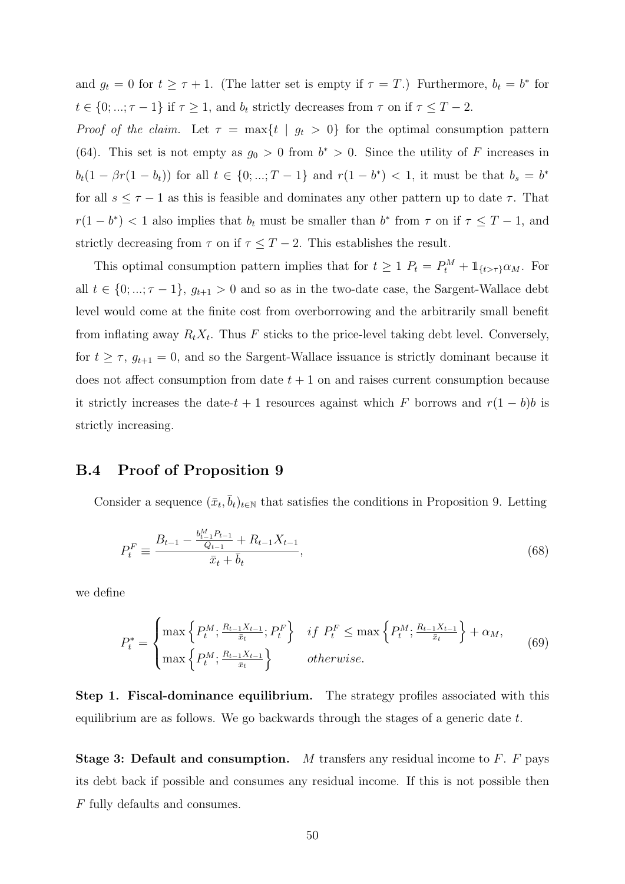and  $g_t = 0$  for  $t \geq \tau + 1$ . (The latter set is empty if  $\tau = T$ .) Furthermore,  $b_t = b^*$  for  $t \in \{0, ..., \tau - 1\}$  if  $\tau \geq 1$ , and  $b_t$  strictly decreases from  $\tau$  on if  $\tau \leq T - 2$ .

*Proof of the claim.* Let  $\tau = \max\{t \mid g_t > 0\}$  for the optimal consumption pattern (64). This set is not empty as  $g_0 > 0$  from  $b^* > 0$ . Since the utility of F increases in  $b_t(1 - \beta r(1 - b_t))$  for all  $t \in \{0, ..., T - 1\}$  and  $r(1 - b^*) < 1$ , it must be that  $b_s = b^*$ for all  $s \leq \tau - 1$  as this is feasible and dominates any other pattern up to date  $\tau$ . That  $r(1-b^*)$  < 1 also implies that  $b_t$  must be smaller than  $b^*$  from  $\tau$  on if  $\tau \leq T-1$ , and strictly decreasing from  $\tau$  on if  $\tau \leq T-2$ . This establishes the result.

This optimal consumption pattern implies that for  $t \geq 1$   $P_t = P_t^M + \mathbb{1}_{\{t > \tau\}} \alpha_M$ . For all  $t \in \{0, ..., \tau-1\}$ ,  $g_{t+1} > 0$  and so as in the two-date case, the Sargent-Wallace debt level would come at the finite cost from overborrowing and the arbitrarily small benefit from inflating away  $R_t X_t$ . Thus F sticks to the price-level taking debt level. Conversely, for  $t \geq \tau$ ,  $g_{t+1} = 0$ , and so the Sargent-Wallace issuance is strictly dominant because it does not affect consumption from date  $t + 1$  on and raises current consumption because it strictly increases the date- $t + 1$  resources against which F borrows and  $r(1 - b)b$  is strictly increasing.

#### B.4 Proof of Proposition 9

Consider a sequence  $(\bar{x}_t, \bar{b}_t)_{t \in \mathbb{N}}$  that satisfies the conditions in Proposition 9. Letting

$$
P_t^F \equiv \frac{B_{t-1} - \frac{b_{t-1}^H P_{t-1}}{Q_{t-1}} + R_{t-1} X_{t-1}}{\bar{x}_t + \bar{b}_t},\tag{68}
$$

we define

$$
P_t^* = \begin{cases} \max\left\{P_t^M; \frac{R_{t-1}X_{t-1}}{\bar{x}_t}; P_t^F\right\} & \text{if } P_t^F \le \max\left\{P_t^M; \frac{R_{t-1}X_{t-1}}{\bar{x}_t}\right\} + \alpha_M, \\ \max\left\{P_t^M; \frac{R_{t-1}X_{t-1}}{\bar{x}_t}\right\} & \text{otherwise.} \end{cases} \tag{69}
$$

Step 1. Fiscal-dominance equilibrium. The strategy profiles associated with this equilibrium are as follows. We go backwards through the stages of a generic date  $t$ .

**Stage 3: Default and consumption.** M transfers any residual income to  $F$ .  $F$  pays its debt back if possible and consumes any residual income. If this is not possible then F fully defaults and consumes.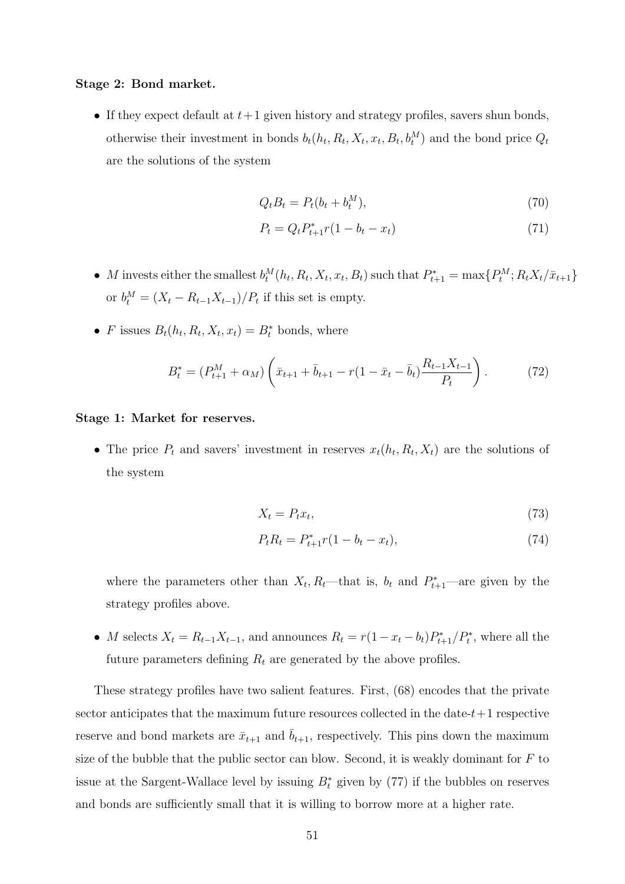#### Stage 2: Bond market.

• If they expect default at  $t+1$  given history and strategy profiles, savers shun bonds, otherwise their investment in bonds  $b_t(h_t, R_t, X_t, x_t, B_t, b_t^M)$  and the bond price  $Q_t$ are the solutions of the system

$$
Q_t B_t = P_t (b_t + b_t^M), \tag{70}
$$

$$
P_t = Q_t P_{t+1}^* r (1 - b_t - x_t)
$$
\n(71)

- M invests either the smallest  $b_t^M(h_t, R_t, X_t, x_t, B_t)$  such that  $P_{t+1}^* = \max\{P_t^M; R_t X_t / \bar{x}_{t+1}\}$ or  $b_t^M = (X_t - R_{t-1}X_{t-1})/P_t$  if this set is empty.
- F issues  $B_t(h_t, R_t, X_t, x_t) = B_t^*$  bonds, where

$$
B_t^* = (P_{t+1}^M + \alpha_M) \left( \bar{x}_{t+1} + \bar{b}_{t+1} - r(1 - \bar{x}_t - \bar{b}_t) \frac{R_{t-1} X_{t-1}}{P_t} \right).
$$
(72)

#### Stage 1: Market for reserves.

• The price  $P_t$  and savers' investment in reserves  $x_t(h_t, R_t, X_t)$  are the solutions of the system

$$
X_t = P_t x_t,\tag{73}
$$

$$
P_t R_t = P_{t+1}^* r (1 - b_t - x_t), \tag{74}
$$

where the parameters other than  $X_t$ ,  $R_t$ —that is,  $b_t$  and  $P_{t+1}^*$ —are given by the strategy profiles above.

• M selects  $X_t = R_{t-1}X_{t-1}$ , and announces  $R_t = r(1 - x_t - b_t)P_{t+1}^*/P_t^*$ , where all the future parameters defining  $R_t$  are generated by the above profiles.

These strategy profiles have two salient features. First, (68) encodes that the private sector anticipates that the maximum future resources collected in the date- $t+1$  respective reserve and bond markets are  $\bar{x}_{t+1}$  and  $\bar{b}_{t+1}$ , respectively. This pins down the maximum size of the bubble that the public sector can blow. Second, it is weakly dominant for  $F$  to issue at the Sargent-Wallace level by issuing  $B_t^*$  given by (77) if the bubbles on reserves and bonds are sufficiently small that it is willing to borrow more at a higher rate.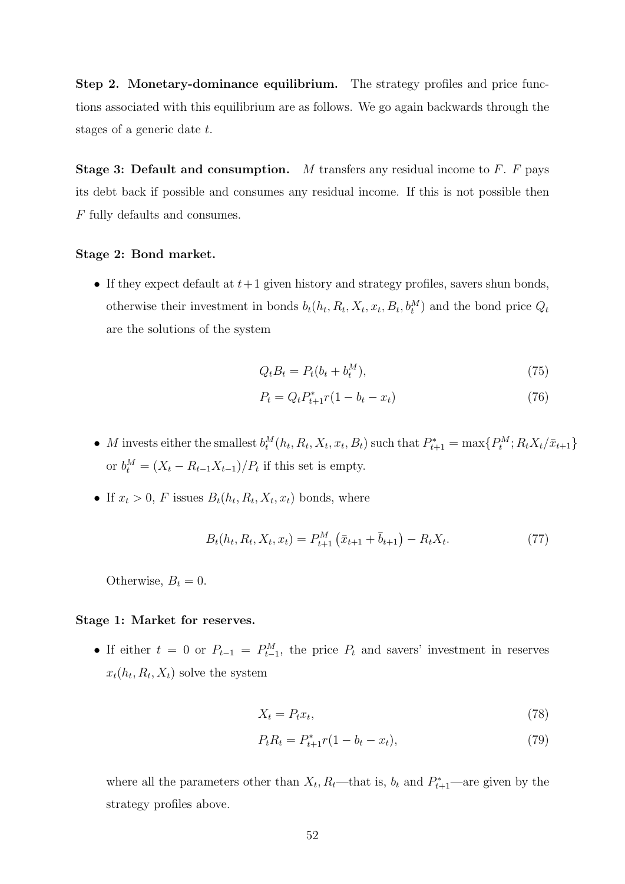Step 2. Monetary-dominance equilibrium. The strategy profiles and price functions associated with this equilibrium are as follows. We go again backwards through the stages of a generic date t.

**Stage 3: Default and consumption.** M transfers any residual income to  $F$ .  $F$  pays its debt back if possible and consumes any residual income. If this is not possible then F fully defaults and consumes.

#### Stage 2: Bond market.

• If they expect default at  $t+1$  given history and strategy profiles, savers shun bonds, otherwise their investment in bonds  $b_t(h_t, R_t, X_t, x_t, B_t, b_t^M)$  and the bond price  $Q_t$ are the solutions of the system

$$
Q_t B_t = P_t (b_t + b_t^M), \tag{75}
$$

$$
P_t = Q_t P_{t+1}^* r (1 - b_t - x_t)
$$
\n(76)

- M invests either the smallest  $b_t^M(h_t, R_t, X_t, x_t, B_t)$  such that  $P_{t+1}^* = \max\{P_t^M; R_t X_t / \bar{x}_{t+1}\}$ or  $b_t^M = (X_t - R_{t-1}X_{t-1})/P_t$  if this set is empty.
- If  $x_t > 0$ , F issues  $B_t(h_t, R_t, X_t, x_t)$  bonds, where

$$
B_t(h_t, R_t, X_t, x_t) = P_{t+1}^M(\bar{x}_{t+1} + \bar{b}_{t+1}) - R_t X_t.
$$
 (77)

Otherwise,  $B_t = 0$ .

#### Stage 1: Market for reserves.

• If either  $t = 0$  or  $P_{t-1} = P_{t-1}^M$ , the price  $P_t$  and savers' investment in reserves  $x_t(h_t, R_t, X_t)$  solve the system

$$
X_t = P_t x_t,\tag{78}
$$

$$
P_t R_t = P_{t+1}^* r (1 - b_t - x_t), \tag{79}
$$

where all the parameters other than  $X_t$ ,  $R_t$ —that is,  $b_t$  and  $P_{t+1}^*$ —are given by the strategy profiles above.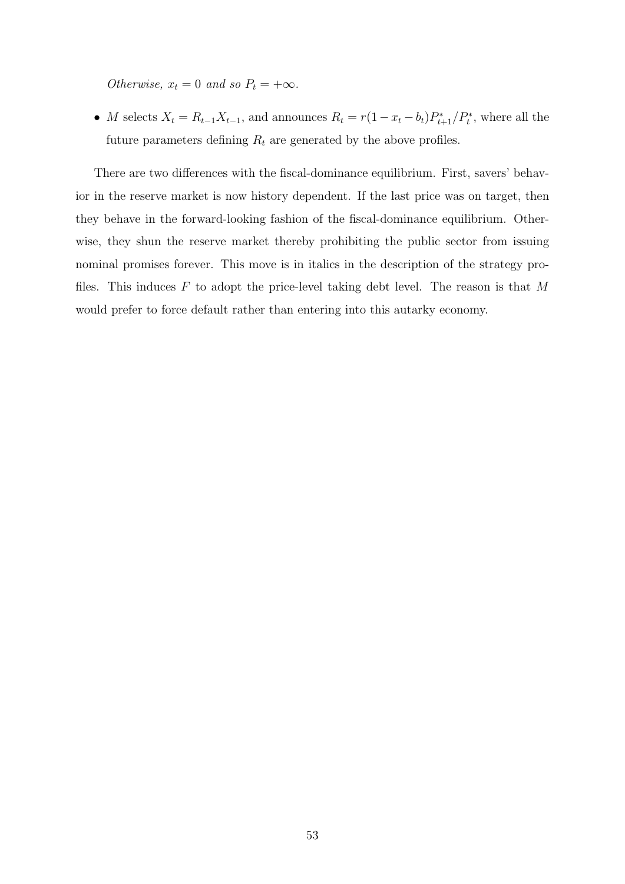Otherwise,  $x_t = 0$  and so  $P_t = +\infty$ .

• M selects  $X_t = R_{t-1}X_{t-1}$ , and announces  $R_t = r(1 - x_t - b_t)P_{t+1}^*/P_t^*$ , where all the future parameters defining  $R_t$  are generated by the above profiles.

There are two differences with the fiscal-dominance equilibrium. First, savers' behavior in the reserve market is now history dependent. If the last price was on target, then they behave in the forward-looking fashion of the fiscal-dominance equilibrium. Otherwise, they shun the reserve market thereby prohibiting the public sector from issuing nominal promises forever. This move is in italics in the description of the strategy profiles. This induces  $F$  to adopt the price-level taking debt level. The reason is that  $M$ would prefer to force default rather than entering into this autarky economy.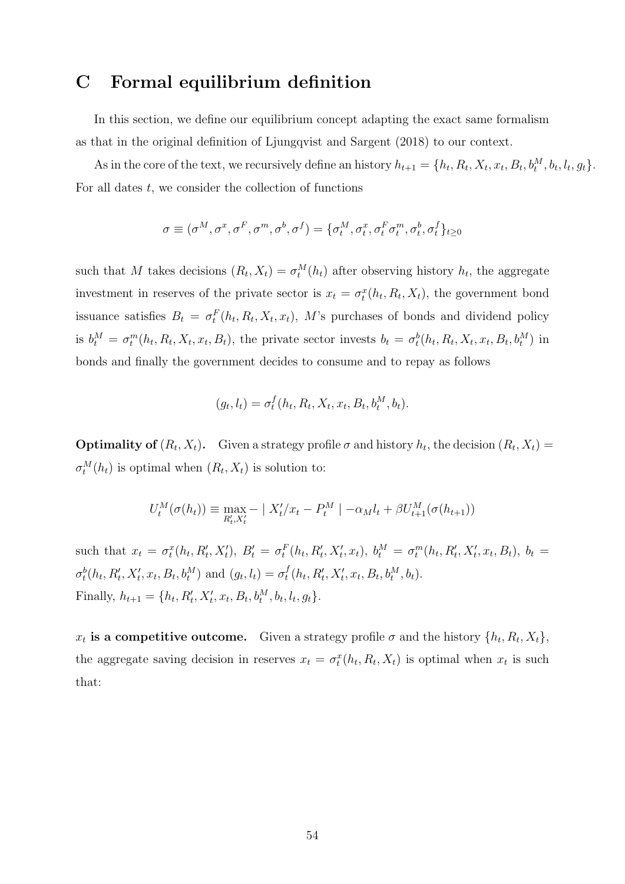## C Formal equilibrium definition

In this section, we define our equilibrium concept adapting the exact same formalism as that in the original definition of Ljungqvist and Sargent (2018) to our context.

As in the core of the text, we recursively define an history  $h_{t+1} = \{h_t, R_t, X_t, x_t, B_t, b_t^M, b_t, l_t, g_t\}.$ For all dates  $t$ , we consider the collection of functions

$$
\sigma \equiv (\sigma^M, \sigma^x, \sigma^F, \sigma^m, \sigma^b, \sigma^f) = \{\sigma^M_t, \sigma^x_t, \sigma^F_t\sigma^m_t, \sigma^b_t, \sigma^f_t\}_{t\geq 0}
$$

such that M takes decisions  $(R_t, X_t) = \sigma_t^M(h_t)$  after observing history  $h_t$ , the aggregate investment in reserves of the private sector is  $x_t = \sigma_t^x(h_t, R_t, X_t)$ , the government bond issuance satisfies  $B_t = \sigma_t^F(h_t, R_t, X_t, x_t)$ , M's purchases of bonds and dividend policy is  $b_t^M = \sigma_t^m(h_t, R_t, X_t, x_t, B_t)$ , the private sector invests  $b_t = \sigma_t^b(h_t, R_t, X_t, x_t, B_t, b_t^M)$  in bonds and finally the government decides to consume and to repay as follows

$$
(g_t, l_t) = \sigma_t^f(h_t, R_t, X_t, x_t, B_t, b_t^M, b_t).
$$

**Optimality of**  $(R_t, X_t)$ . Given a strategy profile  $\sigma$  and history  $h_t$ , the decision  $(R_t, X_t)$  =  $\sigma_t^M(h_t)$  is optimal when  $(R_t, X_t)$  is solution to:

$$
U_t^M(\sigma(h_t)) \equiv \max_{R'_t, X'_t} -|X'_t/x_t - P_t^M| -\alpha_M l_t + \beta U_{t+1}^M(\sigma(h_{t+1}))
$$

such that  $x_t = \sigma_t^x(h_t, R'_t, X'_t), B'_t = \sigma_t^F(h_t, R'_t, X'_t, x_t), b_t^M = \sigma_t^m(h_t, R'_t, X'_t, x_t, B_t), b_t =$  $\sigma_t^b(h_t, R'_t, X'_t, x_t, B_t, b_t^M)$  and  $(g_t, l_t) = \sigma_t^f$  $_{t}^{f}(h_{t}, R_{t}', X_{t}', x_{t}, B_{t}, b_{t}^{M}, b_{t}).$ Finally,  $h_{t+1} = \{h_t, R'_t, X'_t, x_t, B_t, b_t^M, b_t, l_t, g_t\}.$ 

 $x_t$  is a competitive outcome. Given a strategy profile  $\sigma$  and the history  $\{h_t, R_t, X_t\},$ the aggregate saving decision in reserves  $x_t = \sigma_t^x(h_t, R_t, X_t)$  is optimal when  $x_t$  is such that: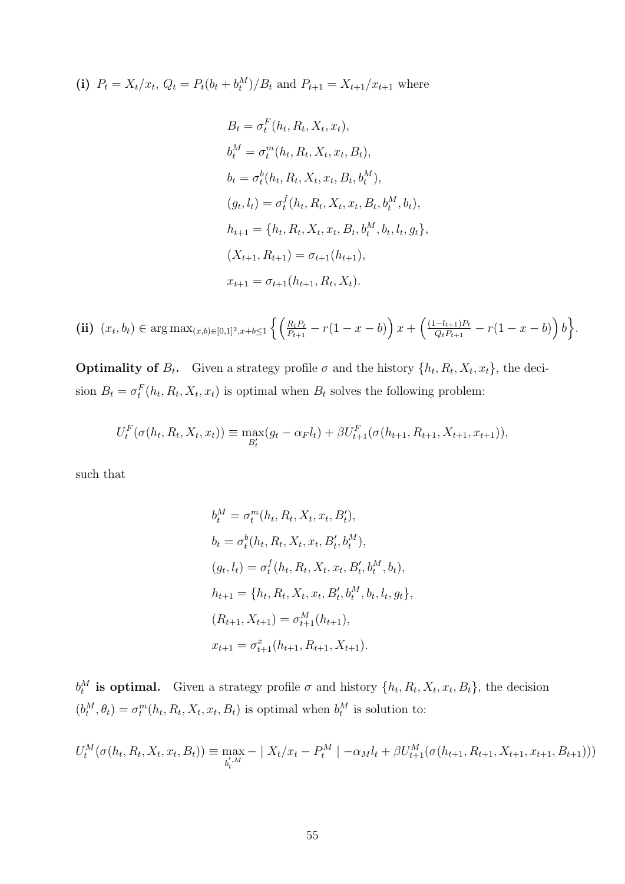(i) 
$$
P_t = X_t/x_t
$$
,  $Q_t = P_t(b_t + b_t^M)/B_t$  and  $P_{t+1} = X_{t+1}/x_{t+1}$  where

$$
B_t = \sigma_t^F(h_t, R_t, X_t, x_t),
$$
  
\n
$$
b_t^M = \sigma_t^m(h_t, R_t, X_t, x_t, B_t),
$$
  
\n
$$
b_t = \sigma_t^b(h_t, R_t, X_t, x_t, B_t, b_t^M),
$$
  
\n
$$
(g_t, l_t) = \sigma_t^f(h_t, R_t, X_t, x_t, B_t, b_t^M, b_t),
$$
  
\n
$$
h_{t+1} = \{h_t, R_t, X_t, x_t, B_t, b_t^M, b_t, l_t, g_t\},
$$
  
\n
$$
(X_{t+1}, R_{t+1}) = \sigma_{t+1}(h_{t+1}),
$$
  
\n
$$
x_{t+1} = \sigma_{t+1}(h_{t+1}, R_t, X_t).
$$

$$
\textbf{(ii)}\ \ (x_t, b_t) \in \arg\max_{(x,b)\in[0,1]^2, x+b\le 1} \left\{ \left( \frac{R_t P_t}{P_{t+1}} - r(1-x-b) \right) x + \left( \frac{(1-l_{t+1})P_t}{Q_t P_{t+1}} - r(1-x-b) \right) b \right\}.
$$

**Optimality of**  $B_t$ **.** Given a strategy profile  $\sigma$  and the history  $\{h_t, R_t, X_t, x_t\}$ , the decision  $B_t = \sigma_t^F(h_t, R_t, X_t, x_t)$  is optimal when  $B_t$  solves the following problem:

$$
U_t^F(\sigma(h_t, R_t, X_t, x_t)) \equiv \max_{B_t'}(g_t - \alpha_F l_t) + \beta U_{t+1}^F(\sigma(h_{t+1}, R_{t+1}, X_{t+1}, x_{t+1})),
$$

such that

$$
b_t^M = \sigma_t^m(h_t, R_t, X_t, x_t, B'_t),
$$
  
\n
$$
b_t = \sigma_t^b(h_t, R_t, X_t, x_t, B'_t, b_t^M),
$$
  
\n
$$
(g_t, l_t) = \sigma_t^f(h_t, R_t, X_t, x_t, B'_t, b_t^M, b_t),
$$
  
\n
$$
h_{t+1} = \{h_t, R_t, X_t, x_t, B'_t, b_t^M, b_t, l_t, g_t\},
$$
  
\n
$$
(R_{t+1}, X_{t+1}) = \sigma_{t+1}^M(h_{t+1}),
$$
  
\n
$$
x_{t+1} = \sigma_{t+1}^x(h_{t+1}, R_{t+1}, X_{t+1}).
$$

 $b_t^M$  is optimal. Given a strategy profile  $\sigma$  and history  $\{h_t, R_t, X_t, x_t, B_t\}$ , the decision  $(b_t^M, \theta_t) = \sigma_t^m(h_t, R_t, X_t, x_t, B_t)$  is optimal when  $b_t^M$  is solution to:

$$
U_t^M(\sigma(h_t, R_t, X_t, x_t, B_t)) \equiv \max_{b_t^{',M}} - |X_t/x_t - P_t^M| - \alpha_M l_t + \beta U_{t+1}^M(\sigma(h_{t+1}, R_{t+1}, X_{t+1}, x_{t+1}, B_{t+1})))
$$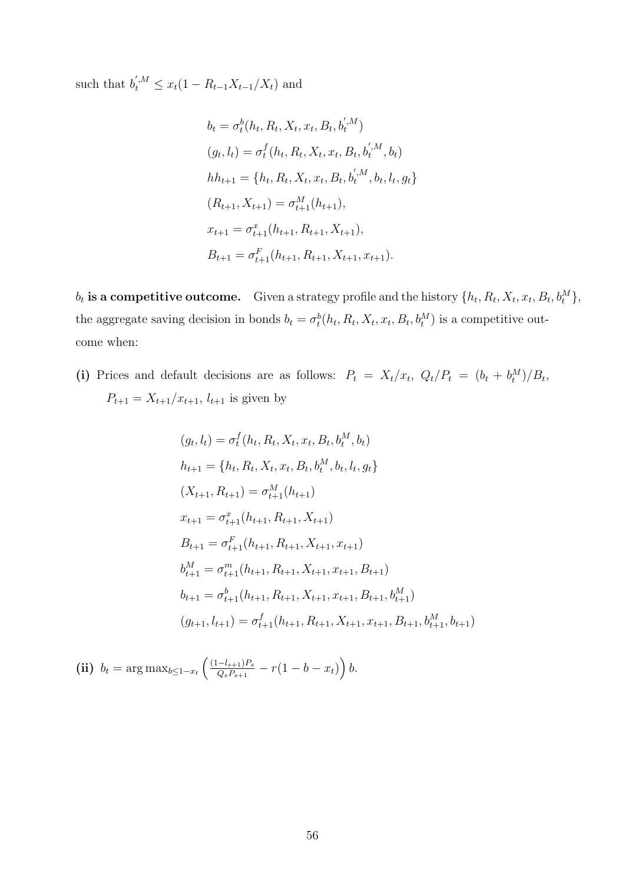such that  $b_t^{',M} \leq x_t(1 - R_{t-1}X_{t-1}/X_t)$  and

$$
b_t = \sigma_t^b(h_t, R_t, X_t, x_t, B_t, b_t^{',M})
$$
  
\n
$$
(g_t, l_t) = \sigma_t^f(h_t, R_t, X_t, x_t, B_t, b_t^{',M}, b_t)
$$
  
\n
$$
hh_{t+1} = \{h_t, R_t, X_t, x_t, B_t, b_t^{',M}, b_t, l_t, g_t\}
$$
  
\n
$$
(R_{t+1}, X_{t+1}) = \sigma_{t+1}^M(h_{t+1}),
$$
  
\n
$$
x_{t+1} = \sigma_{t+1}^x(h_{t+1}, R_{t+1}, X_{t+1}),
$$
  
\n
$$
B_{t+1} = \sigma_{t+1}^F(h_{t+1}, R_{t+1}, X_{t+1}, x_{t+1}).
$$

 $b_t$  is a competitive outcome. Given a strategy profile and the history  $\{h_t, R_t, X_t, x_t, B_t, b_t^M\},$ the aggregate saving decision in bonds  $b_t = \sigma_t^b(h_t, R_t, X_t, x_t, B_t, b_t^M)$  is a competitive outcome when:

(i) Prices and default decisions are as follows:  $P_t = X_t/x_t$ ,  $Q_t/P_t = (b_t + b_t^M)/B_t$ ,  $P_{t+1} = X_{t+1}/x_{t+1}, l_{t+1}$  is given by

$$
(g_t, l_t) = \sigma_t^f(h_t, R_t, X_t, x_t, B_t, b_t^M, b_t)
$$
  
\n
$$
h_{t+1} = \{h_t, R_t, X_t, x_t, B_t, b_t^M, b_t, l_t, g_t\}
$$
  
\n
$$
(X_{t+1}, R_{t+1}) = \sigma_{t+1}^M(h_{t+1})
$$
  
\n
$$
x_{t+1} = \sigma_{t+1}^x(h_{t+1}, R_{t+1}, X_{t+1})
$$
  
\n
$$
B_{t+1} = \sigma_{t+1}^F(h_{t+1}, R_{t+1}, X_{t+1}, x_{t+1})
$$
  
\n
$$
b_{t+1}^M = \sigma_{t+1}^m(h_{t+1}, R_{t+1}, X_{t+1}, x_{t+1}, B_{t+1})
$$
  
\n
$$
(g_{t+1}, l_{t+1}) = \sigma_{t+1}^f(h_{t+1}, R_{t+1}, X_{t+1}, X_{t+1}, x_{t+1}, B_{t+1}, b_{t+1}^M, b_{t+1})
$$

(ii)  $b_t = \arg \max_{b \leq 1-x_t} \left( \frac{(1-l_{s+1})P_s}{Q_s P_{s+1}} \right)$  $\frac{(-l_{s+1})P_s}{Q_sP_{s+1}} - r(1-b-x_t)\Big) b.$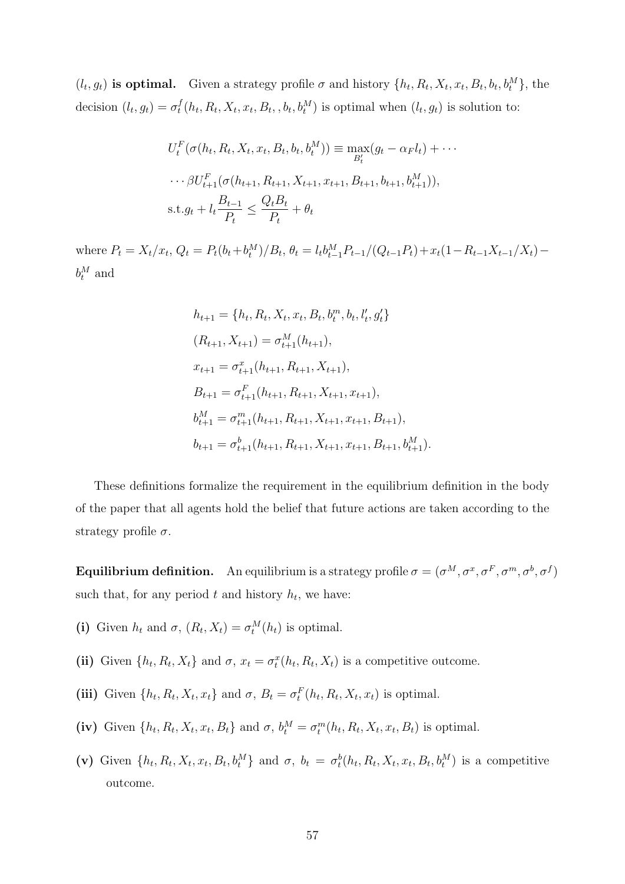$(l_t, g_t)$  is optimal. Given a strategy profile  $\sigma$  and history  $\{h_t, R_t, X_t, x_t, B_t, b_t, b_t^M\}$ , the decision  $(l_t, g_t) = \sigma_t^f$  $t_t^f(h_t, R_t, X_t, x_t, B_t, , b_t, b_t^M)$  is optimal when  $(l_t, g_t)$  is solution to:

$$
U_t^F(\sigma(h_t, R_t, X_t, x_t, B_t, b_t, b_t^M)) \equiv \max_{B'_t} (g_t - \alpha_F l_t) + \cdots
$$
  

$$
\cdots \beta U_{t+1}^F(\sigma(h_{t+1}, R_{t+1}, X_{t+1}, x_{t+1}, B_{t+1}, b_{t+1}, b_{t+1}^M)),
$$
  
s.t.  $g_t + l_t \frac{B_{t-1}}{P_t} \leq \frac{Q_t B_t}{P_t} + \theta_t$ 

where  $P_t = X_t/x_t$ ,  $Q_t = P_t(b_t + b_t^M)/B_t$ ,  $\theta_t = l_t b_{t-1}^M P_{t-1}/(Q_{t-1}P_t) + x_t(1 - R_{t-1}X_{t-1}/X_t)$  $b_t^M$  and

$$
h_{t+1} = \{h_t, R_t, X_t, x_t, B_t, b_t^m, b_t, l_t', g_t'\}
$$
  
\n
$$
(R_{t+1}, X_{t+1}) = \sigma_{t+1}^M(h_{t+1}),
$$
  
\n
$$
x_{t+1} = \sigma_{t+1}^x(h_{t+1}, R_{t+1}, X_{t+1}),
$$
  
\n
$$
B_{t+1} = \sigma_{t+1}^F(h_{t+1}, R_{t+1}, X_{t+1}, x_{t+1}),
$$
  
\n
$$
b_{t+1}^M = \sigma_{t+1}^m(h_{t+1}, R_{t+1}, X_{t+1}, x_{t+1}, B_{t+1}),
$$
  
\n
$$
b_{t+1} = \sigma_{t+1}^b(h_{t+1}, R_{t+1}, X_{t+1}, x_{t+1}, B_{t+1}, b_{t+1}^M).
$$

These definitions formalize the requirement in the equilibrium definition in the body of the paper that all agents hold the belief that future actions are taken according to the strategy profile  $\sigma$ .

**Equilibrium definition.** An equilibrium is a strategy profile  $\sigma = (\sigma^M, \sigma^x, \sigma^F, \sigma^m, \sigma^b, \sigma^f)$ such that, for any period  $t$  and history  $h_t$ , we have:

- (i) Given  $h_t$  and  $\sigma$ ,  $(R_t, X_t) = \sigma_t^M(h_t)$  is optimal.
- (ii) Given  $\{h_t, R_t, X_t\}$  and  $\sigma, x_t = \sigma_t^x(h_t, R_t, X_t)$  is a competitive outcome.
- (iii) Given  $\{h_t, R_t, X_t, x_t\}$  and  $\sigma$ ,  $B_t = \sigma_t^F(h_t, R_t, X_t, x_t)$  is optimal.
- (iv) Given  $\{h_t, R_t, X_t, x_t, B_t\}$  and  $\sigma, b_t^M = \sigma_t^m(h_t, R_t, X_t, x_t, B_t)$  is optimal.
- (v) Given  $\{h_t, R_t, X_t, x_t, B_t, b_t^M\}$  and  $\sigma$ ,  $b_t = \sigma_t^b(h_t, R_t, X_t, x_t, B_t, b_t^M)$  is a competitive outcome.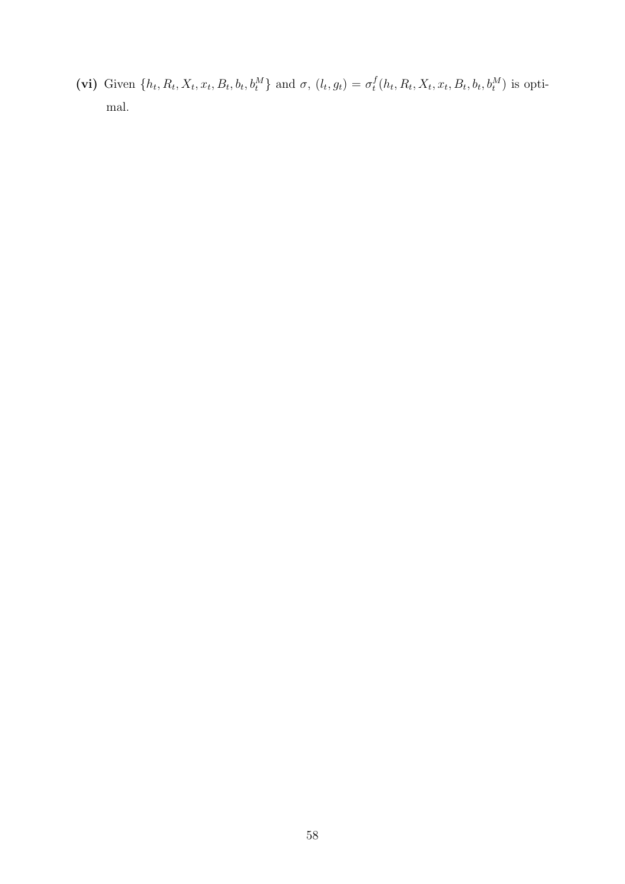(vi) Given  $\{h_t, R_t, X_t, x_t, B_t, b_t, b_t^M\}$  and  $\sigma$ ,  $(l_t, g_t) = \sigma_t^M$  $t^f(t_h, R_t, X_t, x_t, B_t, b_t, b_t^M)$  is optimal.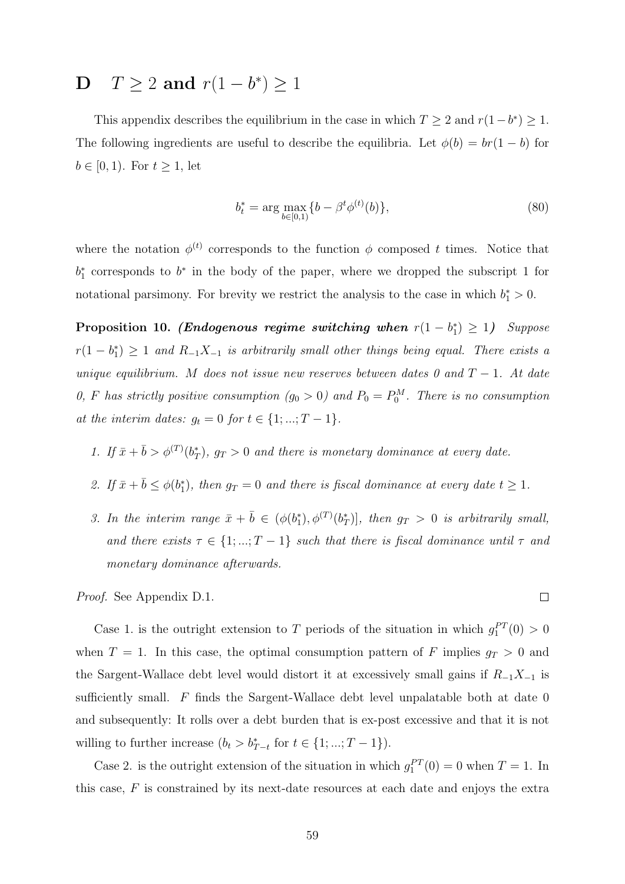# **D**  $T \ge 2$  and  $r(1 - b^*) \ge 1$

This appendix describes the equilibrium in the case in which  $T \geq 2$  and  $r(1-b^*) \geq 1$ . The following ingredients are useful to describe the equilibria. Let  $\phi(b) = br(1 - b)$  for  $b \in [0, 1)$ . For  $t \geq 1$ , let

$$
b_t^* = \arg\max_{b \in [0,1)} \{b - \beta^t \phi^{(t)}(b)\},\tag{80}
$$

where the notation  $\phi^{(t)}$  corresponds to the function  $\phi$  composed t times. Notice that  $b_1^*$  corresponds to  $b^*$  in the body of the paper, where we dropped the subscript 1 for notational parsimony. For brevity we restrict the analysis to the case in which  $b_1^* > 0$ .

Proposition 10. (Endogenous regime switching when  $r(1-b_1^*) \geq 1$ ) Suppose  $r(1-b_1^*)\geq 1$  and  $R_{-1}X_{-1}$  is arbitrarily small other things being equal. There exists a unique equilibrium. M does not issue new reserves between dates 0 and  $T-1$ . At date 0, F has strictly positive consumption  $(g_0 > 0)$  and  $P_0 = P_0^M$ . There is no consumption at the interim dates:  $g_t = 0$  for  $t \in \{1, ..., T - 1\}$ .

- 1. If  $\bar{x} + \bar{b} > \phi^{(T)}(b_T^*)$ ,  $g_T > 0$  and there is monetary dominance at every date.
- 2. If  $\bar{x} + \bar{b} \leq \phi(b_1^*)$ , then  $g_T = 0$  and there is fiscal dominance at every date  $t \geq 1$ .
- 3. In the interim range  $\bar{x} + \bar{b} \in (\phi(b_1^*), \phi^{(T)}(b_T^*))$ , then  $g_T > 0$  is arbitrarily small, and there exists  $\tau \in \{1, ..., T-1\}$  such that there is fiscal dominance until  $\tau$  and monetary dominance afterwards.

Proof. See Appendix D.1.

Case 1. is the outright extension to T periods of the situation in which  $g_1^{PT}(0) > 0$ when  $T = 1$ . In this case, the optimal consumption pattern of F implies  $g_T > 0$  and the Sargent-Wallace debt level would distort it at excessively small gains if  $R_{-1}X_{-1}$  is sufficiently small. F finds the Sargent-Wallace debt level unpalatable both at date 0 and subsequently: It rolls over a debt burden that is ex-post excessive and that it is not willing to further increase  $(b_t > b_{T-t}^*$  for  $t \in \{1, ..., T-1\})$ .

Case 2. is the outright extension of the situation in which  $g_1^{PT}(0) = 0$  when  $T = 1$ . In this case, F is constrained by its next-date resources at each date and enjoys the extra

 $\Box$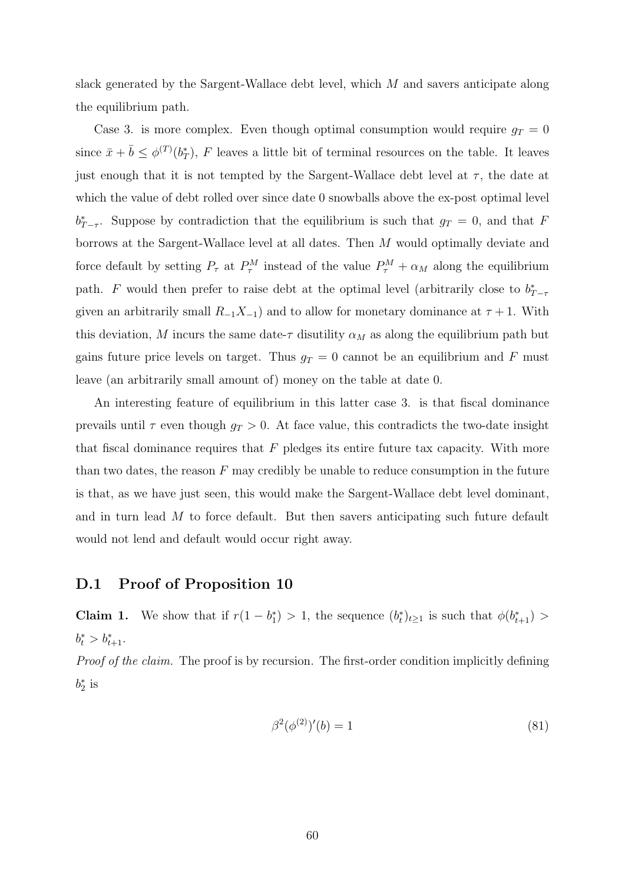slack generated by the Sargent-Wallace debt level, which M and savers anticipate along the equilibrium path.

Case 3. is more complex. Even though optimal consumption would require  $g_T = 0$ since  $\bar{x} + \bar{b} \leq \phi^{(T)}(b_T^*)$ , F leaves a little bit of terminal resources on the table. It leaves just enough that it is not tempted by the Sargent-Wallace debt level at  $\tau$ , the date at which the value of debt rolled over since date 0 snowballs above the ex-post optimal level  $b_{T-\tau}^*$ . Suppose by contradiction that the equilibrium is such that  $g_T = 0$ , and that F borrows at the Sargent-Wallace level at all dates. Then M would optimally deviate and force default by setting  $P_{\tau}$  at  $P_{\tau}^{M}$  instead of the value  $P_{\tau}^{M} + \alpha_{M}$  along the equilibrium path. F would then prefer to raise debt at the optimal level (arbitrarily close to  $b_{T-\tau}^*$ given an arbitrarily small  $R_{-1}X_{-1}$ ) and to allow for monetary dominance at  $\tau + 1$ . With this deviation, M incurs the same date- $\tau$  disutility  $\alpha_M$  as along the equilibrium path but gains future price levels on target. Thus  $g_T = 0$  cannot be an equilibrium and F must leave (an arbitrarily small amount of) money on the table at date 0.

An interesting feature of equilibrium in this latter case 3. is that fiscal dominance prevails until  $\tau$  even though  $g_T > 0$ . At face value, this contradicts the two-date insight that fiscal dominance requires that  $F$  pledges its entire future tax capacity. With more than two dates, the reason  $F$  may credibly be unable to reduce consumption in the future is that, as we have just seen, this would make the Sargent-Wallace debt level dominant, and in turn lead  $M$  to force default. But then savers anticipating such future default would not lend and default would occur right away.

### D.1 Proof of Proposition 10

**Claim 1.** We show that if  $r(1-b_1^*) > 1$ , the sequence  $(b_t^*)_{t\geq 1}$  is such that  $\phi(b_{t+1}^*) >$  $b_t^* > b_{t+1}^*$ .

Proof of the claim. The proof is by recursion. The first-order condition implicitly defining  $b_2^*$  is

$$
\beta^2(\phi^{(2)})'(b) = 1\tag{81}
$$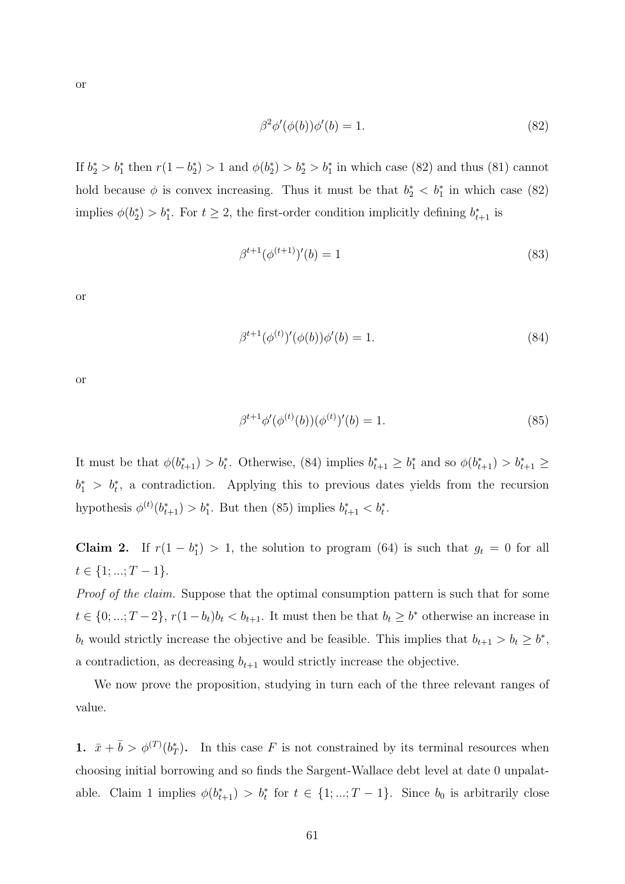or

$$
\beta^2 \phi'(\phi(b))\phi'(b) = 1. \tag{82}
$$

If  $b_2^* > b_1^*$  then  $r(1 - b_2^*) > 1$  and  $\phi(b_2^*) > b_2^* > b_1^*$  in which case (82) and thus (81) cannot hold because  $\phi$  is convex increasing. Thus it must be that  $b_2^* < b_1^*$  in which case (82) implies  $\phi(b_2^*) > b_1^*$ . For  $t \geq 2$ , the first-order condition implicitly defining  $b_{t+1}^*$  is

$$
\beta^{t+1}(\phi^{(t+1)})'(b) = 1\tag{83}
$$

or

$$
\beta^{t+1}(\phi^{(t)})'(\phi(b))\phi'(b) = 1.
$$
\n(84)

or

$$
\beta^{t+1}\phi'(\phi^{(t)}(b))(\phi^{(t)})'(b) = 1.
$$
\n(85)

It must be that  $\phi(b_{t+1}^*) > b_t^*$ . Otherwise, (84) implies  $b_{t+1}^* \geq b_1^*$  and so  $\phi(b_{t+1}^*) > b_{t+1}^* \geq b_1^*$  $b_1^* > b_t^*$ , a contradiction. Applying this to previous dates yields from the recursion hypothesis  $\phi^{(t)}(b_{t+1}^*) > b_1^*$ . But then (85) implies  $b_{t+1}^* < b_t^*$ .

Claim 2. If  $r(1-b_1^*) > 1$ , the solution to program (64) is such that  $g_t = 0$  for all  $t \in \{1, ..., T-1\}.$ 

Proof of the claim. Suppose that the optimal consumption pattern is such that for some  $t \in \{0, \ldots, T-2\}, r(1-b_t)b_t < b_{t+1}$ . It must then be that  $b_t \geq b^*$  otherwise an increase in  $b_t$  would strictly increase the objective and be feasible. This implies that  $b_{t+1} > b_t \ge b^*$ , a contradiction, as decreasing  $b_{t+1}$  would strictly increase the objective.

We now prove the proposition, studying in turn each of the three relevant ranges of value.

1.  $\bar{x} + \bar{b} > \phi^{(T)}(b_T^*)$ . In this case F is not constrained by its terminal resources when choosing initial borrowing and so finds the Sargent-Wallace debt level at date 0 unpalatable. Claim 1 implies  $\phi(b_{t+1}^*) > b_t^*$  for  $t \in \{1, ..., T-1\}$ . Since  $b_0$  is arbitrarily close